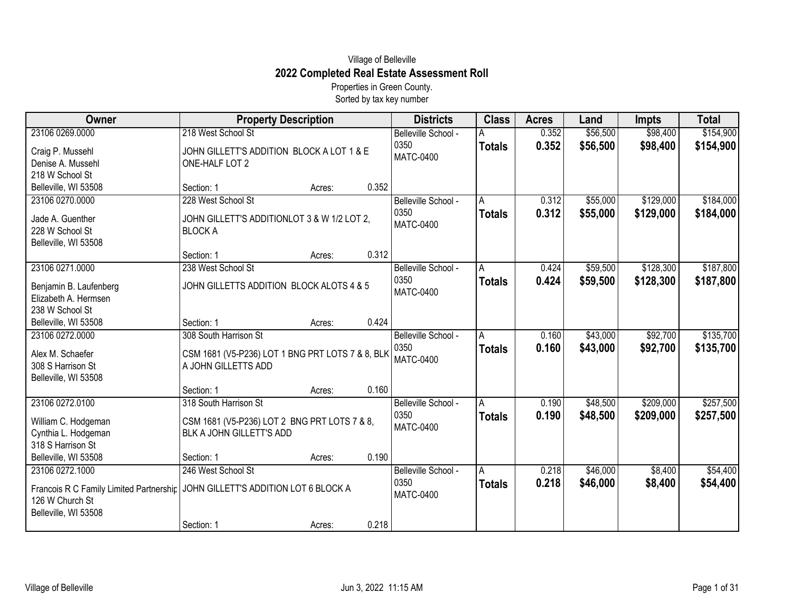## Village of Belleville **2022 Completed Real Estate Assessment Roll**

Properties in Green County. Sorted by tax key number

| Owner                                                                                                                      | <b>Property Description</b>                                              |        |       | <b>Districts</b>                                | <b>Class</b>       | <b>Acres</b>   | Land                 | Impts                  | <b>Total</b>           |
|----------------------------------------------------------------------------------------------------------------------------|--------------------------------------------------------------------------|--------|-------|-------------------------------------------------|--------------------|----------------|----------------------|------------------------|------------------------|
| 23106 0269.0000                                                                                                            | 218 West School St                                                       |        |       | Belleville School -                             |                    | 0.352          | \$56,500             | \$98,400               | \$154,900              |
| Craig P. Mussehl<br>Denise A. Mussehl<br>218 W School St                                                                   | JOHN GILLETT'S ADDITION BLOCK A LOT 1 & E<br>ONE-HALF LOT 2              |        |       | 0350<br><b>MATC-0400</b>                        | <b>Totals</b>      | 0.352          | \$56,500             | \$98,400               | \$154,900              |
| Belleville, WI 53508                                                                                                       | Section: 1                                                               | Acres: | 0.352 |                                                 |                    |                |                      |                        |                        |
| 23106 0270.0000                                                                                                            | 228 West School St                                                       |        |       | Belleville School -                             | A                  | 0.312          | \$55,000             | \$129,000              | \$184,000              |
| Jade A. Guenther<br>228 W School St<br>Belleville, WI 53508                                                                | JOHN GILLETT'S ADDITIONLOT 3 & W 1/2 LOT 2,<br><b>BLOCK A</b>            |        |       | 0350<br><b>MATC-0400</b>                        | <b>Totals</b>      | 0.312          | \$55,000             | \$129,000              | \$184,000              |
|                                                                                                                            | Section: 1                                                               | Acres: | 0.312 |                                                 |                    |                |                      |                        |                        |
| 23106 0271.0000<br>Benjamin B. Laufenberg                                                                                  | 238 West School St<br>JOHN GILLETTS ADDITION BLOCK ALOTS 4 & 5           |        |       | Belleville School -<br>0350<br><b>MATC-0400</b> | A<br><b>Totals</b> | 0.424<br>0.424 | \$59,500<br>\$59,500 | \$128,300<br>\$128,300 | \$187,800<br>\$187,800 |
| Elizabeth A. Hermsen<br>238 W School St<br>Belleville, WI 53508                                                            | Section: 1                                                               | Acres: | 0.424 |                                                 |                    |                |                      |                        |                        |
| 23106 0272.0000                                                                                                            | 308 South Harrison St                                                    |        |       | Belleville School -                             | A                  | 0.160          | \$43,000             | \$92,700               | \$135,700              |
| Alex M. Schaefer<br>308 S Harrison St<br>Belleville, WI 53508                                                              | CSM 1681 (V5-P236) LOT 1 BNG PRT LOTS 7 & 8, BLK<br>A JOHN GILLETTS ADD  |        |       | 0350<br><b>MATC-0400</b>                        | <b>Totals</b>      | 0.160          | \$43,000             | \$92,700               | \$135,700              |
|                                                                                                                            | Section: 1                                                               | Acres: | 0.160 |                                                 |                    |                |                      |                        |                        |
| 23106 0272.0100                                                                                                            | 318 South Harrison St                                                    |        |       | Belleville School -                             | A                  | 0.190          | \$48,500             | \$209,000              | \$257,500              |
| William C. Hodgeman<br>Cynthia L. Hodgeman<br>318 S Harrison St                                                            | CSM 1681 (V5-P236) LOT 2 BNG PRT LOTS 7 & 8,<br>BLK A JOHN GILLETT'S ADD |        |       | 0350<br><b>MATC-0400</b>                        | <b>Totals</b>      | 0.190          | \$48,500             | \$209,000              | \$257,500              |
| Belleville, WI 53508                                                                                                       | Section: 1                                                               | Acres: | 0.190 |                                                 |                    |                |                      |                        |                        |
| 23106 0272.1000                                                                                                            | 246 West School St                                                       |        |       | Belleville School -                             | A                  | 0.218          | \$46,000             | \$8,400                | \$54,400               |
| Francois R C Family Limited Partnershir   JOHN GILLETT'S ADDITION LOT 6 BLOCK A<br>126 W Church St<br>Belleville, WI 53508 |                                                                          |        |       | 0350<br><b>MATC-0400</b>                        | <b>Totals</b>      | 0.218          | \$46,000             | \$8,400                | \$54,400               |
|                                                                                                                            | Section: 1                                                               | Acres: | 0.218 |                                                 |                    |                |                      |                        |                        |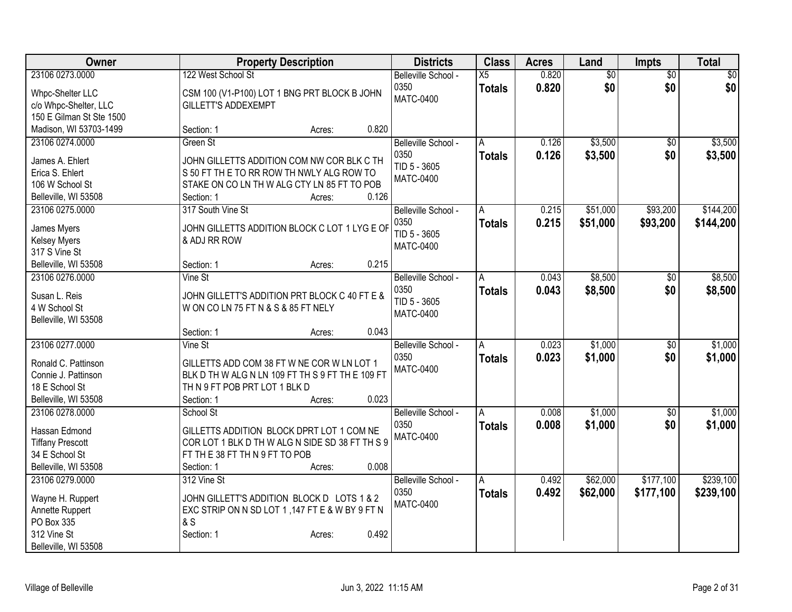| Owner                    | <b>Property Description</b>                      | <b>Districts</b>    | <b>Class</b>    | <b>Acres</b> | Land            | Impts           | <b>Total</b> |
|--------------------------|--------------------------------------------------|---------------------|-----------------|--------------|-----------------|-----------------|--------------|
| 23106 0273.0000          | 122 West School St                               | Belleville School - | $\overline{X5}$ | 0.820        | $\overline{60}$ | $\overline{50}$ | \$0          |
| Whpc-Shelter LLC         | CSM 100 (V1-P100) LOT 1 BNG PRT BLOCK B JOHN     | 0350                | <b>Totals</b>   | 0.820        | \$0             | \$0             | \$0          |
| c/o Whpc-Shelter, LLC    | <b>GILLETT'S ADDEXEMPT</b>                       | MATC-0400           |                 |              |                 |                 |              |
| 150 E Gilman St Ste 1500 |                                                  |                     |                 |              |                 |                 |              |
| Madison, WI 53703-1499   | 0.820<br>Section: 1<br>Acres:                    |                     |                 |              |                 |                 |              |
| 23106 0274.0000          | Green St                                         | Belleville School - | A               | 0.126        | \$3,500         | \$0             | \$3,500      |
| James A. Ehlert          | JOHN GILLETTS ADDITION COM NW COR BLK C TH       | 0350                | <b>Totals</b>   | 0.126        | \$3,500         | \$0             | \$3,500      |
| Erica S. Ehlert          | S 50 FT TH E TO RR ROW TH NWLY ALG ROW TO        | TID 5 - 3605        |                 |              |                 |                 |              |
| 106 W School St          | STAKE ON CO LN TH W ALG CTY LN 85 FT TO POB      | <b>MATC-0400</b>    |                 |              |                 |                 |              |
| Belleville, WI 53508     | 0.126<br>Section: 1<br>Acres:                    |                     |                 |              |                 |                 |              |
| 23106 0275.0000          | 317 South Vine St                                | Belleville School - | A               | 0.215        | \$51,000        | \$93,200        | \$144,200    |
|                          |                                                  | 0350                | <b>Totals</b>   | 0.215        | \$51,000        | \$93,200        | \$144,200    |
| James Myers              | JOHN GILLETTS ADDITION BLOCK C LOT 1 LYG E OF    | TID 5 - 3605        |                 |              |                 |                 |              |
| Kelsey Myers             | & ADJ RR ROW                                     | <b>MATC-0400</b>    |                 |              |                 |                 |              |
| 317 S Vine St            |                                                  |                     |                 |              |                 |                 |              |
| Belleville, WI 53508     | 0.215<br>Section: 1<br>Acres:                    |                     |                 |              |                 |                 |              |
| 23106 0276.0000          | Vine St                                          | Belleville School - | A               | 0.043        | \$8,500         | \$0             | \$8,500      |
| Susan L. Reis            | JOHN GILLETT'S ADDITION PRT BLOCK C 40 FT E &    | 0350                | <b>Totals</b>   | 0.043        | \$8,500         | \$0             | \$8,500      |
| 4 W School St            | WON COLN 75 FT N & S & 85 FT NELY                | TID 5 - 3605        |                 |              |                 |                 |              |
| Belleville, WI 53508     |                                                  | <b>MATC-0400</b>    |                 |              |                 |                 |              |
|                          | 0.043<br>Section: 1<br>Acres:                    |                     |                 |              |                 |                 |              |
| 23106 0277.0000          | Vine St                                          | Belleville School - |                 | 0.023        | \$1,000         | \$0             | \$1,000      |
| Ronald C. Pattinson      | GILLETTS ADD COM 38 FT W NE COR W LN LOT 1       | 0350                | <b>Totals</b>   | 0.023        | \$1,000         | \$0             | \$1,000      |
| Connie J. Pattinson      | BLK D TH W ALG N LN 109 FT TH S 9 FT TH E 109 FT | <b>MATC-0400</b>    |                 |              |                 |                 |              |
| 18 E School St           | TH N 9 FT POB PRT LOT 1 BLK D                    |                     |                 |              |                 |                 |              |
| Belleville, WI 53508     | 0.023<br>Section: 1<br>Acres:                    |                     |                 |              |                 |                 |              |
| 23106 0278.0000          | School St                                        | Belleville School - | A               | 0.008        | \$1,000         | $\sqrt{6}$      | \$1,000      |
|                          |                                                  | 0350                | <b>Totals</b>   | 0.008        | \$1,000         | \$0             | \$1,000      |
| Hassan Edmond            | GILLETTS ADDITION BLOCK DPRT LOT 1 COM NE        | MATC-0400           |                 |              |                 |                 |              |
| <b>Tiffany Prescott</b>  | CORLOT 1 BLK D TH W ALG N SIDE SD 38 FT TH S 9   |                     |                 |              |                 |                 |              |
| 34 E School St           | FT THE 38 FT THN 9 FT TO POB                     |                     |                 |              |                 |                 |              |
| Belleville, WI 53508     | 0.008<br>Section: 1<br>Acres:                    |                     |                 |              |                 |                 |              |
| 23106 0279.0000          | 312 Vine St                                      | Belleville School - | Α               | 0.492        | \$62,000        | \$177,100       | \$239,100    |
| Wayne H. Ruppert         | JOHN GILLETT'S ADDITION BLOCK D LOTS 1 & 2       | 0350                | <b>Totals</b>   | 0.492        | \$62,000        | \$177,100       | \$239,100    |
| Annette Ruppert          | EXC STRIP ON N SD LOT 1, 147 FT E & W BY 9 FT N  | <b>MATC-0400</b>    |                 |              |                 |                 |              |
| PO Box 335               | & S                                              |                     |                 |              |                 |                 |              |
| 312 Vine St              | Section: 1<br>0.492<br>Acres:                    |                     |                 |              |                 |                 |              |
| Belleville, WI 53508     |                                                  |                     |                 |              |                 |                 |              |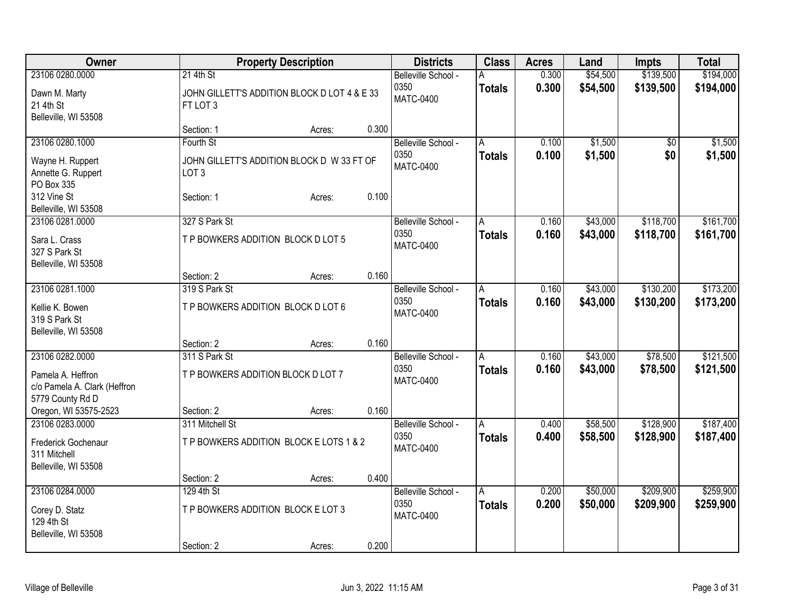| Owner                                                                                             |                               | <b>Property Description</b>                  |       |                                                 | <b>Class</b>       | <b>Acres</b>   | Land                 | Impts                  | <b>Total</b>           |
|---------------------------------------------------------------------------------------------------|-------------------------------|----------------------------------------------|-------|-------------------------------------------------|--------------------|----------------|----------------------|------------------------|------------------------|
| 23106 0280,0000<br>Dawn M. Marty<br>21 4th St<br>Belleville, WI 53508                             | $214th$ St<br>FT LOT 3        | JOHN GILLETT'S ADDITION BLOCK D LOT 4 & E 33 |       | Belleville School -<br>0350<br><b>MATC-0400</b> | <b>Totals</b>      | 0.300<br>0.300 | \$54,500<br>\$54,500 | \$139,500<br>\$139,500 | \$194,000<br>\$194,000 |
|                                                                                                   | Section: 1                    | Acres:                                       | 0.300 |                                                 |                    |                |                      |                        |                        |
| 23106 0280.1000<br>Wayne H. Ruppert<br>Annette G. Ruppert<br>PO Box 335                           | Fourth St<br>LOT <sub>3</sub> | JOHN GILLETT'S ADDITION BLOCK D W 33 FT OF   |       | Belleville School -<br>0350<br><b>MATC-0400</b> | A<br><b>Totals</b> | 0.100<br>0.100 | \$1,500<br>\$1,500   | $\sqrt{6}$<br>\$0      | \$1,500<br>\$1,500     |
| 312 Vine St                                                                                       | Section: 1                    | Acres:                                       | 0.100 |                                                 |                    |                |                      |                        |                        |
| Belleville, WI 53508<br>23106 0281.0000<br>Sara L. Crass<br>327 S Park St<br>Belleville, WI 53508 | 327 S Park St                 | T P BOWKERS ADDITION BLOCK D LOT 5           |       | Belleville School -<br>0350<br><b>MATC-0400</b> | A<br><b>Totals</b> | 0.160<br>0.160 | \$43,000<br>\$43,000 | \$118,700<br>\$118,700 | \$161,700<br>\$161,700 |
|                                                                                                   | Section: 2                    | Acres:                                       | 0.160 |                                                 |                    |                |                      |                        |                        |
| 23106 0281.1000<br>Kellie K. Bowen<br>319 S Park St<br>Belleville, WI 53508                       | 319 S Park St                 | T P BOWKERS ADDITION BLOCK D LOT 6           |       | Belleville School -<br>0350<br><b>MATC-0400</b> | A<br><b>Totals</b> | 0.160<br>0.160 | \$43,000<br>\$43,000 | \$130,200<br>\$130,200 | \$173,200<br>\$173,200 |
|                                                                                                   | Section: 2                    | Acres:                                       | 0.160 |                                                 |                    |                |                      |                        |                        |
| 23106 0282.0000<br>Pamela A. Heffron<br>c/o Pamela A. Clark (Heffron<br>5779 County Rd D          | 311 S Park St                 | T P BOWKERS ADDITION BLOCK D LOT 7           |       | Belleville School -<br>0350<br><b>MATC-0400</b> | A<br><b>Totals</b> | 0.160<br>0.160 | \$43,000<br>\$43,000 | \$78,500<br>\$78,500   | \$121,500<br>\$121,500 |
| Oregon, WI 53575-2523                                                                             | Section: 2                    | Acres:                                       | 0.160 |                                                 |                    |                |                      |                        |                        |
| 23106 0283.0000<br>Frederick Gochenaur<br>311 Mitchell<br>Belleville, WI 53508                    | 311 Mitchell St               | T P BOWKERS ADDITION BLOCK E LOTS 1 & 2      |       | Belleville School -<br>0350<br><b>MATC-0400</b> | A<br><b>Totals</b> | 0.400<br>0.400 | \$58,500<br>\$58,500 | \$128,900<br>\$128,900 | \$187,400<br>\$187,400 |
|                                                                                                   | Section: 2                    | Acres:                                       | 0.400 |                                                 |                    |                |                      |                        |                        |
| 23106 0284.0000<br>Corey D. Statz<br>129 4th St<br>Belleville, WI 53508                           | 129 4th St<br>Section: 2      | T P BOWKERS ADDITION BLOCK E LOT 3<br>Acres: | 0.200 | Belleville School -<br>0350<br><b>MATC-0400</b> | A<br><b>Totals</b> | 0.200<br>0.200 | \$50,000<br>\$50,000 | \$209,900<br>\$209,900 | \$259,900<br>\$259,900 |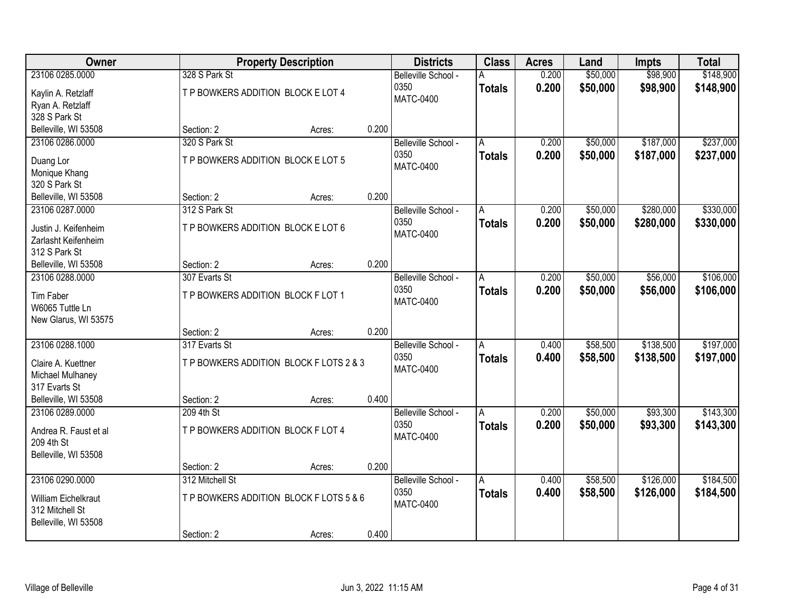| Owner                                  |                                    | <b>Property Description</b>             |       | <b>Districts</b>    | <b>Class</b>  | <b>Acres</b> | Land     | <b>Impts</b> | <b>Total</b> |
|----------------------------------------|------------------------------------|-----------------------------------------|-------|---------------------|---------------|--------------|----------|--------------|--------------|
| 23106 0285.0000                        | 328 S Park St                      |                                         |       | Belleville School - | А             | 0.200        | \$50,000 | \$98,900     | \$148,900    |
| Kaylin A. Retzlaff                     | T P BOWKERS ADDITION BLOCK E LOT 4 |                                         |       | 0350                | <b>Totals</b> | 0.200        | \$50,000 | \$98,900     | \$148,900    |
| Ryan A. Retzlaff                       |                                    |                                         |       | <b>MATC-0400</b>    |               |              |          |              |              |
| 328 S Park St                          |                                    |                                         |       |                     |               |              |          |              |              |
| Belleville, WI 53508                   | Section: 2                         | Acres:                                  | 0.200 |                     |               |              |          |              |              |
| 23106 0286.0000                        | 320 S Park St                      |                                         |       | Belleville School - | A             | 0.200        | \$50,000 | \$187,000    | \$237,000    |
| Duang Lor                              |                                    | T P BOWKERS ADDITION BLOCK E LOT 5      |       | 0350                | <b>Totals</b> | 0.200        | \$50,000 | \$187,000    | \$237,000    |
| Monique Khang                          |                                    |                                         |       | <b>MATC-0400</b>    |               |              |          |              |              |
| 320 S Park St                          |                                    |                                         |       |                     |               |              |          |              |              |
| Belleville, WI 53508                   | Section: 2                         | Acres:                                  | 0.200 |                     |               |              |          |              |              |
| 23106 0287.0000                        | 312 S Park St                      |                                         |       | Belleville School - | A             | 0.200        | \$50,000 | \$280,000    | \$330,000    |
| Justin J. Keifenheim                   |                                    | T P BOWKERS ADDITION BLOCK E LOT 6      |       | 0350                | <b>Totals</b> | 0.200        | \$50,000 | \$280,000    | \$330,000    |
| Zarlasht Keifenheim                    |                                    |                                         |       | <b>MATC-0400</b>    |               |              |          |              |              |
| 312 S Park St                          |                                    |                                         |       |                     |               |              |          |              |              |
| Belleville, WI 53508                   | Section: 2                         | Acres:                                  | 0.200 |                     |               |              |          |              |              |
| 23106 0288.0000                        | 307 Evarts St                      |                                         |       | Belleville School - | A             | 0.200        | \$50,000 | \$56,000     | \$106,000    |
| <b>Tim Faber</b>                       | T P BOWKERS ADDITION BLOCK F LOT 1 |                                         |       | 0350                | <b>Totals</b> | 0.200        | \$50,000 | \$56,000     | \$106,000    |
| W6065 Tuttle Ln                        |                                    |                                         |       | <b>MATC-0400</b>    |               |              |          |              |              |
| New Glarus, WI 53575                   |                                    |                                         |       |                     |               |              |          |              |              |
|                                        | Section: 2                         | Acres:                                  | 0.200 |                     |               |              |          |              |              |
| 23106 0288.1000                        | 317 Evarts St                      |                                         |       | Belleville School - | A             | 0.400        | \$58,500 | \$138,500    | \$197,000    |
| Claire A. Kuettner                     |                                    | T P BOWKERS ADDITION BLOCK F LOTS 2 & 3 |       | 0350                | <b>Totals</b> | 0.400        | \$58,500 | \$138,500    | \$197,000    |
| Michael Mulhaney                       |                                    |                                         |       | <b>MATC-0400</b>    |               |              |          |              |              |
| 317 Evarts St                          |                                    |                                         |       |                     |               |              |          |              |              |
| Belleville, WI 53508                   | Section: 2                         | Acres:                                  | 0.400 |                     |               |              |          |              |              |
| 23106 0289.0000                        | 209 4th St                         |                                         |       | Belleville School - | A             | 0.200        | \$50,000 | \$93,300     | \$143,300    |
| Andrea R. Faust et al                  | T P BOWKERS ADDITION BLOCK F LOT 4 |                                         |       | 0350                | <b>Totals</b> | 0.200        | \$50,000 | \$93,300     | \$143,300    |
| 209 4th St                             |                                    |                                         |       | <b>MATC-0400</b>    |               |              |          |              |              |
| Belleville, WI 53508                   |                                    |                                         |       |                     |               |              |          |              |              |
|                                        | Section: 2                         | Acres:                                  | 0.200 |                     |               |              |          |              |              |
| 23106 0290.0000                        | 312 Mitchell St                    |                                         |       | Belleville School - | A             | 0.400        | \$58,500 | \$126,000    | \$184,500    |
|                                        |                                    | T P BOWKERS ADDITION BLOCK F LOTS 5 & 6 |       | 0350                | <b>Totals</b> | 0.400        | \$58,500 | \$126,000    | \$184,500    |
| William Eichelkraut<br>312 Mitchell St |                                    |                                         |       | <b>MATC-0400</b>    |               |              |          |              |              |
| Belleville, WI 53508                   |                                    |                                         |       |                     |               |              |          |              |              |
|                                        | Section: 2                         | Acres:                                  | 0.400 |                     |               |              |          |              |              |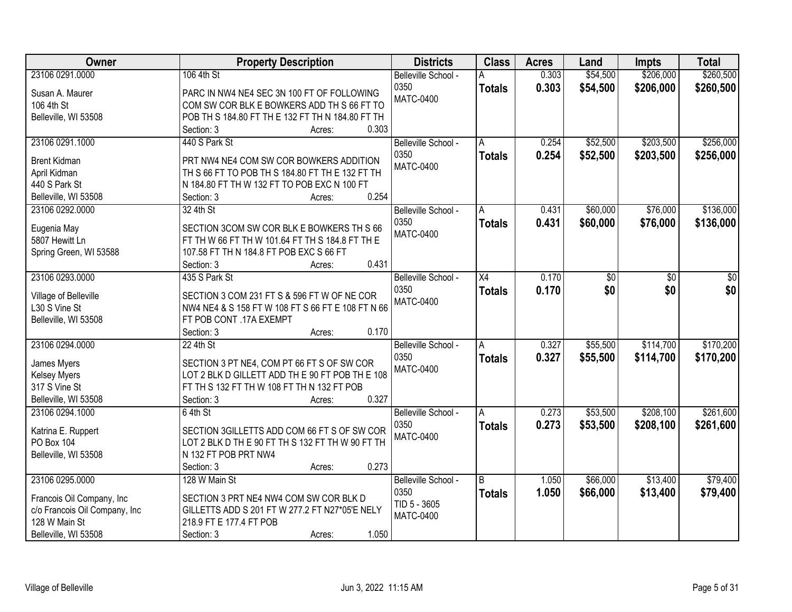| Owner                         | <b>Property Description</b>                       | <b>Districts</b>    | <b>Class</b>  | <b>Acres</b> | Land     | <b>Impts</b> | <b>Total</b> |
|-------------------------------|---------------------------------------------------|---------------------|---------------|--------------|----------|--------------|--------------|
| 23106 0291.0000               | 106 4th St                                        | Belleville School - | A             | 0.303        | \$54,500 | \$206,000    | \$260,500    |
| Susan A. Maurer               | PARC IN NW4 NE4 SEC 3N 100 FT OF FOLLOWING        | 0350                | <b>Totals</b> | 0.303        | \$54,500 | \$206,000    | \$260,500    |
| 106 4th St                    | COM SW COR BLK E BOWKERS ADD TH S 66 FT TO        | <b>MATC-0400</b>    |               |              |          |              |              |
| Belleville, WI 53508          | POB TH S 184.80 FT TH E 132 FT TH N 184.80 FT TH  |                     |               |              |          |              |              |
|                               | 0.303<br>Section: 3<br>Acres:                     |                     |               |              |          |              |              |
| 23106 0291.1000               | 440 S Park St                                     | Belleville School - | A             | 0.254        | \$52,500 | \$203,500    | \$256,000    |
|                               |                                                   | 0350                | <b>Totals</b> | 0.254        | \$52,500 | \$203,500    | \$256,000    |
| <b>Brent Kidman</b>           | PRT NW4 NE4 COM SW COR BOWKERS ADDITION           | <b>MATC-0400</b>    |               |              |          |              |              |
| April Kidman                  | TH S 66 FT TO POB TH S 184.80 FT TH E 132 FT TH   |                     |               |              |          |              |              |
| 440 S Park St                 | N 184.80 FT TH W 132 FT TO POB EXC N 100 FT       |                     |               |              |          |              |              |
| Belleville, WI 53508          | 0.254<br>Section: 3<br>Acres:                     |                     |               |              |          |              |              |
| 23106 0292.0000               | 32 4th St                                         | Belleville School - | A             | 0.431        | \$60,000 | \$76,000     | \$136,000    |
| Eugenia May                   | SECTION 3COM SW COR BLK E BOWKERS TH S 66         | 0350                | <b>Totals</b> | 0.431        | \$60,000 | \$76,000     | \$136,000    |
| 5807 Hewitt Ln                | FT TH W 66 FT TH W 101.64 FT TH S 184.8 FT TH E   | <b>MATC-0400</b>    |               |              |          |              |              |
| Spring Green, WI 53588        | 107.58 FT TH N 184.8 FT POB EXC S 66 FT           |                     |               |              |          |              |              |
|                               | 0.431<br>Section: 3<br>Acres:                     |                     |               |              |          |              |              |
| 23106 0293.0000               | 435 S Park St                                     | Belleville School - | X4            | 0.170        | \$0      | \$0          | \$0          |
|                               |                                                   | 0350                | <b>Totals</b> | 0.170        | \$0      | \$0          | \$0          |
| Village of Belleville         | SECTION 3 COM 231 FT S & 596 FT W OF NE COR       | <b>MATC-0400</b>    |               |              |          |              |              |
| L30 S Vine St                 | NW4 NE4 & S 158 FT W 108 FT S 66 FT E 108 FT N 66 |                     |               |              |          |              |              |
| Belleville, WI 53508          | FT POB CONT .17A EXEMPT                           |                     |               |              |          |              |              |
|                               | 0.170<br>Section: 3<br>Acres:                     |                     |               |              |          |              |              |
| 23106 0294.0000               | 22 4th St                                         | Belleville School - | A             | 0.327        | \$55,500 | \$114,700    | \$170,200    |
| James Myers                   | SECTION 3 PT NE4, COM PT 66 FT S OF SW COR        | 0350                | <b>Totals</b> | 0.327        | \$55,500 | \$114,700    | \$170,200    |
| <b>Kelsey Myers</b>           | LOT 2 BLK D GILLETT ADD TH E 90 FT POB TH E 108   | <b>MATC-0400</b>    |               |              |          |              |              |
| 317 S Vine St                 | FT TH S 132 FT TH W 108 FT TH N 132 FT POB        |                     |               |              |          |              |              |
| Belleville, WI 53508          | 0.327<br>Section: 3<br>Acres:                     |                     |               |              |          |              |              |
| 23106 0294.1000               | $64th$ St                                         | Belleville School - | A             | 0.273        | \$53,500 | \$208,100    | \$261,600    |
|                               |                                                   | 0350                | <b>Totals</b> | 0.273        | \$53,500 | \$208,100    | \$261,600    |
| Katrina E. Ruppert            | SECTION 3GILLETTS ADD COM 66 FT S OF SW COR       | <b>MATC-0400</b>    |               |              |          |              |              |
| PO Box 104                    | LOT 2 BLK D TH E 90 FT TH S 132 FT TH W 90 FT TH  |                     |               |              |          |              |              |
| Belleville, WI 53508          | N 132 FT POB PRT NW4                              |                     |               |              |          |              |              |
|                               | 0.273<br>Section: 3<br>Acres:                     |                     |               |              |          |              |              |
| 23106 0295.0000               | 128 W Main St                                     | Belleville School - | B             | 1.050        | \$66,000 | \$13,400     | \$79,400     |
| Francois Oil Company, Inc     | SECTION 3 PRT NE4 NW4 COM SW COR BLK D            | 0350                | <b>Totals</b> | 1.050        | \$66,000 | \$13,400     | \$79,400     |
| c/o Francois Oil Company, Inc | GILLETTS ADD S 201 FT W 277.2 FT N27*05'E NELY    | TID 5 - 3605        |               |              |          |              |              |
| 128 W Main St                 | 218.9 FT E 177.4 FT POB                           | MATC-0400           |               |              |          |              |              |
| Belleville, WI 53508          | 1.050<br>Section: 3<br>Acres:                     |                     |               |              |          |              |              |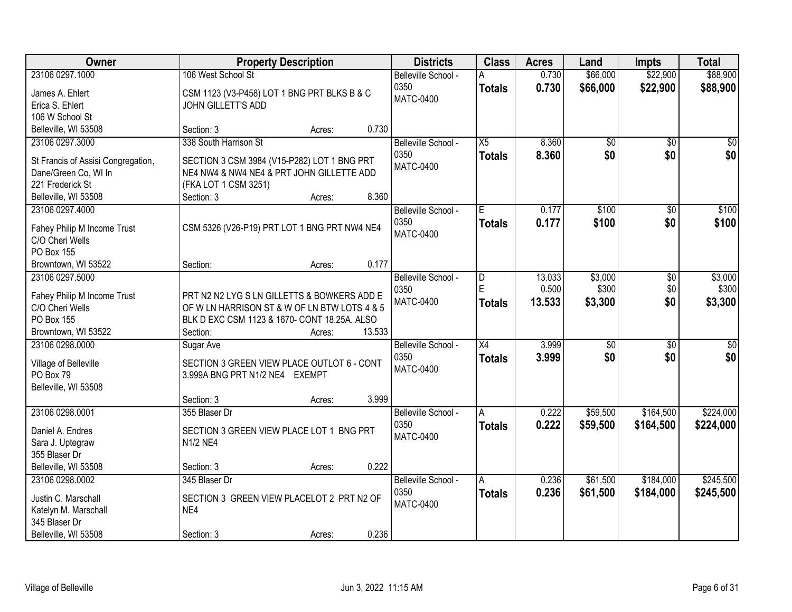| Owner                                          | <b>Property Description</b>                                                                 | <b>Districts</b>            | <b>Class</b>    | <b>Acres</b> | Land            | <b>Impts</b>    | <b>Total</b>     |
|------------------------------------------------|---------------------------------------------------------------------------------------------|-----------------------------|-----------------|--------------|-----------------|-----------------|------------------|
| 23106 0297.1000                                | 106 West School St                                                                          | Belleville School -         | Α               | 0.730        | \$66,000        | \$22,900        | \$88,900         |
| James A. Ehlert                                | CSM 1123 (V3-P458) LOT 1 BNG PRT BLKS B & C                                                 | 0350                        | <b>Totals</b>   | 0.730        | \$66,000        | \$22,900        | \$88,900         |
| Erica S. Ehlert                                | <b>JOHN GILLETT'S ADD</b>                                                                   | <b>MATC-0400</b>            |                 |              |                 |                 |                  |
| 106 W School St                                |                                                                                             |                             |                 |              |                 |                 |                  |
| Belleville, WI 53508                           | 0.730<br>Section: 3<br>Acres:                                                               |                             |                 |              |                 |                 |                  |
| 23106 0297.3000                                | 338 South Harrison St                                                                       | Belleville School -         | X5              | 8.360        | $\overline{50}$ | $\overline{50}$ | $\sqrt{50}$      |
|                                                |                                                                                             | 0350                        | <b>Totals</b>   | 8.360        | \$0             | \$0             | \$0              |
| St Francis of Assisi Congregation,             | SECTION 3 CSM 3984 (V15-P282) LOT 1 BNG PRT                                                 | <b>MATC-0400</b>            |                 |              |                 |                 |                  |
| Dane/Green Co, WI In                           | NE4 NW4 & NW4 NE4 & PRT JOHN GILLETTE ADD                                                   |                             |                 |              |                 |                 |                  |
| 221 Frederick St                               | (FKA LOT 1 CSM 3251)<br>8.360<br>Section: 3                                                 |                             |                 |              |                 |                 |                  |
| Belleville, WI 53508                           | Acres:                                                                                      |                             |                 |              |                 |                 |                  |
| 23106 0297.4000                                |                                                                                             | Belleville School -         | Е               | 0.177        | \$100           | \$0             | \$100            |
| Fahey Philip M Income Trust                    | CSM 5326 (V26-P19) PRT LOT 1 BNG PRT NW4 NE4                                                | 0350<br><b>MATC-0400</b>    | <b>Totals</b>   | 0.177        | \$100           | \$0             | \$100            |
| C/O Cheri Wells                                |                                                                                             |                             |                 |              |                 |                 |                  |
| <b>PO Box 155</b>                              |                                                                                             |                             |                 |              |                 |                 |                  |
| Browntown, WI 53522                            | 0.177<br>Section:<br>Acres:                                                                 |                             |                 |              |                 |                 |                  |
| 23106 0297.5000                                |                                                                                             | Belleville School -         | D               | 13.033       | \$3,000         | \$0             | \$3,000          |
|                                                |                                                                                             | 0350                        | $\mathsf E$     | 0.500        | \$300           | \$0             | \$300            |
| Fahey Philip M Income Trust<br>C/O Cheri Wells | PRT N2 N2 LYG S LN GILLETTS & BOWKERS ADD E<br>OF W LN HARRISON ST & W OF LN BTW LOTS 4 & 5 | <b>MATC-0400</b>            | <b>Totals</b>   | 13.533       | \$3,300         | \$0             | \$3,300          |
| PO Box 155                                     | BLK D EXC CSM 1123 & 1670- CONT 18.25A. ALSO                                                |                             |                 |              |                 |                 |                  |
| Browntown, WI 53522                            | 13.533<br>Section:                                                                          |                             |                 |              |                 |                 |                  |
| 23106 0298.0000                                | Acres:                                                                                      |                             | $\overline{X4}$ | 3.999        | $\overline{50}$ | $\overline{30}$ | $\overline{\$0}$ |
|                                                | Sugar Ave                                                                                   | Belleville School -<br>0350 |                 |              |                 |                 |                  |
| Village of Belleville                          | SECTION 3 GREEN VIEW PLACE OUTLOT 6 - CONT                                                  | <b>MATC-0400</b>            | <b>Totals</b>   | 3.999        | \$0             | \$0             | \$0              |
| PO Box 79                                      | 3.999A BNG PRT N1/2 NE4 EXEMPT                                                              |                             |                 |              |                 |                 |                  |
| Belleville, WI 53508                           |                                                                                             |                             |                 |              |                 |                 |                  |
|                                                | Section: 3<br>3.999<br>Acres:                                                               |                             |                 |              |                 |                 |                  |
| 23106 0298.0001                                | 355 Blaser Dr                                                                               | Belleville School -         | A               | 0.222        | \$59,500        | \$164,500       | \$224,000        |
| Daniel A. Endres                               | SECTION 3 GREEN VIEW PLACE LOT 1 BNG PRT                                                    | 0350                        | <b>Totals</b>   | 0.222        | \$59,500        | \$164,500       | \$224,000        |
| Sara J. Uptegraw                               | N1/2 NE4                                                                                    | <b>MATC-0400</b>            |                 |              |                 |                 |                  |
| 355 Blaser Dr                                  |                                                                                             |                             |                 |              |                 |                 |                  |
| Belleville, WI 53508                           | 0.222<br>Section: 3<br>Acres:                                                               |                             |                 |              |                 |                 |                  |
| 23106 0298.0002                                | 345 Blaser Dr                                                                               | Belleville School -         | A               | 0.236        | \$61,500        | \$184,000       | \$245,500        |
|                                                |                                                                                             | 0350                        | <b>Totals</b>   | 0.236        | \$61,500        | \$184,000       | \$245,500        |
| Justin C. Marschall                            | SECTION 3 GREEN VIEW PLACELOT 2 PRT N2 OF                                                   | <b>MATC-0400</b>            |                 |              |                 |                 |                  |
| Katelyn M. Marschall                           | NE4                                                                                         |                             |                 |              |                 |                 |                  |
| 345 Blaser Dr                                  |                                                                                             |                             |                 |              |                 |                 |                  |
| Belleville, WI 53508                           | 0.236<br>Section: 3<br>Acres:                                                               |                             |                 |              |                 |                 |                  |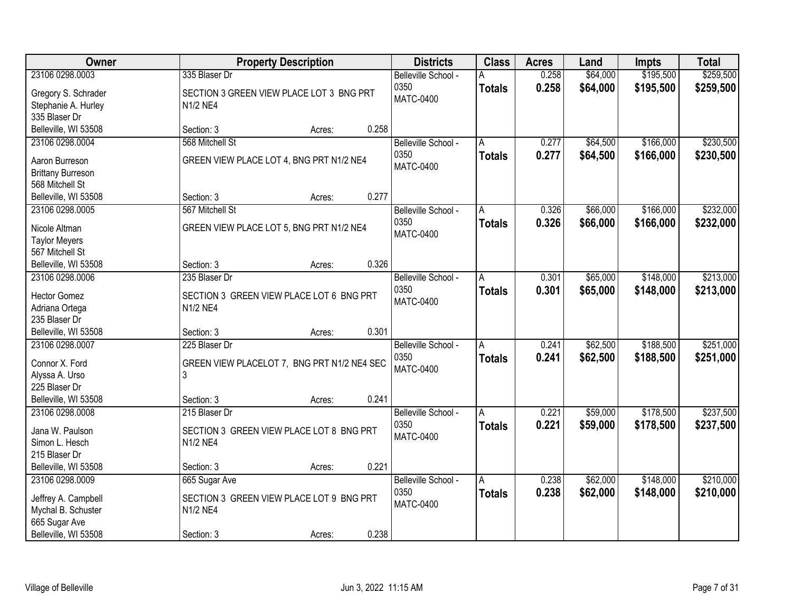| Owner                                   | <b>Property Description</b>                 | <b>Districts</b>         | <b>Class</b>  | <b>Acres</b> | Land     | <b>Impts</b> | <b>Total</b> |
|-----------------------------------------|---------------------------------------------|--------------------------|---------------|--------------|----------|--------------|--------------|
| 23106 0298.0003                         | 335 Blaser Dr                               | Belleville School -      | А             | 0.258        | \$64,000 | \$195,500    | \$259,500    |
| Gregory S. Schrader                     | SECTION 3 GREEN VIEW PLACE LOT 3 BNG PRT    | 0350                     | <b>Totals</b> | 0.258        | \$64,000 | \$195,500    | \$259,500    |
| Stephanie A. Hurley                     | N1/2 NE4                                    | MATC-0400                |               |              |          |              |              |
| 335 Blaser Dr                           |                                             |                          |               |              |          |              |              |
| Belleville, WI 53508                    | Section: 3<br>Acres:                        | 0.258                    |               |              |          |              |              |
| 23106 0298.0004                         | 568 Mitchell St                             | Belleville School -      | A             | 0.277        | \$64,500 | \$166,000    | \$230,500    |
| Aaron Burreson                          | GREEN VIEW PLACE LOT 4, BNG PRT N1/2 NE4    | 0350                     | <b>Totals</b> | 0.277        | \$64,500 | \$166,000    | \$230,500    |
| <b>Brittany Burreson</b>                |                                             | <b>MATC-0400</b>         |               |              |          |              |              |
| 568 Mitchell St                         |                                             |                          |               |              |          |              |              |
| Belleville, WI 53508                    | Section: 3<br>Acres:                        | 0.277                    |               |              |          |              |              |
| 23106 0298.0005                         | 567 Mitchell St                             | Belleville School -      | A             | 0.326        | \$66,000 | \$166,000    | \$232,000    |
|                                         |                                             | 0350                     | <b>Totals</b> | 0.326        | \$66,000 | \$166,000    | \$232,000    |
| Nicole Altman                           | GREEN VIEW PLACE LOT 5, BNG PRT N1/2 NE4    | <b>MATC-0400</b>         |               |              |          |              |              |
| <b>Taylor Meyers</b><br>567 Mitchell St |                                             |                          |               |              |          |              |              |
| Belleville, WI 53508                    | Section: 3<br>Acres:                        | 0.326                    |               |              |          |              |              |
| 23106 0298.0006                         | 235 Blaser Dr                               | Belleville School -      | A             | 0.301        | \$65,000 | \$148,000    | \$213,000    |
|                                         |                                             | 0350                     | <b>Totals</b> | 0.301        | \$65,000 | \$148,000    | \$213,000    |
| <b>Hector Gomez</b>                     | SECTION 3 GREEN VIEW PLACE LOT 6 BNG PRT    | MATC-0400                |               |              |          |              |              |
| Adriana Ortega                          | N1/2 NE4                                    |                          |               |              |          |              |              |
| 235 Blaser Dr                           |                                             |                          |               |              |          |              |              |
| Belleville, WI 53508                    | Section: 3<br>Acres:                        | 0.301                    |               |              |          |              |              |
| 23106 0298.0007                         | 225 Blaser Dr                               | Belleville School -      | A             | 0.241        | \$62,500 | \$188,500    | \$251,000    |
| Connor X. Ford                          | GREEN VIEW PLACELOT 7, BNG PRT N1/2 NE4 SEC | 0350<br><b>MATC-0400</b> | <b>Totals</b> | 0.241        | \$62,500 | \$188,500    | \$251,000    |
| Alyssa A. Urso                          | 3                                           |                          |               |              |          |              |              |
| 225 Blaser Dr                           |                                             |                          |               |              |          |              |              |
| Belleville, WI 53508                    | Section: 3<br>Acres:                        | 0.241                    |               |              |          |              |              |
| 23106 0298.0008                         | 215 Blaser Dr                               | Belleville School -      | A             | 0.221        | \$59,000 | \$178,500    | \$237,500    |
| Jana W. Paulson                         | SECTION 3 GREEN VIEW PLACE LOT 8 BNG PRT    | 0350                     | <b>Totals</b> | 0.221        | \$59,000 | \$178,500    | \$237,500    |
| Simon L. Hesch                          | N1/2 NE4                                    | <b>MATC-0400</b>         |               |              |          |              |              |
| 215 Blaser Dr                           |                                             |                          |               |              |          |              |              |
| Belleville, WI 53508                    | Section: 3<br>Acres:                        | 0.221                    |               |              |          |              |              |
| 23106 0298.0009                         | 665 Sugar Ave                               | Belleville School -      | A             | 0.238        | \$62,000 | \$148,000    | \$210,000    |
| Jeffrey A. Campbell                     | SECTION 3 GREEN VIEW PLACE LOT 9 BNG PRT    | 0350                     | <b>Totals</b> | 0.238        | \$62,000 | \$148,000    | \$210,000    |
| Mychal B. Schuster                      | N1/2 NE4                                    | <b>MATC-0400</b>         |               |              |          |              |              |
| 665 Sugar Ave                           |                                             |                          |               |              |          |              |              |
| Belleville, WI 53508                    | Section: 3<br>Acres:                        | 0.238                    |               |              |          |              |              |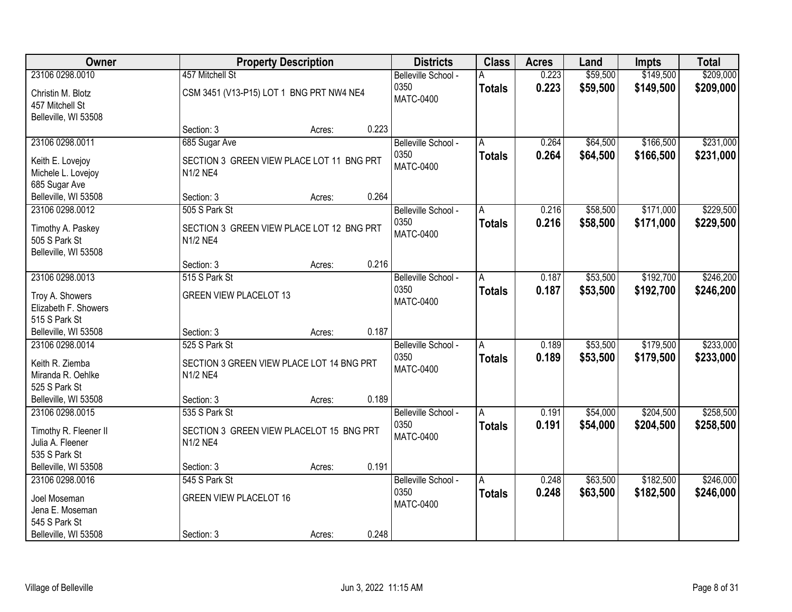| <b>Owner</b>                                                                                |                                                                        | <b>Property Description</b>              |       |                                                 | <b>Class</b>                    | <b>Acres</b>   | Land                 | <b>Impts</b>           | <b>Total</b>           |
|---------------------------------------------------------------------------------------------|------------------------------------------------------------------------|------------------------------------------|-------|-------------------------------------------------|---------------------------------|----------------|----------------------|------------------------|------------------------|
| 23106 0298.0010<br>Christin M. Blotz<br>457 Mitchell St<br>Belleville, WI 53508             | 457 Mitchell St                                                        | CSM 3451 (V13-P15) LOT 1 BNG PRT NW4 NE4 |       | Belleville School -<br>0350<br><b>MATC-0400</b> | A<br><b>Totals</b>              | 0.223<br>0.223 | \$59,500<br>\$59,500 | \$149,500<br>\$149,500 | \$209,000<br>\$209,000 |
|                                                                                             | Section: 3                                                             | Acres:                                   | 0.223 |                                                 |                                 |                |                      |                        |                        |
| 23106 0298.0011<br>Keith E. Lovejoy<br>Michele L. Lovejoy<br>685 Sugar Ave                  | 685 Sugar Ave<br>SECTION 3 GREEN VIEW PLACE LOT 11 BNG PRT<br>N1/2 NE4 |                                          |       | Belleville School -<br>0350<br><b>MATC-0400</b> | A<br><b>Totals</b>              | 0.264<br>0.264 | \$64,500<br>\$64,500 | \$166,500<br>\$166,500 | \$231,000<br>\$231,000 |
| Belleville, WI 53508                                                                        | Section: 3                                                             | Acres:                                   | 0.264 |                                                 |                                 |                |                      |                        |                        |
| 23106 0298.0012<br>Timothy A. Paskey<br>505 S Park St<br>Belleville, WI 53508               | 505 S Park St<br>SECTION 3 GREEN VIEW PLACE LOT 12 BNG PRT<br>N1/2 NE4 |                                          |       | Belleville School -<br>0350<br><b>MATC-0400</b> | A<br><b>Totals</b>              | 0.216<br>0.216 | \$58,500<br>\$58,500 | \$171,000<br>\$171,000 | \$229,500<br>\$229,500 |
|                                                                                             | Section: 3                                                             | Acres:                                   | 0.216 |                                                 |                                 |                |                      |                        |                        |
| 23106 0298.0013<br>Troy A. Showers<br>Elizabeth F. Showers<br>515 S Park St                 | 515 S Park St<br><b>GREEN VIEW PLACELOT 13</b>                         |                                          |       | Belleville School -<br>0350<br><b>MATC-0400</b> | A<br><b>Totals</b>              | 0.187<br>0.187 | \$53,500<br>\$53,500 | \$192,700<br>\$192,700 | \$246,200<br>\$246,200 |
| Belleville, WI 53508                                                                        | Section: 3                                                             | Acres:                                   | 0.187 |                                                 |                                 |                |                      |                        |                        |
| 23106 0298.0014<br>Keith R. Ziemba<br>Miranda R. Oehlke<br>525 S Park St                    | 525 S Park St<br>SECTION 3 GREEN VIEW PLACE LOT 14 BNG PRT<br>N1/2 NE4 |                                          |       | Belleville School -<br>0350<br><b>MATC-0400</b> | $\overline{A}$<br><b>Totals</b> | 0.189<br>0.189 | \$53,500<br>\$53,500 | \$179,500<br>\$179,500 | \$233,000<br>\$233,000 |
| Belleville, WI 53508                                                                        | Section: 3                                                             | Acres:                                   | 0.189 |                                                 |                                 |                |                      |                        |                        |
| 23106 0298.0015<br>Timothy R. Fleener II<br>Julia A. Fleener<br>535 S Park St               | 535 S Park St<br>SECTION 3 GREEN VIEW PLACELOT 15 BNG PRT<br>N1/2 NE4  |                                          |       | Belleville School -<br>0350<br><b>MATC-0400</b> | A<br><b>Totals</b>              | 0.191<br>0.191 | \$54,000<br>\$54,000 | \$204,500<br>\$204,500 | \$258,500<br>\$258,500 |
| Belleville, WI 53508                                                                        | Section: 3                                                             | Acres:                                   | 0.191 |                                                 |                                 |                |                      |                        |                        |
| 23106 0298.0016<br>Joel Moseman<br>Jena E. Moseman<br>545 S Park St<br>Belleville, WI 53508 | 545 S Park St<br><b>GREEN VIEW PLACELOT 16</b><br>Section: 3           | Acres:                                   | 0.248 | Belleville School -<br>0350<br><b>MATC-0400</b> | A<br><b>Totals</b>              | 0.248<br>0.248 | \$63,500<br>\$63,500 | \$182,500<br>\$182,500 | \$246,000<br>\$246,000 |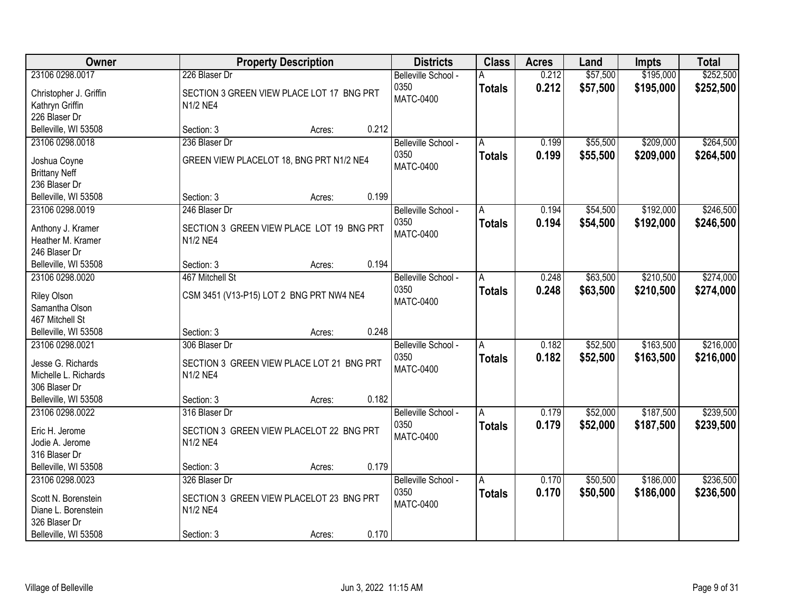| Owner                                                                                                  |                                                                                     | <b>Property Description</b> |       |                                                 | <b>Class</b>       | <b>Acres</b>   | Land                 | <b>Impts</b>           | <b>Total</b>           |
|--------------------------------------------------------------------------------------------------------|-------------------------------------------------------------------------------------|-----------------------------|-------|-------------------------------------------------|--------------------|----------------|----------------------|------------------------|------------------------|
| 23106 0298.0017                                                                                        | 226 Blaser Dr                                                                       |                             |       | Belleville School -                             | Α                  | 0.212          | \$57,500             | \$195,000              | \$252,500              |
| Christopher J. Griffin<br>Kathryn Griffin<br>226 Blaser Dr                                             | SECTION 3 GREEN VIEW PLACE LOT 17 BNG PRT<br>N1/2 NE4                               |                             |       | 0350<br><b>MATC-0400</b>                        | <b>Totals</b>      | 0.212          | \$57,500             | \$195,000              | \$252,500              |
| Belleville, WI 53508                                                                                   | Section: 3                                                                          | Acres:                      | 0.212 |                                                 |                    |                |                      |                        |                        |
| 23106 0298.0018                                                                                        | 236 Blaser Dr                                                                       |                             |       | Belleville School -                             | A                  | 0.199          | \$55,500             | \$209,000              | \$264,500              |
| Joshua Coyne<br><b>Brittany Neff</b><br>236 Blaser Dr                                                  | GREEN VIEW PLACELOT 18, BNG PRT N1/2 NE4                                            |                             |       | 0350<br><b>MATC-0400</b>                        | <b>Totals</b>      | 0.199          | \$55,500             | \$209,000              | \$264,500              |
| Belleville, WI 53508                                                                                   | Section: 3                                                                          | Acres:                      | 0.199 |                                                 |                    |                |                      |                        |                        |
| 23106 0298.0019                                                                                        | 246 Blaser Dr                                                                       |                             |       | Belleville School -                             | Α                  | 0.194          | \$54,500             | \$192,000              | \$246,500              |
| Anthony J. Kramer<br>Heather M. Kramer<br>246 Blaser Dr                                                | SECTION 3 GREEN VIEW PLACE LOT 19 BNG PRT<br>N1/2 NE4                               |                             |       | 0350<br><b>MATC-0400</b>                        | <b>Totals</b>      | 0.194          | \$54,500             | \$192,000              | \$246,500              |
| Belleville, WI 53508                                                                                   | Section: 3                                                                          | Acres:                      | 0.194 |                                                 |                    |                |                      |                        |                        |
| 23106 0298.0020                                                                                        | 467 Mitchell St                                                                     |                             |       | Belleville School -                             | A                  | 0.248          | \$63,500             | \$210,500              | \$274,000              |
| Riley Olson<br>Samantha Olson<br>467 Mitchell St                                                       | CSM 3451 (V13-P15) LOT 2 BNG PRT NW4 NE4                                            |                             |       | 0350<br><b>MATC-0400</b>                        | <b>Totals</b>      | 0.248          | \$63,500             | \$210,500              | \$274,000              |
| Belleville, WI 53508                                                                                   | Section: 3                                                                          | Acres:                      | 0.248 |                                                 |                    |                |                      |                        |                        |
| 23106 0298.0021<br>Jesse G. Richards<br>Michelle L. Richards<br>306 Blaser Dr                          | 306 Blaser Dr<br>SECTION 3 GREEN VIEW PLACE LOT 21 BNG PRT<br>N1/2 NE4              |                             |       | Belleville School -<br>0350<br><b>MATC-0400</b> | A<br><b>Totals</b> | 0.182<br>0.182 | \$52,500<br>\$52,500 | \$163,500<br>\$163,500 | \$216,000<br>\$216,000 |
| Belleville, WI 53508                                                                                   | Section: 3                                                                          | Acres:                      | 0.182 |                                                 |                    |                |                      |                        |                        |
| 23106 0298.0022                                                                                        | 316 Blaser Dr                                                                       |                             |       | Belleville School -                             | A                  | 0.179          | \$52,000             | \$187,500              | \$239,500              |
| Eric H. Jerome<br>Jodie A. Jerome<br>316 Blaser Dr                                                     | SECTION 3 GREEN VIEW PLACELOT 22 BNG PRT<br>N1/2 NE4                                |                             |       | 0350<br><b>MATC-0400</b>                        | <b>Totals</b>      | 0.179          | \$52,000             | \$187,500              | \$239,500              |
| Belleville, WI 53508                                                                                   | Section: 3                                                                          | Acres:                      | 0.179 |                                                 |                    |                |                      |                        |                        |
| 23106 0298.0023<br>Scott N. Borenstein<br>Diane L. Borenstein<br>326 Blaser Dr<br>Belleville, WI 53508 | 326 Blaser Dr<br>SECTION 3 GREEN VIEW PLACELOT 23 BNG PRT<br>N1/2 NE4<br>Section: 3 | Acres:                      | 0.170 | Belleville School -<br>0350<br><b>MATC-0400</b> | A<br><b>Totals</b> | 0.170<br>0.170 | \$50,500<br>\$50,500 | \$186,000<br>\$186,000 | \$236,500<br>\$236,500 |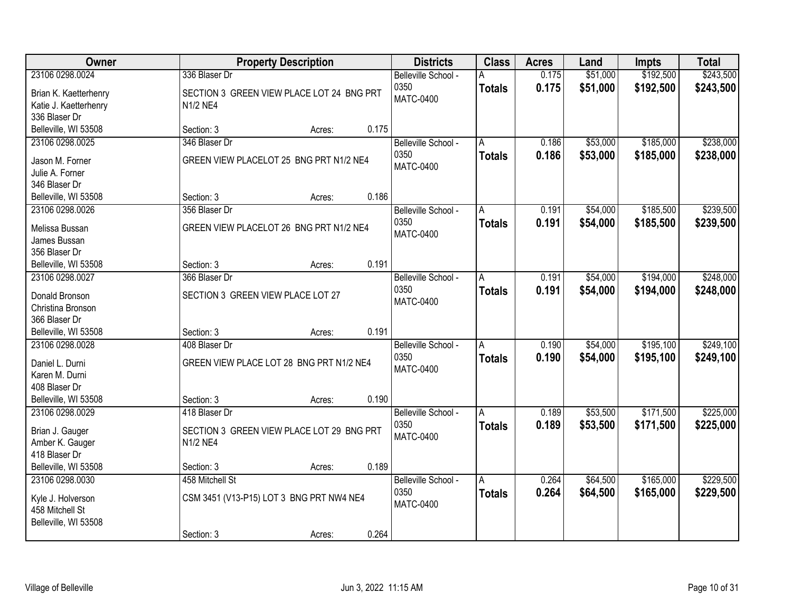| Owner                                |                                           | <b>Property Description</b> |       |                          | <b>Class</b>  | <b>Acres</b> | Land     | <b>Impts</b> | <b>Total</b> |
|--------------------------------------|-------------------------------------------|-----------------------------|-------|--------------------------|---------------|--------------|----------|--------------|--------------|
| 23106 0298.0024                      | 336 Blaser Dr                             |                             |       | Belleville School -      | Α             | 0.175        | \$51,000 | \$192,500    | \$243,500    |
| Brian K. Kaetterhenry                | SECTION 3 GREEN VIEW PLACE LOT 24 BNG PRT |                             |       | 0350<br><b>MATC-0400</b> | <b>Totals</b> | 0.175        | \$51,000 | \$192,500    | \$243,500    |
| Katie J. Kaetterhenry                | N1/2 NE4                                  |                             |       |                          |               |              |          |              |              |
| 336 Blaser Dr                        |                                           |                             |       |                          |               |              |          |              |              |
| Belleville, WI 53508                 | Section: 3                                | Acres:                      | 0.175 |                          |               |              |          |              |              |
| 23106 0298.0025                      | 346 Blaser Dr                             |                             |       | Belleville School -      | A             | 0.186        | \$53,000 | \$185,000    | \$238,000    |
| Jason M. Forner                      | GREEN VIEW PLACELOT 25 BNG PRT N1/2 NE4   |                             |       | 0350                     | <b>Totals</b> | 0.186        | \$53,000 | \$185,000    | \$238,000    |
| Julie A. Forner                      |                                           |                             |       | <b>MATC-0400</b>         |               |              |          |              |              |
| 346 Blaser Dr                        |                                           |                             |       |                          |               |              |          |              |              |
| Belleville, WI 53508                 | Section: 3                                | Acres:                      | 0.186 |                          |               |              |          |              |              |
| 23106 0298.0026                      | 356 Blaser Dr                             |                             |       | Belleville School -      | A             | 0.191        | \$54,000 | \$185,500    | \$239,500    |
| Melissa Bussan                       | GREEN VIEW PLACELOT 26 BNG PRT N1/2 NE4   |                             |       | 0350                     | <b>Totals</b> | 0.191        | \$54,000 | \$185,500    | \$239,500    |
| James Bussan                         |                                           |                             |       | <b>MATC-0400</b>         |               |              |          |              |              |
| 356 Blaser Dr                        |                                           |                             |       |                          |               |              |          |              |              |
| Belleville, WI 53508                 | Section: 3                                | Acres:                      | 0.191 |                          |               |              |          |              |              |
| 23106 0298.0027                      | 366 Blaser Dr                             |                             |       | Belleville School -      | Α             | 0.191        | \$54,000 | \$194,000    | \$248,000    |
|                                      |                                           |                             |       | 0350                     | <b>Totals</b> | 0.191        | \$54,000 | \$194,000    | \$248,000    |
| Donald Bronson                       | SECTION 3 GREEN VIEW PLACE LOT 27         |                             |       | <b>MATC-0400</b>         |               |              |          |              |              |
| Christina Bronson                    |                                           |                             |       |                          |               |              |          |              |              |
| 366 Blaser Dr                        |                                           |                             |       |                          |               |              |          |              |              |
| Belleville, WI 53508                 | Section: 3                                | Acres:                      | 0.191 |                          |               |              |          |              |              |
| 23106 0298.0028                      | 408 Blaser Dr                             |                             |       | Belleville School -      | A             | 0.190        | \$54,000 | \$195,100    | \$249,100    |
| Daniel L. Durni                      | GREEN VIEW PLACE LOT 28 BNG PRT N1/2 NE4  |                             |       | 0350                     | <b>Totals</b> | 0.190        | \$54,000 | \$195,100    | \$249,100    |
| Karen M. Durni                       |                                           |                             |       | <b>MATC-0400</b>         |               |              |          |              |              |
| 408 Blaser Dr                        |                                           |                             |       |                          |               |              |          |              |              |
| Belleville, WI 53508                 | Section: 3                                | Acres:                      | 0.190 |                          |               |              |          |              |              |
| 23106 0298.0029                      | 418 Blaser Dr                             |                             |       | Belleville School -      | A             | 0.189        | \$53,500 | \$171,500    | \$225,000    |
| Brian J. Gauger                      | SECTION 3 GREEN VIEW PLACE LOT 29 BNG PRT |                             |       | 0350                     | <b>Totals</b> | 0.189        | \$53,500 | \$171,500    | \$225,000    |
| Amber K. Gauger                      | N1/2 NE4                                  |                             |       | <b>MATC-0400</b>         |               |              |          |              |              |
| 418 Blaser Dr                        |                                           |                             |       |                          |               |              |          |              |              |
| Belleville, WI 53508                 | Section: 3                                | Acres:                      | 0.189 |                          |               |              |          |              |              |
| 23106 0298.0030                      | 458 Mitchell St                           |                             |       | Belleville School -      | A             | 0.264        | \$64,500 | \$165,000    | \$229,500    |
|                                      |                                           |                             |       | 0350                     | <b>Totals</b> | 0.264        | \$64,500 | \$165,000    | \$229,500    |
| Kyle J. Holverson<br>458 Mitchell St | CSM 3451 (V13-P15) LOT 3 BNG PRT NW4 NE4  |                             |       | <b>MATC-0400</b>         |               |              |          |              |              |
| Belleville, WI 53508                 |                                           |                             |       |                          |               |              |          |              |              |
|                                      | Section: 3                                | Acres:                      | 0.264 |                          |               |              |          |              |              |
|                                      |                                           |                             |       |                          |               |              |          |              |              |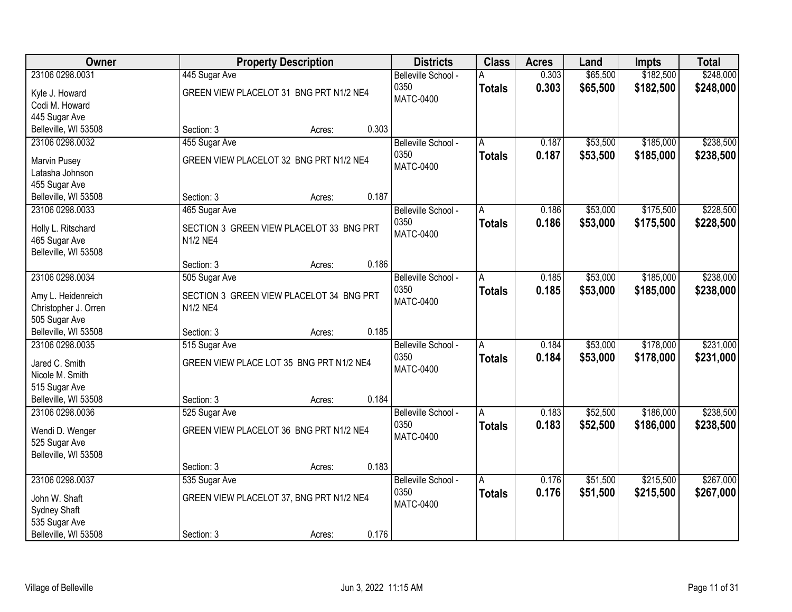| Owner                                 |               | <b>Property Description</b>              |       |                     | <b>Class</b>  | <b>Acres</b> | Land     | <b>Impts</b> | <b>Total</b> |
|---------------------------------------|---------------|------------------------------------------|-------|---------------------|---------------|--------------|----------|--------------|--------------|
| 23106 0298.0031                       | 445 Sugar Ave |                                          |       | Belleville School - | Α             | 0.303        | \$65,500 | \$182,500    | \$248,000    |
| Kyle J. Howard                        |               | GREEN VIEW PLACELOT 31 BNG PRT N1/2 NE4  |       | 0350                | <b>Totals</b> | 0.303        | \$65,500 | \$182,500    | \$248,000    |
| Codi M. Howard                        |               |                                          |       | <b>MATC-0400</b>    |               |              |          |              |              |
| 445 Sugar Ave                         |               |                                          |       |                     |               |              |          |              |              |
| Belleville, WI 53508                  | Section: 3    | Acres:                                   | 0.303 |                     |               |              |          |              |              |
| 23106 0298.0032                       | 455 Sugar Ave |                                          |       | Belleville School - | A             | 0.187        | \$53,500 | \$185,000    | \$238,500    |
|                                       |               | GREEN VIEW PLACELOT 32 BNG PRT N1/2 NE4  |       | 0350                | <b>Totals</b> | 0.187        | \$53,500 | \$185,000    | \$238,500    |
| Marvin Pusey<br>Latasha Johnson       |               |                                          |       | <b>MATC-0400</b>    |               |              |          |              |              |
| 455 Sugar Ave                         |               |                                          |       |                     |               |              |          |              |              |
| Belleville, WI 53508                  | Section: 3    | Acres:                                   | 0.187 |                     |               |              |          |              |              |
| 23106 0298.0033                       | 465 Sugar Ave |                                          |       | Belleville School - | Α             | 0.186        | \$53,000 | \$175,500    | \$228,500    |
|                                       |               |                                          |       | 0350                |               | 0.186        | \$53,000 | \$175,500    | \$228,500    |
| Holly L. Ritschard                    |               | SECTION 3 GREEN VIEW PLACELOT 33 BNG PRT |       | <b>MATC-0400</b>    | <b>Totals</b> |              |          |              |              |
| 465 Sugar Ave                         | N1/2 NE4      |                                          |       |                     |               |              |          |              |              |
| Belleville, WI 53508                  |               |                                          |       |                     |               |              |          |              |              |
|                                       | Section: 3    | Acres:                                   | 0.186 |                     |               |              |          |              |              |
| 23106 0298.0034                       | 505 Sugar Ave |                                          |       | Belleville School - | Α             | 0.185        | \$53,000 | \$185,000    | \$238,000    |
| Amy L. Heidenreich                    |               | SECTION 3 GREEN VIEW PLACELOT 34 BNG PRT |       | 0350                | <b>Totals</b> | 0.185        | \$53,000 | \$185,000    | \$238,000    |
| Christopher J. Orren                  | N1/2 NE4      |                                          |       | <b>MATC-0400</b>    |               |              |          |              |              |
| 505 Sugar Ave                         |               |                                          |       |                     |               |              |          |              |              |
| Belleville, WI 53508                  | Section: 3    | Acres:                                   | 0.185 |                     |               |              |          |              |              |
| 23106 0298.0035                       | 515 Sugar Ave |                                          |       | Belleville School - | A             | 0.184        | \$53,000 | \$178,000    | \$231,000    |
|                                       |               |                                          |       | 0350                | <b>Totals</b> | 0.184        | \$53,000 | \$178,000    | \$231,000    |
| Jared C. Smith                        |               | GREEN VIEW PLACE LOT 35 BNG PRT N1/2 NE4 |       | <b>MATC-0400</b>    |               |              |          |              |              |
| Nicole M. Smith                       |               |                                          |       |                     |               |              |          |              |              |
| 515 Sugar Ave<br>Belleville, WI 53508 | Section: 3    |                                          | 0.184 |                     |               |              |          |              |              |
| 23106 0298.0036                       |               | Acres:                                   |       | Belleville School - | A             | 0.183        | \$52,500 | \$186,000    | \$238,500    |
|                                       | 525 Sugar Ave |                                          |       | 0350                |               |              |          |              |              |
| Wendi D. Wenger                       |               | GREEN VIEW PLACELOT 36 BNG PRT N1/2 NE4  |       | <b>MATC-0400</b>    | <b>Totals</b> | 0.183        | \$52,500 | \$186,000    | \$238,500    |
| 525 Sugar Ave                         |               |                                          |       |                     |               |              |          |              |              |
| Belleville, WI 53508                  |               |                                          |       |                     |               |              |          |              |              |
|                                       | Section: 3    | Acres:                                   | 0.183 |                     |               |              |          |              |              |
| 23106 0298.0037                       | 535 Sugar Ave |                                          |       | Belleville School - | A             | 0.176        | \$51,500 | \$215,500    | \$267,000    |
| John W. Shaft                         |               | GREEN VIEW PLACELOT 37, BNG PRT N1/2 NE4 |       | 0350                | <b>Totals</b> | 0.176        | \$51,500 | \$215,500    | \$267,000    |
| <b>Sydney Shaft</b>                   |               |                                          |       | <b>MATC-0400</b>    |               |              |          |              |              |
| 535 Sugar Ave                         |               |                                          |       |                     |               |              |          |              |              |
| Belleville, WI 53508                  | Section: 3    | Acres:                                   | 0.176 |                     |               |              |          |              |              |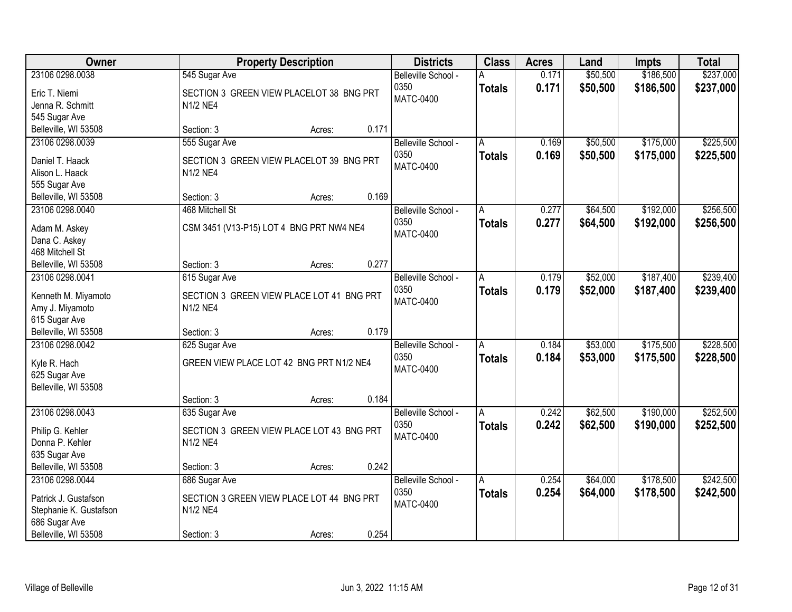| Owner                                 |                                           | <b>Property Description</b> |       |                     | <b>Class</b>  | <b>Acres</b> | Land     | <b>Impts</b> | <b>Total</b> |
|---------------------------------------|-------------------------------------------|-----------------------------|-------|---------------------|---------------|--------------|----------|--------------|--------------|
| 23106 0298.0038                       | 545 Sugar Ave                             |                             |       | Belleville School - | Α             | 0.171        | \$50,500 | \$186,500    | \$237,000    |
| Eric T. Niemi                         | SECTION 3 GREEN VIEW PLACELOT 38 BNG PRT  |                             |       | 0350                | <b>Totals</b> | 0.171        | \$50,500 | \$186,500    | \$237,000    |
| Jenna R. Schmitt                      | N1/2 NE4                                  |                             |       | <b>MATC-0400</b>    |               |              |          |              |              |
| 545 Sugar Ave                         |                                           |                             |       |                     |               |              |          |              |              |
| Belleville, WI 53508                  | Section: 3                                | Acres:                      | 0.171 |                     |               |              |          |              |              |
| 23106 0298.0039                       | 555 Sugar Ave                             |                             |       | Belleville School - | A             | 0.169        | \$50,500 | \$175,000    | \$225,500    |
|                                       |                                           |                             |       | 0350                | <b>Totals</b> | 0.169        | \$50,500 | \$175,000    | \$225,500    |
| Daniel T. Haack                       | SECTION 3 GREEN VIEW PLACELOT 39 BNG PRT  |                             |       | <b>MATC-0400</b>    |               |              |          |              |              |
| Alison L. Haack                       | N1/2 NE4                                  |                             |       |                     |               |              |          |              |              |
| 555 Sugar Ave<br>Belleville, WI 53508 | Section: 3                                | Acres:                      | 0.169 |                     |               |              |          |              |              |
| 23106 0298.0040                       | 468 Mitchell St                           |                             |       | Belleville School - |               | 0.277        | \$64,500 | \$192,000    | \$256,500    |
|                                       |                                           |                             |       | 0350                | А             |              |          |              |              |
| Adam M. Askey                         | CSM 3451 (V13-P15) LOT 4 BNG PRT NW4 NE4  |                             |       | <b>MATC-0400</b>    | <b>Totals</b> | 0.277        | \$64,500 | \$192,000    | \$256,500    |
| Dana C. Askey                         |                                           |                             |       |                     |               |              |          |              |              |
| 468 Mitchell St                       |                                           |                             |       |                     |               |              |          |              |              |
| Belleville, WI 53508                  | Section: 3                                | Acres:                      | 0.277 |                     |               |              |          |              |              |
| 23106 0298.0041                       | 615 Sugar Ave                             |                             |       | Belleville School - | Α             | 0.179        | \$52,000 | \$187,400    | \$239,400    |
| Kenneth M. Miyamoto                   | SECTION 3 GREEN VIEW PLACE LOT 41 BNG PRT |                             |       | 0350                | <b>Totals</b> | 0.179        | \$52,000 | \$187,400    | \$239,400    |
| Amy J. Miyamoto                       | N1/2 NE4                                  |                             |       | <b>MATC-0400</b>    |               |              |          |              |              |
| 615 Sugar Ave                         |                                           |                             |       |                     |               |              |          |              |              |
| Belleville, WI 53508                  | Section: 3                                | Acres:                      | 0.179 |                     |               |              |          |              |              |
| 23106 0298.0042                       | 625 Sugar Ave                             |                             |       | Belleville School - | Α             | 0.184        | \$53,000 | \$175,500    | \$228,500    |
|                                       |                                           |                             |       | 0350                |               | 0.184        |          |              |              |
| Kyle R. Hach                          | GREEN VIEW PLACE LOT 42 BNG PRT N1/2 NE4  |                             |       | <b>MATC-0400</b>    | <b>Totals</b> |              | \$53,000 | \$175,500    | \$228,500    |
| 625 Sugar Ave                         |                                           |                             |       |                     |               |              |          |              |              |
| Belleville, WI 53508                  |                                           |                             |       |                     |               |              |          |              |              |
|                                       | Section: 3                                | Acres:                      | 0.184 |                     |               |              |          |              |              |
| 23106 0298.0043                       | 635 Sugar Ave                             |                             |       | Belleville School - | A             | 0.242        | \$62,500 | \$190,000    | \$252,500    |
| Philip G. Kehler                      | SECTION 3 GREEN VIEW PLACE LOT 43 BNG PRT |                             |       | 0350                | <b>Totals</b> | 0.242        | \$62,500 | \$190,000    | \$252,500    |
| Donna P. Kehler                       | N1/2 NE4                                  |                             |       | <b>MATC-0400</b>    |               |              |          |              |              |
| 635 Sugar Ave                         |                                           |                             |       |                     |               |              |          |              |              |
| Belleville, WI 53508                  | Section: 3                                | Acres:                      | 0.242 |                     |               |              |          |              |              |
| 23106 0298.0044                       | 686 Sugar Ave                             |                             |       | Belleville School - | A             | 0.254        | \$64,000 | \$178,500    | \$242,500    |
|                                       |                                           |                             |       | 0350                | <b>Totals</b> | 0.254        | \$64,000 | \$178,500    | \$242,500    |
| Patrick J. Gustafson                  | SECTION 3 GREEN VIEW PLACE LOT 44 BNG PRT |                             |       | <b>MATC-0400</b>    |               |              |          |              |              |
| Stephanie K. Gustafson                | N1/2 NE4                                  |                             |       |                     |               |              |          |              |              |
| 686 Sugar Ave                         |                                           |                             |       |                     |               |              |          |              |              |
| Belleville, WI 53508                  | Section: 3                                | Acres:                      | 0.254 |                     |               |              |          |              |              |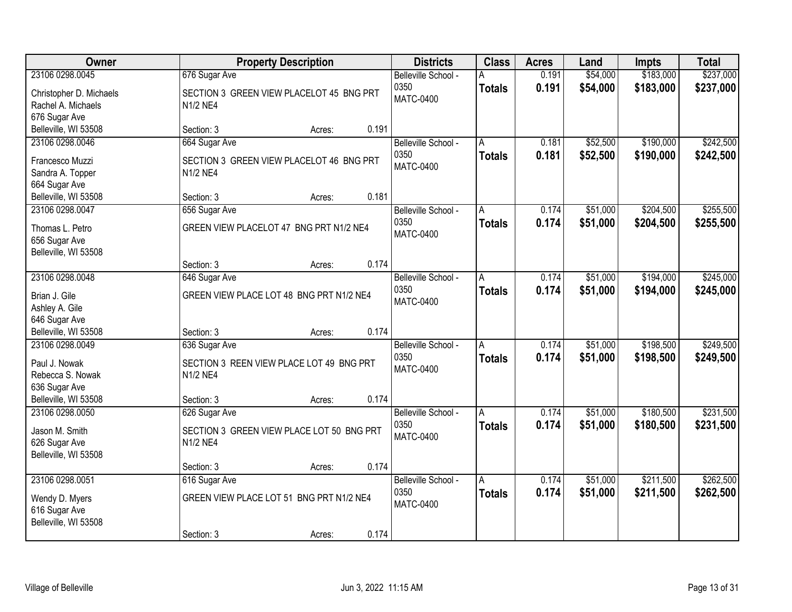| <b>Owner</b>                          |                                           | <b>Property Description</b> |       | <b>Districts</b>    | <b>Class</b>  | <b>Acres</b> | Land     | <b>Impts</b> | <b>Total</b> |
|---------------------------------------|-------------------------------------------|-----------------------------|-------|---------------------|---------------|--------------|----------|--------------|--------------|
| 23106 0298.0045                       | 676 Sugar Ave                             |                             |       | Belleville School - | А             | 0.191        | \$54,000 | \$183,000    | \$237,000    |
| Christopher D. Michaels               | SECTION 3 GREEN VIEW PLACELOT 45 BNG PRT  |                             |       | 0350                | <b>Totals</b> | 0.191        | \$54,000 | \$183,000    | \$237,000    |
| Rachel A. Michaels                    | N1/2 NE4                                  |                             |       | <b>MATC-0400</b>    |               |              |          |              |              |
| 676 Sugar Ave                         |                                           |                             |       |                     |               |              |          |              |              |
| Belleville, WI 53508                  | Section: 3                                | Acres:                      | 0.191 |                     |               |              |          |              |              |
| 23106 0298.0046                       | 664 Sugar Ave                             |                             |       | Belleville School - | A             | 0.181        | \$52,500 | \$190,000    | \$242,500    |
| Francesco Muzzi                       | SECTION 3 GREEN VIEW PLACELOT 46 BNG PRT  |                             |       | 0350                | <b>Totals</b> | 0.181        | \$52,500 | \$190,000    | \$242,500    |
| Sandra A. Topper                      | N1/2 NE4                                  |                             |       | <b>MATC-0400</b>    |               |              |          |              |              |
| 664 Sugar Ave                         |                                           |                             |       |                     |               |              |          |              |              |
| Belleville, WI 53508                  | Section: 3                                | Acres:                      | 0.181 |                     |               |              |          |              |              |
| 23106 0298.0047                       | 656 Sugar Ave                             |                             |       | Belleville School - | A             | 0.174        | \$51,000 | \$204,500    | \$255,500    |
| Thomas L. Petro                       | GREEN VIEW PLACELOT 47 BNG PRT N1/2 NE4   |                             |       | 0350                | <b>Totals</b> | 0.174        | \$51,000 | \$204,500    | \$255,500    |
| 656 Sugar Ave                         |                                           |                             |       | <b>MATC-0400</b>    |               |              |          |              |              |
| Belleville, WI 53508                  |                                           |                             |       |                     |               |              |          |              |              |
|                                       | Section: 3                                | Acres:                      | 0.174 |                     |               |              |          |              |              |
| 23106 0298.0048                       | 646 Sugar Ave                             |                             |       | Belleville School - | A             | 0.174        | \$51,000 | \$194,000    | \$245,000    |
|                                       | GREEN VIEW PLACE LOT 48 BNG PRT N1/2 NE4  |                             |       | 0350                | <b>Totals</b> | 0.174        | \$51,000 | \$194,000    | \$245,000    |
| Brian J. Gile<br>Ashley A. Gile       |                                           |                             |       | <b>MATC-0400</b>    |               |              |          |              |              |
| 646 Sugar Ave                         |                                           |                             |       |                     |               |              |          |              |              |
| Belleville, WI 53508                  | Section: 3                                | Acres:                      | 0.174 |                     |               |              |          |              |              |
| 23106 0298.0049                       | 636 Sugar Ave                             |                             |       | Belleville School - |               | 0.174        | \$51,000 | \$198,500    | \$249,500    |
|                                       |                                           |                             |       | 0350                | <b>Totals</b> | 0.174        | \$51,000 | \$198,500    | \$249,500    |
| Paul J. Nowak                         | SECTION 3 REEN VIEW PLACE LOT 49 BNG PRT  |                             |       | <b>MATC-0400</b>    |               |              |          |              |              |
| Rebecca S. Nowak                      | N1/2 NE4                                  |                             |       |                     |               |              |          |              |              |
| 636 Sugar Ave<br>Belleville, WI 53508 | Section: 3                                | Acres:                      | 0.174 |                     |               |              |          |              |              |
| 23106 0298.0050                       | 626 Sugar Ave                             |                             |       | Belleville School - | A             | 0.174        | \$51,000 | \$180,500    | \$231,500    |
|                                       |                                           |                             |       | 0350                | <b>Totals</b> | 0.174        | \$51,000 | \$180,500    | \$231,500    |
| Jason M. Smith                        | SECTION 3 GREEN VIEW PLACE LOT 50 BNG PRT |                             |       | <b>MATC-0400</b>    |               |              |          |              |              |
| 626 Sugar Ave                         | N1/2 NE4                                  |                             |       |                     |               |              |          |              |              |
| Belleville, WI 53508                  |                                           |                             | 0.174 |                     |               |              |          |              |              |
| 23106 0298.0051                       | Section: 3<br>616 Sugar Ave               | Acres:                      |       | Belleville School - | A             | 0.174        | \$51,000 | \$211,500    | \$262,500    |
|                                       |                                           |                             |       | 0350                | <b>Totals</b> | 0.174        | \$51,000 | \$211,500    | \$262,500    |
| Wendy D. Myers                        | GREEN VIEW PLACE LOT 51 BNG PRT N1/2 NE4  |                             |       | <b>MATC-0400</b>    |               |              |          |              |              |
| 616 Sugar Ave                         |                                           |                             |       |                     |               |              |          |              |              |
| Belleville, WI 53508                  |                                           |                             |       |                     |               |              |          |              |              |
|                                       | Section: 3                                | Acres:                      | 0.174 |                     |               |              |          |              |              |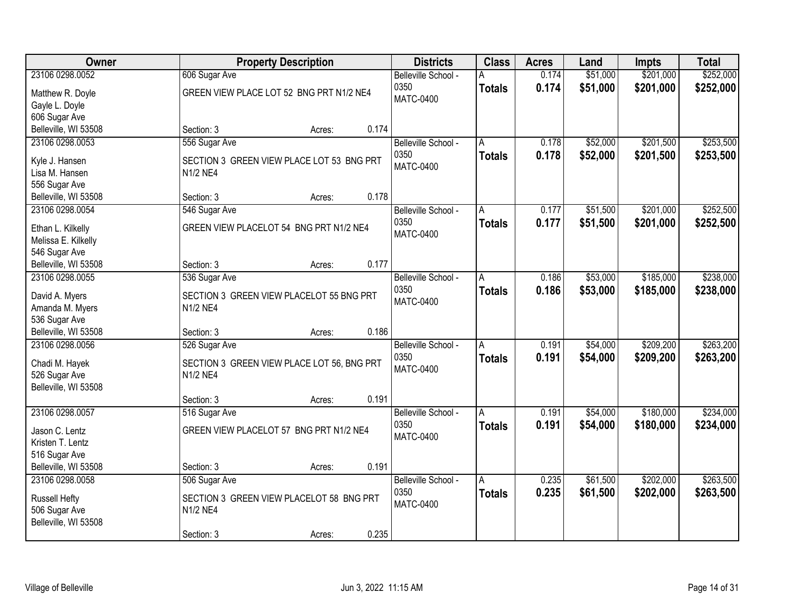| Owner                                 |                                                        | <b>Property Description</b> |       | <b>Districts</b>    | <b>Class</b>  | <b>Acres</b> | Land     | <b>Impts</b> | <b>Total</b> |
|---------------------------------------|--------------------------------------------------------|-----------------------------|-------|---------------------|---------------|--------------|----------|--------------|--------------|
| 23106 0298.0052                       | 606 Sugar Ave                                          |                             |       | Belleville School - | Α             | 0.174        | \$51,000 | \$201,000    | \$252,000    |
| Matthew R. Doyle                      | GREEN VIEW PLACE LOT 52 BNG PRT N1/2 NE4               |                             |       | 0350                | <b>Totals</b> | 0.174        | \$51,000 | \$201,000    | \$252,000    |
| Gayle L. Doyle                        |                                                        |                             |       | <b>MATC-0400</b>    |               |              |          |              |              |
| 606 Sugar Ave                         |                                                        |                             |       |                     |               |              |          |              |              |
| Belleville, WI 53508                  | Section: 3                                             | Acres:                      | 0.174 |                     |               |              |          |              |              |
| 23106 0298.0053                       | 556 Sugar Ave                                          |                             |       | Belleville School - | A             | 0.178        | \$52,000 | \$201,500    | \$253,500    |
|                                       |                                                        |                             |       | 0350                | <b>Totals</b> | 0.178        | \$52,000 | \$201,500    | \$253,500    |
| Kyle J. Hansen<br>Lisa M. Hansen      | SECTION 3 GREEN VIEW PLACE LOT 53 BNG PRT<br>N1/2 NE4  |                             |       | <b>MATC-0400</b>    |               |              |          |              |              |
| 556 Sugar Ave                         |                                                        |                             |       |                     |               |              |          |              |              |
| Belleville, WI 53508                  | Section: 3                                             | Acres:                      | 0.178 |                     |               |              |          |              |              |
| 23106 0298.0054                       | 546 Sugar Ave                                          |                             |       | Belleville School - | Α             | 0.177        | \$51,500 | \$201,000    | \$252,500    |
|                                       |                                                        |                             |       | 0350                | <b>Totals</b> | 0.177        | \$51,500 | \$201,000    | \$252,500    |
| Ethan L. Kilkelly                     | GREEN VIEW PLACELOT 54 BNG PRT N1/2 NE4                |                             |       | <b>MATC-0400</b>    |               |              |          |              |              |
| Melissa E. Kilkelly                   |                                                        |                             |       |                     |               |              |          |              |              |
| 546 Sugar Ave                         |                                                        |                             |       |                     |               |              |          |              |              |
| Belleville, WI 53508                  | Section: 3                                             | Acres:                      | 0.177 |                     |               |              |          |              |              |
| 23106 0298.0055                       | 536 Sugar Ave                                          |                             |       | Belleville School - | Α             | 0.186        | \$53,000 | \$185,000    | \$238,000    |
| David A. Myers                        | SECTION 3 GREEN VIEW PLACELOT 55 BNG PRT               |                             |       | 0350                | <b>Totals</b> | 0.186        | \$53,000 | \$185,000    | \$238,000    |
| Amanda M. Myers                       | N1/2 NE4                                               |                             |       | <b>MATC-0400</b>    |               |              |          |              |              |
| 536 Sugar Ave                         |                                                        |                             |       |                     |               |              |          |              |              |
| Belleville, WI 53508                  | Section: 3                                             | Acres:                      | 0.186 |                     |               |              |          |              |              |
| 23106 0298.0056                       | 526 Sugar Ave                                          |                             |       | Belleville School - | A             | 0.191        | \$54,000 | \$209,200    | \$263,200    |
|                                       |                                                        |                             |       | 0350                | <b>Totals</b> | 0.191        | \$54,000 | \$209,200    | \$263,200    |
| Chadi M. Hayek                        | SECTION 3 GREEN VIEW PLACE LOT 56, BNG PRT<br>N1/2 NE4 |                             |       | <b>MATC-0400</b>    |               |              |          |              |              |
| 526 Sugar Ave<br>Belleville, WI 53508 |                                                        |                             |       |                     |               |              |          |              |              |
|                                       | Section: 3                                             | Acres:                      | 0.191 |                     |               |              |          |              |              |
| 23106 0298.0057                       | 516 Sugar Ave                                          |                             |       | Belleville School - | A             | 0.191        | \$54,000 | \$180,000    | \$234,000    |
|                                       |                                                        |                             |       | 0350                | <b>Totals</b> | 0.191        | \$54,000 | \$180,000    | \$234,000    |
| Jason C. Lentz                        | GREEN VIEW PLACELOT 57 BNG PRT N1/2 NE4                |                             |       | <b>MATC-0400</b>    |               |              |          |              |              |
| Kristen T. Lentz                      |                                                        |                             |       |                     |               |              |          |              |              |
| 516 Sugar Ave                         |                                                        |                             |       |                     |               |              |          |              |              |
| Belleville, WI 53508                  | Section: 3                                             | Acres:                      | 0.191 |                     |               |              |          |              |              |
| 23106 0298.0058                       | 506 Sugar Ave                                          |                             |       | Belleville School - | A             | 0.235        | \$61,500 | \$202,000    | \$263,500    |
| <b>Russell Hefty</b>                  | SECTION 3 GREEN VIEW PLACELOT 58 BNG PRT               |                             |       | 0350                | <b>Totals</b> | 0.235        | \$61,500 | \$202,000    | \$263,500    |
| 506 Sugar Ave                         | N1/2 NE4                                               |                             |       | <b>MATC-0400</b>    |               |              |          |              |              |
| Belleville, WI 53508                  |                                                        |                             |       |                     |               |              |          |              |              |
|                                       | Section: 3                                             | Acres:                      | 0.235 |                     |               |              |          |              |              |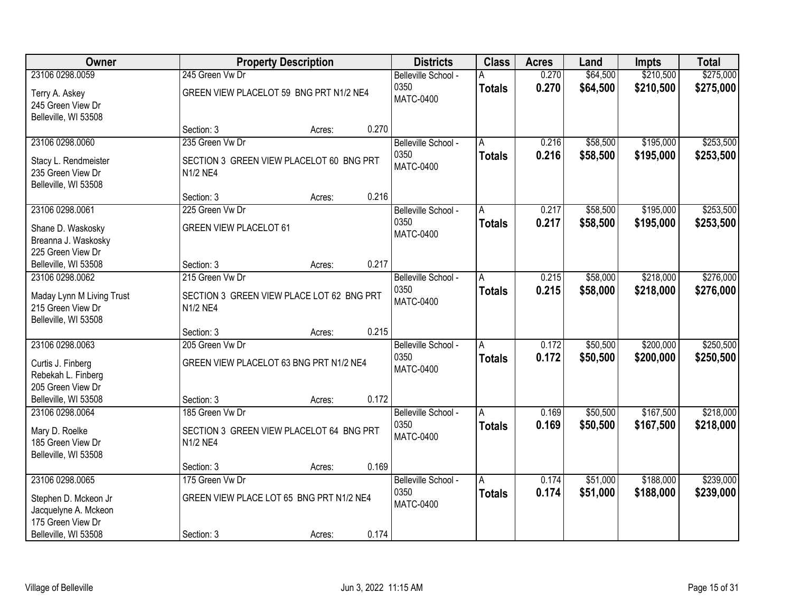| Owner                                                                                                        |                                                                           | <b>Property Description</b> |       |                                                 |                    | <b>Acres</b>   | Land                 | <b>Impts</b>           | <b>Total</b>           |
|--------------------------------------------------------------------------------------------------------------|---------------------------------------------------------------------------|-----------------------------|-------|-------------------------------------------------|--------------------|----------------|----------------------|------------------------|------------------------|
| 23106 0298.0059<br>Terry A. Askey<br>245 Green View Dr<br>Belleville, WI 53508                               | 245 Green Vw Dr<br>GREEN VIEW PLACELOT 59 BNG PRT N1/2 NE4                |                             |       | Belleville School -<br>0350<br>MATC-0400        | Α<br><b>Totals</b> | 0.270<br>0.270 | \$64,500<br>\$64,500 | \$210,500<br>\$210,500 | \$275,000<br>\$275,000 |
|                                                                                                              | Section: 3                                                                | Acres:                      | 0.270 |                                                 |                    |                |                      |                        |                        |
| 23106 0298.0060<br>Stacy L. Rendmeister<br>235 Green View Dr<br>Belleville, WI 53508                         | 235 Green Vw Dr<br>SECTION 3 GREEN VIEW PLACELOT 60 BNG PRT<br>N1/2 NE4   |                             |       | Belleville School -<br>0350<br><b>MATC-0400</b> | A<br><b>Totals</b> | 0.216<br>0.216 | \$58,500<br>\$58,500 | \$195,000<br>\$195,000 | \$253,500<br>\$253,500 |
|                                                                                                              | Section: 3                                                                | Acres:                      | 0.216 |                                                 |                    |                |                      |                        |                        |
| 23106 0298.0061<br>Shane D. Waskosky<br>Breanna J. Waskosky<br>225 Green View Dr                             | 225 Green Vw Dr<br><b>GREEN VIEW PLACELOT 61</b>                          |                             |       | Belleville School -<br>0350<br><b>MATC-0400</b> | Α<br><b>Totals</b> | 0.217<br>0.217 | \$58,500<br>\$58,500 | \$195,000<br>\$195,000 | \$253,500<br>\$253,500 |
| Belleville, WI 53508                                                                                         | Section: 3                                                                | Acres:                      | 0.217 |                                                 |                    |                |                      |                        |                        |
| 23106 0298.0062<br>Maday Lynn M Living Trust<br>215 Green View Dr<br>Belleville, WI 53508                    | 215 Green Vw Dr<br>SECTION 3 GREEN VIEW PLACE LOT 62 BNG PRT<br>N1/2 NE4  |                             |       | Belleville School -<br>0350<br><b>MATC-0400</b> | Α<br><b>Totals</b> | 0.215<br>0.215 | \$58,000<br>\$58,000 | \$218,000<br>\$218,000 | \$276,000<br>\$276,000 |
|                                                                                                              | Section: 3                                                                | Acres:                      | 0.215 |                                                 |                    |                |                      |                        |                        |
| 23106 0298.0063<br>Curtis J. Finberg<br>Rebekah L. Finberg<br>205 Green View Dr<br>Belleville, WI 53508      | 205 Green Vw Dr<br>GREEN VIEW PLACELOT 63 BNG PRT N1/2 NE4<br>Section: 3  | Acres:                      | 0.172 | Belleville School -<br>0350<br><b>MATC-0400</b> | A<br><b>Totals</b> | 0.172<br>0.172 | \$50,500<br>\$50,500 | \$200,000<br>\$200,000 | \$250,500<br>\$250,500 |
| 23106 0298.0064                                                                                              | 185 Green Vw Dr                                                           |                             |       | Belleville School -                             | A                  | 0.169          | \$50,500             | \$167,500              | \$218,000              |
| Mary D. Roelke<br>185 Green View Dr<br>Belleville, WI 53508                                                  | SECTION 3 GREEN VIEW PLACELOT 64 BNG PRT<br>N1/2 NE4                      |                             |       | 0350<br><b>MATC-0400</b>                        | <b>Totals</b>      | 0.169          | \$50,500             | \$167,500              | \$218,000              |
|                                                                                                              | Section: 3                                                                | Acres:                      | 0.169 |                                                 |                    |                |                      |                        |                        |
| 23106 0298.0065<br>Stephen D. Mckeon Jr<br>Jacquelyne A. Mckeon<br>175 Green View Dr<br>Belleville, WI 53508 | 175 Green Vw Dr<br>GREEN VIEW PLACE LOT 65 BNG PRT N1/2 NE4<br>Section: 3 | Acres:                      | 0.174 | Belleville School -<br>0350<br><b>MATC-0400</b> | A<br><b>Totals</b> | 0.174<br>0.174 | \$51,000<br>\$51,000 | \$188,000<br>\$188,000 | \$239,000<br>\$239,000 |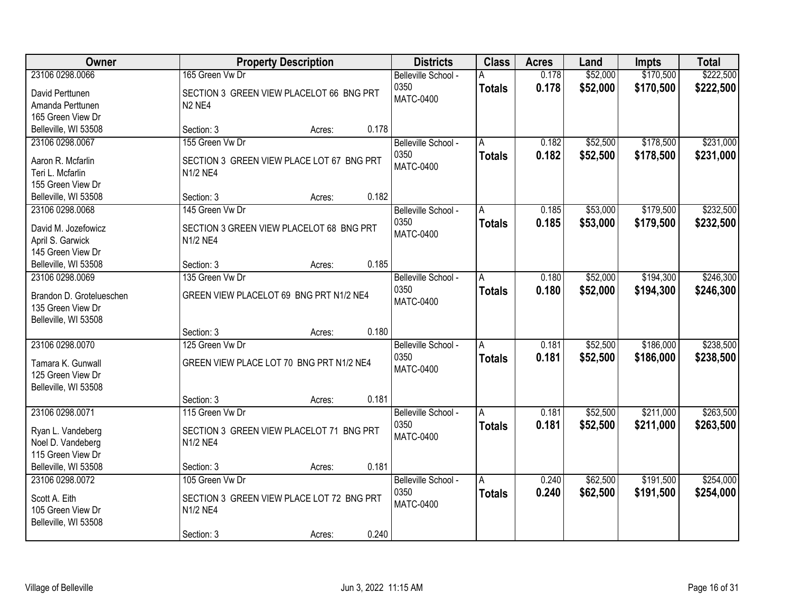| Owner                    | <b>Property Description</b>               |       | <b>Districts</b>    | <b>Class</b>  | <b>Acres</b> | Land     | <b>Impts</b> | <b>Total</b> |
|--------------------------|-------------------------------------------|-------|---------------------|---------------|--------------|----------|--------------|--------------|
| 23106 0298.0066          | 165 Green Vw Dr                           |       | Belleville School - | Α             | 0.178        | \$52,000 | \$170,500    | \$222,500    |
| David Perttunen          | SECTION 3 GREEN VIEW PLACELOT 66 BNG PRT  |       | 0350                | <b>Totals</b> | 0.178        | \$52,000 | \$170,500    | \$222,500    |
| Amanda Perttunen         | <b>N2 NE4</b>                             |       | <b>MATC-0400</b>    |               |              |          |              |              |
| 165 Green View Dr        |                                           |       |                     |               |              |          |              |              |
| Belleville, WI 53508     | Section: 3<br>Acres:                      | 0.178 |                     |               |              |          |              |              |
| 23106 0298.0067          | 155 Green Vw Dr                           |       | Belleville School - | A             | 0.182        | \$52,500 | \$178,500    | \$231,000    |
| Aaron R. Mcfarlin        | SECTION 3 GREEN VIEW PLACE LOT 67 BNG PRT |       | 0350                | <b>Totals</b> | 0.182        | \$52,500 | \$178,500    | \$231,000    |
| Teri L. Mcfarlin         | N1/2 NE4                                  |       | <b>MATC-0400</b>    |               |              |          |              |              |
| 155 Green View Dr        |                                           |       |                     |               |              |          |              |              |
| Belleville, WI 53508     | Section: 3<br>Acres:                      | 0.182 |                     |               |              |          |              |              |
| 23106 0298.0068          | 145 Green Vw Dr                           |       | Belleville School - | A             | 0.185        | \$53,000 | \$179,500    | \$232,500    |
|                          |                                           |       | 0350                | <b>Totals</b> | 0.185        | \$53,000 | \$179,500    | \$232,500    |
| David M. Jozefowicz      | SECTION 3 GREEN VIEW PLACELOT 68 BNG PRT  |       | <b>MATC-0400</b>    |               |              |          |              |              |
| April S. Garwick         | N1/2 NE4                                  |       |                     |               |              |          |              |              |
| 145 Green View Dr        |                                           |       |                     |               |              |          |              |              |
| Belleville, WI 53508     | Section: 3<br>Acres:                      | 0.185 |                     |               |              |          |              |              |
| 23106 0298.0069          | 135 Green Vw Dr                           |       | Belleville School - | A             | 0.180        | \$52,000 | \$194,300    | \$246,300    |
| Brandon D. Grotelueschen | GREEN VIEW PLACELOT 69 BNG PRT N1/2 NE4   |       | 0350                | <b>Totals</b> | 0.180        | \$52,000 | \$194,300    | \$246,300    |
| 135 Green View Dr        |                                           |       | MATC-0400           |               |              |          |              |              |
| Belleville, WI 53508     |                                           |       |                     |               |              |          |              |              |
|                          | Section: 3<br>Acres:                      | 0.180 |                     |               |              |          |              |              |
| 23106 0298.0070          | 125 Green Vw Dr                           |       | Belleville School - | A             | 0.181        | \$52,500 | \$186,000    | \$238,500    |
| Tamara K. Gunwall        | GREEN VIEW PLACE LOT 70 BNG PRT N1/2 NE4  |       | 0350                | <b>Totals</b> | 0.181        | \$52,500 | \$186,000    | \$238,500    |
| 125 Green View Dr        |                                           |       | <b>MATC-0400</b>    |               |              |          |              |              |
| Belleville, WI 53508     |                                           |       |                     |               |              |          |              |              |
|                          | Section: 3<br>Acres:                      | 0.181 |                     |               |              |          |              |              |
| 23106 0298.0071          | 115 Green Vw Dr                           |       | Belleville School - | A             | 0.181        | \$52,500 | \$211,000    | \$263,500    |
|                          |                                           |       | 0350                | <b>Totals</b> | 0.181        | \$52,500 | \$211,000    | \$263,500    |
| Ryan L. Vandeberg        | SECTION 3 GREEN VIEW PLACELOT 71 BNG PRT  |       | <b>MATC-0400</b>    |               |              |          |              |              |
| Noel D. Vandeberg        | N1/2 NE4                                  |       |                     |               |              |          |              |              |
| 115 Green View Dr        |                                           |       |                     |               |              |          |              |              |
| Belleville, WI 53508     | Section: 3<br>Acres:                      | 0.181 |                     |               |              |          |              |              |
| 23106 0298.0072          | 105 Green Vw Dr                           |       | Belleville School - | A             | 0.240        | \$62,500 | \$191,500    | \$254,000    |
| Scott A. Eith            | SECTION 3 GREEN VIEW PLACE LOT 72 BNG PRT |       | 0350                | <b>Totals</b> | 0.240        | \$62,500 | \$191,500    | \$254,000    |
| 105 Green View Dr        | N1/2 NE4                                  |       | <b>MATC-0400</b>    |               |              |          |              |              |
| Belleville, WI 53508     |                                           |       |                     |               |              |          |              |              |
|                          | Section: 3<br>Acres:                      | 0.240 |                     |               |              |          |              |              |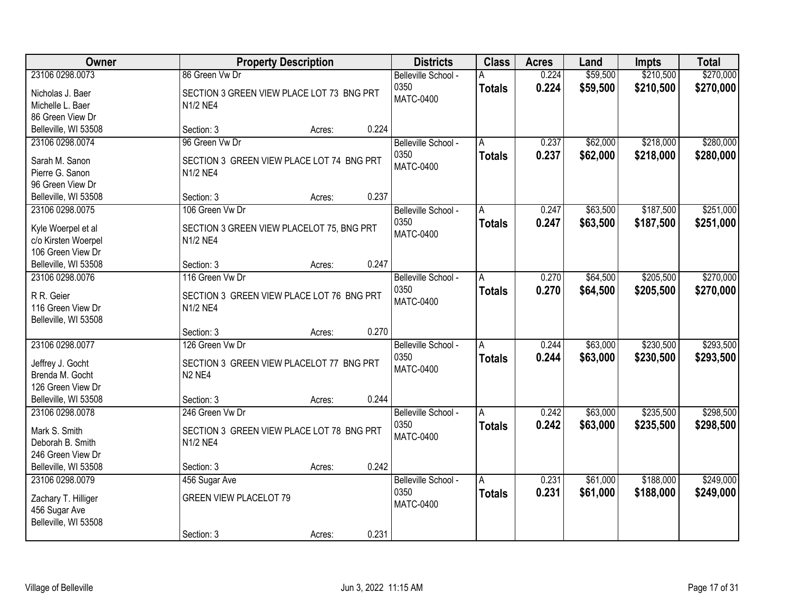| Owner                |                                           | <b>Property Description</b> |       | <b>Districts</b>         | <b>Class</b>  | <b>Acres</b> | Land     | <b>Impts</b> | <b>Total</b> |
|----------------------|-------------------------------------------|-----------------------------|-------|--------------------------|---------------|--------------|----------|--------------|--------------|
| 23106 0298.0073      | 86 Green Vw Dr                            |                             |       | Belleville School -      | Α             | 0.224        | \$59,500 | \$210,500    | \$270,000    |
| Nicholas J. Baer     | SECTION 3 GREEN VIEW PLACE LOT 73 BNG PRT |                             |       | 0350<br><b>MATC-0400</b> | <b>Totals</b> | 0.224        | \$59,500 | \$210,500    | \$270,000    |
| Michelle L. Baer     | N1/2 NE4                                  |                             |       |                          |               |              |          |              |              |
| 86 Green View Dr     |                                           |                             |       |                          |               |              |          |              |              |
| Belleville, WI 53508 | Section: 3                                | Acres:                      | 0.224 |                          |               |              |          |              |              |
| 23106 0298.0074      | 96 Green Vw Dr                            |                             |       | Belleville School -      | A             | 0.237        | \$62,000 | \$218,000    | \$280,000    |
| Sarah M. Sanon       | SECTION 3 GREEN VIEW PLACE LOT 74 BNG PRT |                             |       | 0350                     | <b>Totals</b> | 0.237        | \$62,000 | \$218,000    | \$280,000    |
| Pierre G. Sanon      | N1/2 NE4                                  |                             |       | <b>MATC-0400</b>         |               |              |          |              |              |
| 96 Green View Dr     |                                           |                             |       |                          |               |              |          |              |              |
| Belleville, WI 53508 | Section: 3                                | Acres:                      | 0.237 |                          |               |              |          |              |              |
| 23106 0298.0075      | 106 Green Vw Dr                           |                             |       | Belleville School -      | A             | 0.247        | \$63,500 | \$187,500    | \$251,000    |
| Kyle Woerpel et al   | SECTION 3 GREEN VIEW PLACELOT 75, BNG PRT |                             |       | 0350                     | <b>Totals</b> | 0.247        | \$63,500 | \$187,500    | \$251,000    |
| c/o Kirsten Woerpel  | N1/2 NE4                                  |                             |       | <b>MATC-0400</b>         |               |              |          |              |              |
| 106 Green View Dr    |                                           |                             |       |                          |               |              |          |              |              |
| Belleville, WI 53508 | Section: 3                                | Acres:                      | 0.247 |                          |               |              |          |              |              |
| 23106 0298.0076      | 116 Green Vw Dr                           |                             |       | Belleville School -      | Α             | 0.270        | \$64,500 | \$205,500    | \$270,000    |
|                      |                                           |                             |       | 0350                     | <b>Totals</b> | 0.270        | \$64,500 | \$205,500    | \$270,000    |
| R R. Geier           | SECTION 3 GREEN VIEW PLACE LOT 76 BNG PRT |                             |       | MATC-0400                |               |              |          |              |              |
| 116 Green View Dr    | N1/2 NE4                                  |                             |       |                          |               |              |          |              |              |
| Belleville, WI 53508 |                                           |                             |       |                          |               |              |          |              |              |
|                      | Section: 3                                | Acres:                      | 0.270 |                          |               |              |          |              |              |
| 23106 0298.0077      | 126 Green Vw Dr                           |                             |       | Belleville School -      | A             | 0.244        | \$63,000 | \$230,500    | \$293,500    |
| Jeffrey J. Gocht     | SECTION 3 GREEN VIEW PLACELOT 77 BNG PRT  |                             |       | 0350                     | <b>Totals</b> | 0.244        | \$63,000 | \$230,500    | \$293,500    |
| Brenda M. Gocht      | <b>N2 NE4</b>                             |                             |       | <b>MATC-0400</b>         |               |              |          |              |              |
| 126 Green View Dr    |                                           |                             |       |                          |               |              |          |              |              |
| Belleville, WI 53508 | Section: 3                                | Acres:                      | 0.244 |                          |               |              |          |              |              |
| 23106 0298.0078      | 246 Green Vw Dr                           |                             |       | Belleville School -      | A             | 0.242        | \$63,000 | \$235,500    | \$298,500    |
| Mark S. Smith        | SECTION 3 GREEN VIEW PLACE LOT 78 BNG PRT |                             |       | 0350                     | <b>Totals</b> | 0.242        | \$63,000 | \$235,500    | \$298,500    |
| Deborah B. Smith     | N1/2 NE4                                  |                             |       | <b>MATC-0400</b>         |               |              |          |              |              |
| 246 Green View Dr    |                                           |                             |       |                          |               |              |          |              |              |
| Belleville, WI 53508 | Section: 3                                | Acres:                      | 0.242 |                          |               |              |          |              |              |
| 23106 0298.0079      | 456 Sugar Ave                             |                             |       | Belleville School -      | A             | 0.231        | \$61,000 | \$188,000    | \$249,000    |
|                      |                                           |                             |       | 0350                     | <b>Totals</b> | 0.231        | \$61,000 | \$188,000    | \$249,000    |
| Zachary T. Hilliger  | <b>GREEN VIEW PLACELOT 79</b>             |                             |       | <b>MATC-0400</b>         |               |              |          |              |              |
| 456 Sugar Ave        |                                           |                             |       |                          |               |              |          |              |              |
| Belleville, WI 53508 |                                           |                             |       |                          |               |              |          |              |              |
|                      | Section: 3                                | Acres:                      | 0.231 |                          |               |              |          |              |              |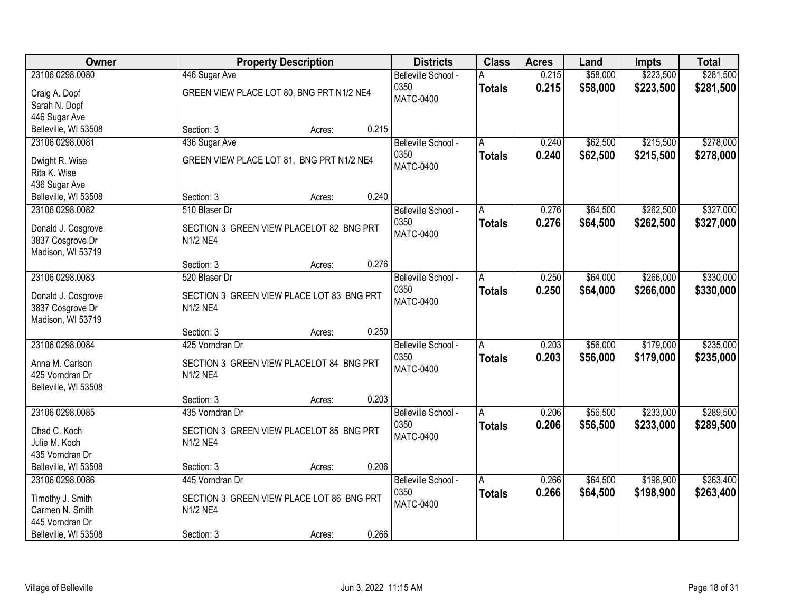| \$223,500<br>\$281,500<br>23106 0298.0080<br>446 Sugar Ave<br>0.215<br>\$58,000<br>Belleville School -<br>А<br>0.215<br>0350<br>\$58,000<br>\$223,500<br>\$281,500<br><b>Totals</b><br>GREEN VIEW PLACE LOT 80, BNG PRT N1/2 NE4<br>Craig A. Dopf<br><b>MATC-0400</b><br>Sarah N. Dopf<br>446 Sugar Ave<br>Belleville, WI 53508<br>0.215<br>Section: 3<br>Acres:<br>\$215,500<br>\$278,000<br>436 Sugar Ave<br>0.240<br>\$62,500<br>23106 0298.0081<br>Belleville School -<br>A<br>0350<br>0.240<br>\$62,500<br>\$215,500<br>\$278,000<br><b>Totals</b><br>GREEN VIEW PLACE LOT 81, BNG PRT N1/2 NE4<br>Dwight R. Wise<br><b>MATC-0400</b><br>Rita K. Wise<br>436 Sugar Ave<br>Section: 3<br>0.240<br>Belleville, WI 53508<br>Acres:<br>\$262,500<br>\$327,000<br>23106 0298.0082<br>510 Blaser Dr<br>Belleville School -<br>0.276<br>\$64,500<br>Α<br>0.276<br>0350<br>\$64,500<br>\$262,500<br>\$327,000<br><b>Totals</b><br>SECTION 3 GREEN VIEW PLACELOT 82 BNG PRT<br>Donald J. Cosgrove<br><b>MATC-0400</b><br>3837 Cosgrove Dr<br>N1/2 NE4<br>Madison, WI 53719<br>0.276<br>Section: 3<br>Acres:<br>23106 0298.0083<br>520 Blaser Dr<br>\$64,000<br>\$266,000<br>\$330,000<br>Belleville School -<br>0.250<br>A<br>0.250<br>0350<br>\$64,000<br>\$266,000<br>\$330,000<br><b>Totals</b><br>SECTION 3 GREEN VIEW PLACE LOT 83 BNG PRT<br>Donald J. Cosgrove<br><b>MATC-0400</b><br>3837 Cosgrove Dr<br>N1/2 NE4<br>Madison, WI 53719<br>0.250<br>Section: 3<br>Acres:<br>23106 0298.0084<br>\$56,000<br>\$179,000<br>\$235,000<br>425 Vorndran Dr<br>0.203<br>Belleville School -<br>A<br>0350<br>0.203<br>\$56,000<br>\$179,000<br>\$235,000<br><b>Totals</b><br>Anna M. Carlson<br>SECTION 3 GREEN VIEW PLACELOT 84 BNG PRT<br><b>MATC-0400</b><br>425 Vorndran Dr<br>N1/2 NE4<br>Belleville, WI 53508<br>0.203<br>Section: 3<br>Acres:<br>23106 0298.0085<br>\$56,500<br>\$233,000<br>\$289,500<br>435 Vorndran Dr<br>Belleville School -<br>0.206<br>A<br>0350<br>0.206<br>\$56,500<br>\$233,000<br>\$289,500<br><b>Totals</b><br>Chad C. Koch<br>SECTION 3 GREEN VIEW PLACELOT 85 BNG PRT<br><b>MATC-0400</b><br>Julie M. Koch<br>N1/2 NE4<br>435 Vorndran Dr<br>Belleville, WI 53508<br>0.206<br>Section: 3<br>Acres:<br>\$198,900<br>\$263,400<br>23106 0298.0086<br>445 Vorndran Dr<br>\$64,500<br>Belleville School -<br>0.266<br>Α<br>0.266<br>0350<br>\$198,900<br>\$64,500<br>\$263,400<br><b>Totals</b><br>SECTION 3 GREEN VIEW PLACE LOT 86 BNG PRT<br>Timothy J. Smith<br>MATC-0400<br>Carmen N. Smith<br>N1/2 NE4<br>445 Vorndran Dr | Owner                |            | <b>Property Description</b> |       | <b>Districts</b> | <b>Class</b> | <b>Acres</b> | Land | <b>Impts</b> | <b>Total</b> |
|------------------------------------------------------------------------------------------------------------------------------------------------------------------------------------------------------------------------------------------------------------------------------------------------------------------------------------------------------------------------------------------------------------------------------------------------------------------------------------------------------------------------------------------------------------------------------------------------------------------------------------------------------------------------------------------------------------------------------------------------------------------------------------------------------------------------------------------------------------------------------------------------------------------------------------------------------------------------------------------------------------------------------------------------------------------------------------------------------------------------------------------------------------------------------------------------------------------------------------------------------------------------------------------------------------------------------------------------------------------------------------------------------------------------------------------------------------------------------------------------------------------------------------------------------------------------------------------------------------------------------------------------------------------------------------------------------------------------------------------------------------------------------------------------------------------------------------------------------------------------------------------------------------------------------------------------------------------------------------------------------------------------------------------------------------------------------------------------------------------------------------------------------------------------------------------------------------------------------------------------------------------------------------------------------------------------------------------------------------------------------------------------------------------------------------------------------------------------------------------------------------------------------------------------------------|----------------------|------------|-----------------------------|-------|------------------|--------------|--------------|------|--------------|--------------|
|                                                                                                                                                                                                                                                                                                                                                                                                                                                                                                                                                                                                                                                                                                                                                                                                                                                                                                                                                                                                                                                                                                                                                                                                                                                                                                                                                                                                                                                                                                                                                                                                                                                                                                                                                                                                                                                                                                                                                                                                                                                                                                                                                                                                                                                                                                                                                                                                                                                                                                                                                            |                      |            |                             |       |                  |              |              |      |              |              |
|                                                                                                                                                                                                                                                                                                                                                                                                                                                                                                                                                                                                                                                                                                                                                                                                                                                                                                                                                                                                                                                                                                                                                                                                                                                                                                                                                                                                                                                                                                                                                                                                                                                                                                                                                                                                                                                                                                                                                                                                                                                                                                                                                                                                                                                                                                                                                                                                                                                                                                                                                            |                      |            |                             |       |                  |              |              |      |              |              |
|                                                                                                                                                                                                                                                                                                                                                                                                                                                                                                                                                                                                                                                                                                                                                                                                                                                                                                                                                                                                                                                                                                                                                                                                                                                                                                                                                                                                                                                                                                                                                                                                                                                                                                                                                                                                                                                                                                                                                                                                                                                                                                                                                                                                                                                                                                                                                                                                                                                                                                                                                            |                      |            |                             |       |                  |              |              |      |              |              |
|                                                                                                                                                                                                                                                                                                                                                                                                                                                                                                                                                                                                                                                                                                                                                                                                                                                                                                                                                                                                                                                                                                                                                                                                                                                                                                                                                                                                                                                                                                                                                                                                                                                                                                                                                                                                                                                                                                                                                                                                                                                                                                                                                                                                                                                                                                                                                                                                                                                                                                                                                            |                      |            |                             |       |                  |              |              |      |              |              |
|                                                                                                                                                                                                                                                                                                                                                                                                                                                                                                                                                                                                                                                                                                                                                                                                                                                                                                                                                                                                                                                                                                                                                                                                                                                                                                                                                                                                                                                                                                                                                                                                                                                                                                                                                                                                                                                                                                                                                                                                                                                                                                                                                                                                                                                                                                                                                                                                                                                                                                                                                            |                      |            |                             |       |                  |              |              |      |              |              |
|                                                                                                                                                                                                                                                                                                                                                                                                                                                                                                                                                                                                                                                                                                                                                                                                                                                                                                                                                                                                                                                                                                                                                                                                                                                                                                                                                                                                                                                                                                                                                                                                                                                                                                                                                                                                                                                                                                                                                                                                                                                                                                                                                                                                                                                                                                                                                                                                                                                                                                                                                            |                      |            |                             |       |                  |              |              |      |              |              |
|                                                                                                                                                                                                                                                                                                                                                                                                                                                                                                                                                                                                                                                                                                                                                                                                                                                                                                                                                                                                                                                                                                                                                                                                                                                                                                                                                                                                                                                                                                                                                                                                                                                                                                                                                                                                                                                                                                                                                                                                                                                                                                                                                                                                                                                                                                                                                                                                                                                                                                                                                            |                      |            |                             |       |                  |              |              |      |              |              |
|                                                                                                                                                                                                                                                                                                                                                                                                                                                                                                                                                                                                                                                                                                                                                                                                                                                                                                                                                                                                                                                                                                                                                                                                                                                                                                                                                                                                                                                                                                                                                                                                                                                                                                                                                                                                                                                                                                                                                                                                                                                                                                                                                                                                                                                                                                                                                                                                                                                                                                                                                            |                      |            |                             |       |                  |              |              |      |              |              |
|                                                                                                                                                                                                                                                                                                                                                                                                                                                                                                                                                                                                                                                                                                                                                                                                                                                                                                                                                                                                                                                                                                                                                                                                                                                                                                                                                                                                                                                                                                                                                                                                                                                                                                                                                                                                                                                                                                                                                                                                                                                                                                                                                                                                                                                                                                                                                                                                                                                                                                                                                            |                      |            |                             |       |                  |              |              |      |              |              |
|                                                                                                                                                                                                                                                                                                                                                                                                                                                                                                                                                                                                                                                                                                                                                                                                                                                                                                                                                                                                                                                                                                                                                                                                                                                                                                                                                                                                                                                                                                                                                                                                                                                                                                                                                                                                                                                                                                                                                                                                                                                                                                                                                                                                                                                                                                                                                                                                                                                                                                                                                            |                      |            |                             |       |                  |              |              |      |              |              |
|                                                                                                                                                                                                                                                                                                                                                                                                                                                                                                                                                                                                                                                                                                                                                                                                                                                                                                                                                                                                                                                                                                                                                                                                                                                                                                                                                                                                                                                                                                                                                                                                                                                                                                                                                                                                                                                                                                                                                                                                                                                                                                                                                                                                                                                                                                                                                                                                                                                                                                                                                            |                      |            |                             |       |                  |              |              |      |              |              |
|                                                                                                                                                                                                                                                                                                                                                                                                                                                                                                                                                                                                                                                                                                                                                                                                                                                                                                                                                                                                                                                                                                                                                                                                                                                                                                                                                                                                                                                                                                                                                                                                                                                                                                                                                                                                                                                                                                                                                                                                                                                                                                                                                                                                                                                                                                                                                                                                                                                                                                                                                            |                      |            |                             |       |                  |              |              |      |              |              |
|                                                                                                                                                                                                                                                                                                                                                                                                                                                                                                                                                                                                                                                                                                                                                                                                                                                                                                                                                                                                                                                                                                                                                                                                                                                                                                                                                                                                                                                                                                                                                                                                                                                                                                                                                                                                                                                                                                                                                                                                                                                                                                                                                                                                                                                                                                                                                                                                                                                                                                                                                            |                      |            |                             |       |                  |              |              |      |              |              |
|                                                                                                                                                                                                                                                                                                                                                                                                                                                                                                                                                                                                                                                                                                                                                                                                                                                                                                                                                                                                                                                                                                                                                                                                                                                                                                                                                                                                                                                                                                                                                                                                                                                                                                                                                                                                                                                                                                                                                                                                                                                                                                                                                                                                                                                                                                                                                                                                                                                                                                                                                            |                      |            |                             |       |                  |              |              |      |              |              |
|                                                                                                                                                                                                                                                                                                                                                                                                                                                                                                                                                                                                                                                                                                                                                                                                                                                                                                                                                                                                                                                                                                                                                                                                                                                                                                                                                                                                                                                                                                                                                                                                                                                                                                                                                                                                                                                                                                                                                                                                                                                                                                                                                                                                                                                                                                                                                                                                                                                                                                                                                            |                      |            |                             |       |                  |              |              |      |              |              |
|                                                                                                                                                                                                                                                                                                                                                                                                                                                                                                                                                                                                                                                                                                                                                                                                                                                                                                                                                                                                                                                                                                                                                                                                                                                                                                                                                                                                                                                                                                                                                                                                                                                                                                                                                                                                                                                                                                                                                                                                                                                                                                                                                                                                                                                                                                                                                                                                                                                                                                                                                            |                      |            |                             |       |                  |              |              |      |              |              |
|                                                                                                                                                                                                                                                                                                                                                                                                                                                                                                                                                                                                                                                                                                                                                                                                                                                                                                                                                                                                                                                                                                                                                                                                                                                                                                                                                                                                                                                                                                                                                                                                                                                                                                                                                                                                                                                                                                                                                                                                                                                                                                                                                                                                                                                                                                                                                                                                                                                                                                                                                            |                      |            |                             |       |                  |              |              |      |              |              |
|                                                                                                                                                                                                                                                                                                                                                                                                                                                                                                                                                                                                                                                                                                                                                                                                                                                                                                                                                                                                                                                                                                                                                                                                                                                                                                                                                                                                                                                                                                                                                                                                                                                                                                                                                                                                                                                                                                                                                                                                                                                                                                                                                                                                                                                                                                                                                                                                                                                                                                                                                            |                      |            |                             |       |                  |              |              |      |              |              |
|                                                                                                                                                                                                                                                                                                                                                                                                                                                                                                                                                                                                                                                                                                                                                                                                                                                                                                                                                                                                                                                                                                                                                                                                                                                                                                                                                                                                                                                                                                                                                                                                                                                                                                                                                                                                                                                                                                                                                                                                                                                                                                                                                                                                                                                                                                                                                                                                                                                                                                                                                            |                      |            |                             |       |                  |              |              |      |              |              |
|                                                                                                                                                                                                                                                                                                                                                                                                                                                                                                                                                                                                                                                                                                                                                                                                                                                                                                                                                                                                                                                                                                                                                                                                                                                                                                                                                                                                                                                                                                                                                                                                                                                                                                                                                                                                                                                                                                                                                                                                                                                                                                                                                                                                                                                                                                                                                                                                                                                                                                                                                            |                      |            |                             |       |                  |              |              |      |              |              |
|                                                                                                                                                                                                                                                                                                                                                                                                                                                                                                                                                                                                                                                                                                                                                                                                                                                                                                                                                                                                                                                                                                                                                                                                                                                                                                                                                                                                                                                                                                                                                                                                                                                                                                                                                                                                                                                                                                                                                                                                                                                                                                                                                                                                                                                                                                                                                                                                                                                                                                                                                            |                      |            |                             |       |                  |              |              |      |              |              |
|                                                                                                                                                                                                                                                                                                                                                                                                                                                                                                                                                                                                                                                                                                                                                                                                                                                                                                                                                                                                                                                                                                                                                                                                                                                                                                                                                                                                                                                                                                                                                                                                                                                                                                                                                                                                                                                                                                                                                                                                                                                                                                                                                                                                                                                                                                                                                                                                                                                                                                                                                            |                      |            |                             |       |                  |              |              |      |              |              |
|                                                                                                                                                                                                                                                                                                                                                                                                                                                                                                                                                                                                                                                                                                                                                                                                                                                                                                                                                                                                                                                                                                                                                                                                                                                                                                                                                                                                                                                                                                                                                                                                                                                                                                                                                                                                                                                                                                                                                                                                                                                                                                                                                                                                                                                                                                                                                                                                                                                                                                                                                            |                      |            |                             |       |                  |              |              |      |              |              |
|                                                                                                                                                                                                                                                                                                                                                                                                                                                                                                                                                                                                                                                                                                                                                                                                                                                                                                                                                                                                                                                                                                                                                                                                                                                                                                                                                                                                                                                                                                                                                                                                                                                                                                                                                                                                                                                                                                                                                                                                                                                                                                                                                                                                                                                                                                                                                                                                                                                                                                                                                            |                      |            |                             |       |                  |              |              |      |              |              |
|                                                                                                                                                                                                                                                                                                                                                                                                                                                                                                                                                                                                                                                                                                                                                                                                                                                                                                                                                                                                                                                                                                                                                                                                                                                                                                                                                                                                                                                                                                                                                                                                                                                                                                                                                                                                                                                                                                                                                                                                                                                                                                                                                                                                                                                                                                                                                                                                                                                                                                                                                            |                      |            |                             |       |                  |              |              |      |              |              |
|                                                                                                                                                                                                                                                                                                                                                                                                                                                                                                                                                                                                                                                                                                                                                                                                                                                                                                                                                                                                                                                                                                                                                                                                                                                                                                                                                                                                                                                                                                                                                                                                                                                                                                                                                                                                                                                                                                                                                                                                                                                                                                                                                                                                                                                                                                                                                                                                                                                                                                                                                            |                      |            |                             |       |                  |              |              |      |              |              |
|                                                                                                                                                                                                                                                                                                                                                                                                                                                                                                                                                                                                                                                                                                                                                                                                                                                                                                                                                                                                                                                                                                                                                                                                                                                                                                                                                                                                                                                                                                                                                                                                                                                                                                                                                                                                                                                                                                                                                                                                                                                                                                                                                                                                                                                                                                                                                                                                                                                                                                                                                            |                      |            |                             |       |                  |              |              |      |              |              |
|                                                                                                                                                                                                                                                                                                                                                                                                                                                                                                                                                                                                                                                                                                                                                                                                                                                                                                                                                                                                                                                                                                                                                                                                                                                                                                                                                                                                                                                                                                                                                                                                                                                                                                                                                                                                                                                                                                                                                                                                                                                                                                                                                                                                                                                                                                                                                                                                                                                                                                                                                            |                      |            |                             |       |                  |              |              |      |              |              |
|                                                                                                                                                                                                                                                                                                                                                                                                                                                                                                                                                                                                                                                                                                                                                                                                                                                                                                                                                                                                                                                                                                                                                                                                                                                                                                                                                                                                                                                                                                                                                                                                                                                                                                                                                                                                                                                                                                                                                                                                                                                                                                                                                                                                                                                                                                                                                                                                                                                                                                                                                            |                      |            |                             |       |                  |              |              |      |              |              |
|                                                                                                                                                                                                                                                                                                                                                                                                                                                                                                                                                                                                                                                                                                                                                                                                                                                                                                                                                                                                                                                                                                                                                                                                                                                                                                                                                                                                                                                                                                                                                                                                                                                                                                                                                                                                                                                                                                                                                                                                                                                                                                                                                                                                                                                                                                                                                                                                                                                                                                                                                            |                      |            |                             |       |                  |              |              |      |              |              |
|                                                                                                                                                                                                                                                                                                                                                                                                                                                                                                                                                                                                                                                                                                                                                                                                                                                                                                                                                                                                                                                                                                                                                                                                                                                                                                                                                                                                                                                                                                                                                                                                                                                                                                                                                                                                                                                                                                                                                                                                                                                                                                                                                                                                                                                                                                                                                                                                                                                                                                                                                            |                      |            |                             |       |                  |              |              |      |              |              |
|                                                                                                                                                                                                                                                                                                                                                                                                                                                                                                                                                                                                                                                                                                                                                                                                                                                                                                                                                                                                                                                                                                                                                                                                                                                                                                                                                                                                                                                                                                                                                                                                                                                                                                                                                                                                                                                                                                                                                                                                                                                                                                                                                                                                                                                                                                                                                                                                                                                                                                                                                            |                      |            |                             |       |                  |              |              |      |              |              |
|                                                                                                                                                                                                                                                                                                                                                                                                                                                                                                                                                                                                                                                                                                                                                                                                                                                                                                                                                                                                                                                                                                                                                                                                                                                                                                                                                                                                                                                                                                                                                                                                                                                                                                                                                                                                                                                                                                                                                                                                                                                                                                                                                                                                                                                                                                                                                                                                                                                                                                                                                            |                      |            |                             |       |                  |              |              |      |              |              |
|                                                                                                                                                                                                                                                                                                                                                                                                                                                                                                                                                                                                                                                                                                                                                                                                                                                                                                                                                                                                                                                                                                                                                                                                                                                                                                                                                                                                                                                                                                                                                                                                                                                                                                                                                                                                                                                                                                                                                                                                                                                                                                                                                                                                                                                                                                                                                                                                                                                                                                                                                            |                      |            |                             |       |                  |              |              |      |              |              |
|                                                                                                                                                                                                                                                                                                                                                                                                                                                                                                                                                                                                                                                                                                                                                                                                                                                                                                                                                                                                                                                                                                                                                                                                                                                                                                                                                                                                                                                                                                                                                                                                                                                                                                                                                                                                                                                                                                                                                                                                                                                                                                                                                                                                                                                                                                                                                                                                                                                                                                                                                            |                      |            |                             |       |                  |              |              |      |              |              |
|                                                                                                                                                                                                                                                                                                                                                                                                                                                                                                                                                                                                                                                                                                                                                                                                                                                                                                                                                                                                                                                                                                                                                                                                                                                                                                                                                                                                                                                                                                                                                                                                                                                                                                                                                                                                                                                                                                                                                                                                                                                                                                                                                                                                                                                                                                                                                                                                                                                                                                                                                            | Belleville, WI 53508 | Section: 3 | Acres:                      | 0.266 |                  |              |              |      |              |              |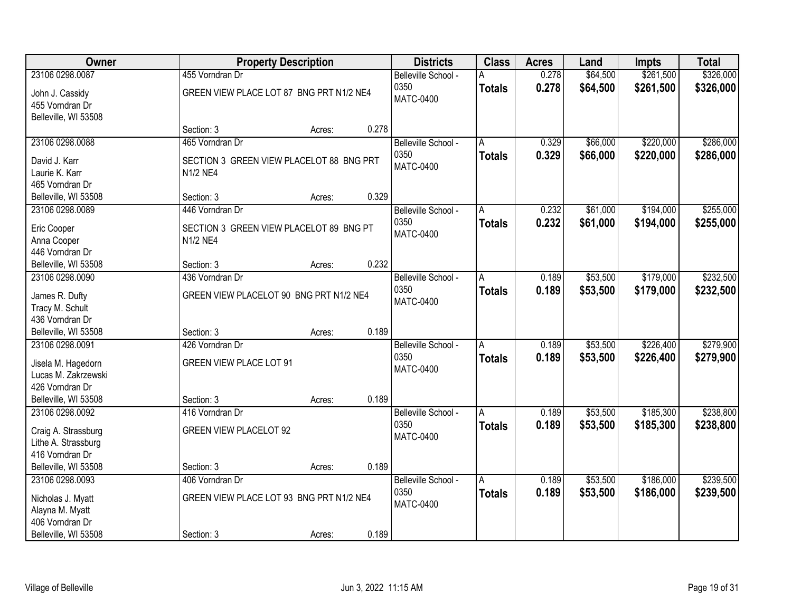| Owner                                   |                                          | <b>Property Description</b> |       | <b>Districts</b>            | <b>Class</b>  | <b>Acres</b> | Land                 | <b>Impts</b> | <b>Total</b> |
|-----------------------------------------|------------------------------------------|-----------------------------|-------|-----------------------------|---------------|--------------|----------------------|--------------|--------------|
| 23106 0298.0087                         | 455 Vorndran Dr                          |                             |       | Belleville School -         | А             | 0.278        | \$64,500             | \$261,500    | \$326,000    |
| John J. Cassidy                         | GREEN VIEW PLACE LOT 87 BNG PRT N1/2 NE4 |                             |       | 0350                        | <b>Totals</b> | 0.278        | \$64,500             | \$261,500    | \$326,000    |
| 455 Vorndran Dr                         |                                          |                             |       | MATC-0400                   |               |              |                      |              |              |
| Belleville, WI 53508                    |                                          |                             |       |                             |               |              |                      |              |              |
|                                         | Section: 3                               | Acres:                      | 0.278 |                             |               |              |                      |              |              |
| 23106 0298.0088                         | 465 Vorndran Dr                          |                             |       | Belleville School -         | A             | 0.329        | \$66,000             | \$220,000    | \$286,000    |
| David J. Karr                           | SECTION 3 GREEN VIEW PLACELOT 88 BNG PRT |                             |       | 0350                        | <b>Totals</b> | 0.329        | \$66,000             | \$220,000    | \$286,000    |
| Laurie K. Karr                          | N1/2 NE4                                 |                             |       | MATC-0400                   |               |              |                      |              |              |
| 465 Vorndran Dr                         |                                          |                             |       |                             |               |              |                      |              |              |
| Belleville, WI 53508                    | Section: 3                               | Acres:                      | 0.329 |                             |               |              |                      |              |              |
| 23106 0298.0089                         | 446 Vorndran Dr                          |                             |       | Belleville School -         | A             | 0.232        | \$61,000             | \$194,000    | \$255,000    |
| Eric Cooper                             | SECTION 3 GREEN VIEW PLACELOT 89 BNG PT  |                             |       | 0350                        | <b>Totals</b> | 0.232        | \$61,000             | \$194,000    | \$255,000    |
| Anna Cooper                             | N1/2 NE4                                 |                             |       | <b>MATC-0400</b>            |               |              |                      |              |              |
| 446 Vorndran Dr                         |                                          |                             |       |                             |               |              |                      |              |              |
| Belleville, WI 53508                    | Section: 3                               | Acres:                      | 0.232 |                             |               |              |                      |              |              |
| 23106 0298.0090                         | 436 Vorndran Dr                          |                             |       | Belleville School -         | Α             | 0.189        | \$53,500             | \$179,000    | \$232,500    |
|                                         | GREEN VIEW PLACELOT 90 BNG PRT N1/2 NE4  |                             |       | 0350                        | <b>Totals</b> | 0.189        | \$53,500             | \$179,000    | \$232,500    |
| James R. Dufty<br>Tracy M. Schult       |                                          |                             |       | <b>MATC-0400</b>            |               |              |                      |              |              |
| 436 Vorndran Dr                         |                                          |                             |       |                             |               |              |                      |              |              |
| Belleville, WI 53508                    | Section: 3                               | Acres:                      | 0.189 |                             |               |              |                      |              |              |
| 23106 0298.0091                         | 426 Vorndran Dr                          |                             |       | Belleville School -         | A             | 0.189        | \$53,500             | \$226,400    | \$279,900    |
|                                         |                                          |                             |       | 0350                        | <b>Totals</b> | 0.189        | \$53,500             | \$226,400    | \$279,900    |
| Jisela M. Hagedorn                      | <b>GREEN VIEW PLACE LOT 91</b>           |                             |       | <b>MATC-0400</b>            |               |              |                      |              |              |
| Lucas M. Zakrzewski<br>426 Vorndran Dr  |                                          |                             |       |                             |               |              |                      |              |              |
| Belleville, WI 53508                    | Section: 3                               | Acres:                      | 0.189 |                             |               |              |                      |              |              |
| 23106 0298.0092                         | 416 Vorndran Dr                          |                             |       | Belleville School -         | A             | 0.189        | \$53,500             | \$185,300    | \$238,800    |
|                                         |                                          |                             |       | 0350                        | <b>Totals</b> | 0.189        | \$53,500             | \$185,300    | \$238,800    |
| Craig A. Strassburg                     | <b>GREEN VIEW PLACELOT 92</b>            |                             |       | <b>MATC-0400</b>            |               |              |                      |              |              |
| Lithe A. Strassburg                     |                                          |                             |       |                             |               |              |                      |              |              |
| 416 Vorndran Dr                         |                                          |                             |       |                             |               |              |                      |              |              |
| Belleville, WI 53508<br>23106 0298.0093 | Section: 3<br>406 Vorndran Dr            | Acres:                      | 0.189 |                             | A             | 0.189        |                      | \$186,000    |              |
|                                         |                                          |                             |       | Belleville School -<br>0350 |               | 0.189        | \$53,500<br>\$53,500 | \$186,000    | \$239,500    |
| Nicholas J. Myatt                       | GREEN VIEW PLACE LOT 93 BNG PRT N1/2 NE4 |                             |       | <b>MATC-0400</b>            | <b>Totals</b> |              |                      |              | \$239,500    |
| Alayna M. Myatt                         |                                          |                             |       |                             |               |              |                      |              |              |
| 406 Vorndran Dr                         |                                          |                             |       |                             |               |              |                      |              |              |
| Belleville, WI 53508                    | Section: 3                               | Acres:                      | 0.189 |                             |               |              |                      |              |              |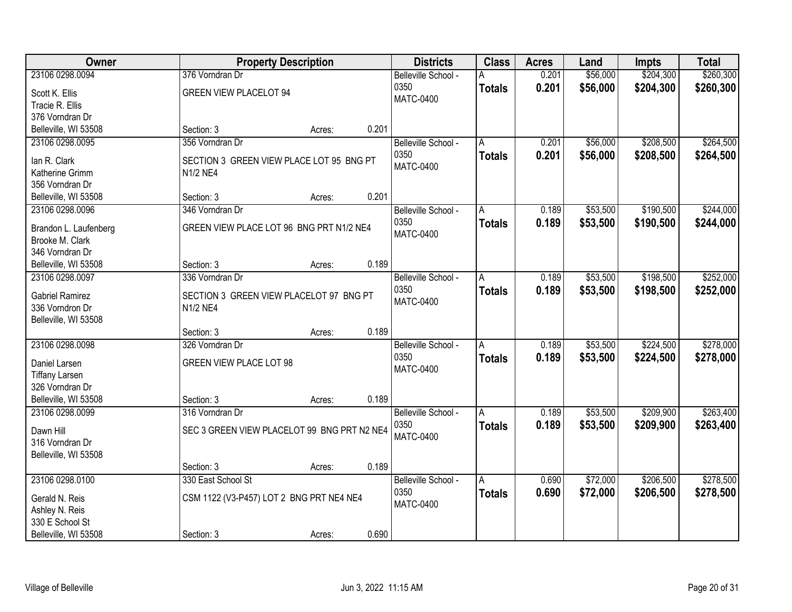| Owner                                  |                                             | <b>Property Description</b> |       | <b>Districts</b>    | <b>Class</b>  | <b>Acres</b> | Land     | <b>Impts</b> | <b>Total</b> |
|----------------------------------------|---------------------------------------------|-----------------------------|-------|---------------------|---------------|--------------|----------|--------------|--------------|
| 23106 0298.0094                        | 376 Vorndran Dr                             |                             |       | Belleville School - | Α             | 0.201        | \$56,000 | \$204,300    | \$260,300    |
| Scott K. Ellis                         | <b>GREEN VIEW PLACELOT 94</b>               |                             |       | 0350                | <b>Totals</b> | 0.201        | \$56,000 | \$204,300    | \$260,300    |
| Tracie R. Ellis                        |                                             |                             |       | <b>MATC-0400</b>    |               |              |          |              |              |
| 376 Vorndran Dr                        |                                             |                             |       |                     |               |              |          |              |              |
| Belleville, WI 53508                   | Section: 3                                  | Acres:                      | 0.201 |                     |               |              |          |              |              |
| 23106 0298.0095                        | 356 Vorndran Dr                             |                             |       | Belleville School - | A             | 0.201        | \$56,000 | \$208,500    | \$264,500    |
|                                        |                                             |                             |       | 0350                | <b>Totals</b> | 0.201        | \$56,000 | \$208,500    | \$264,500    |
| lan R. Clark                           | SECTION 3 GREEN VIEW PLACE LOT 95 BNG PT    |                             |       | <b>MATC-0400</b>    |               |              |          |              |              |
| Katherine Grimm<br>356 Vorndran Dr     | N1/2 NE4                                    |                             |       |                     |               |              |          |              |              |
| Belleville, WI 53508                   | Section: 3                                  | Acres:                      | 0.201 |                     |               |              |          |              |              |
| 23106 0298.0096                        | 346 Vorndran Dr                             |                             |       | Belleville School - | A             | 0.189        | \$53,500 | \$190,500    | \$244,000    |
|                                        |                                             |                             |       | 0350                |               | 0.189        | \$53,500 | \$190,500    | \$244,000    |
| Brandon L. Laufenberg                  | GREEN VIEW PLACE LOT 96 BNG PRT N1/2 NE4    |                             |       | <b>MATC-0400</b>    | <b>Totals</b> |              |          |              |              |
| Brooke M. Clark                        |                                             |                             |       |                     |               |              |          |              |              |
| 346 Vorndran Dr                        |                                             |                             |       |                     |               |              |          |              |              |
| Belleville, WI 53508                   | Section: 3                                  | Acres:                      | 0.189 |                     |               |              |          |              |              |
| 23106 0298.0097                        | 336 Vorndran Dr                             |                             |       | Belleville School - | A             | 0.189        | \$53,500 | \$198,500    | \$252,000    |
| <b>Gabriel Ramirez</b>                 | SECTION 3 GREEN VIEW PLACELOT 97 BNG PT     |                             |       | 0350                | <b>Totals</b> | 0.189        | \$53,500 | \$198,500    | \$252,000    |
| 336 Vorndron Dr                        | N1/2 NE4                                    |                             |       | <b>MATC-0400</b>    |               |              |          |              |              |
| Belleville, WI 53508                   |                                             |                             |       |                     |               |              |          |              |              |
|                                        | Section: 3                                  | Acres:                      | 0.189 |                     |               |              |          |              |              |
| 23106 0298.0098                        | 326 Vorndran Dr                             |                             |       | Belleville School - | A             | 0.189        | \$53,500 | \$224,500    | \$278,000    |
|                                        | <b>GREEN VIEW PLACE LOT 98</b>              |                             |       | 0350                | <b>Totals</b> | 0.189        | \$53,500 | \$224,500    | \$278,000    |
| Daniel Larsen<br><b>Tiffany Larsen</b> |                                             |                             |       | <b>MATC-0400</b>    |               |              |          |              |              |
| 326 Vorndran Dr                        |                                             |                             |       |                     |               |              |          |              |              |
| Belleville, WI 53508                   | Section: 3                                  | Acres:                      | 0.189 |                     |               |              |          |              |              |
| 23106 0298.0099                        | 316 Vorndran Dr                             |                             |       | Belleville School - | A             | 0.189        | \$53,500 | \$209,900    | \$263,400    |
|                                        |                                             |                             |       | 0350                | <b>Totals</b> | 0.189        | \$53,500 | \$209,900    | \$263,400    |
| Dawn Hill                              | SEC 3 GREEN VIEW PLACELOT 99 BNG PRT N2 NE4 |                             |       | <b>MATC-0400</b>    |               |              |          |              |              |
| 316 Vorndran Dr                        |                                             |                             |       |                     |               |              |          |              |              |
| Belleville, WI 53508                   |                                             |                             |       |                     |               |              |          |              |              |
|                                        | Section: 3                                  | Acres:                      | 0.189 |                     |               |              |          |              |              |
| 23106 0298.0100                        | 330 East School St                          |                             |       | Belleville School - | A             | 0.690        | \$72,000 | \$206,500    | \$278,500    |
| Gerald N. Reis                         | CSM 1122 (V3-P457) LOT 2 BNG PRT NE4 NE4    |                             |       | 0350                | <b>Totals</b> | 0.690        | \$72,000 | \$206,500    | \$278,500    |
| Ashley N. Reis                         |                                             |                             |       | <b>MATC-0400</b>    |               |              |          |              |              |
| 330 E School St                        |                                             |                             |       |                     |               |              |          |              |              |
| Belleville, WI 53508                   | Section: 3                                  | Acres:                      | 0.690 |                     |               |              |          |              |              |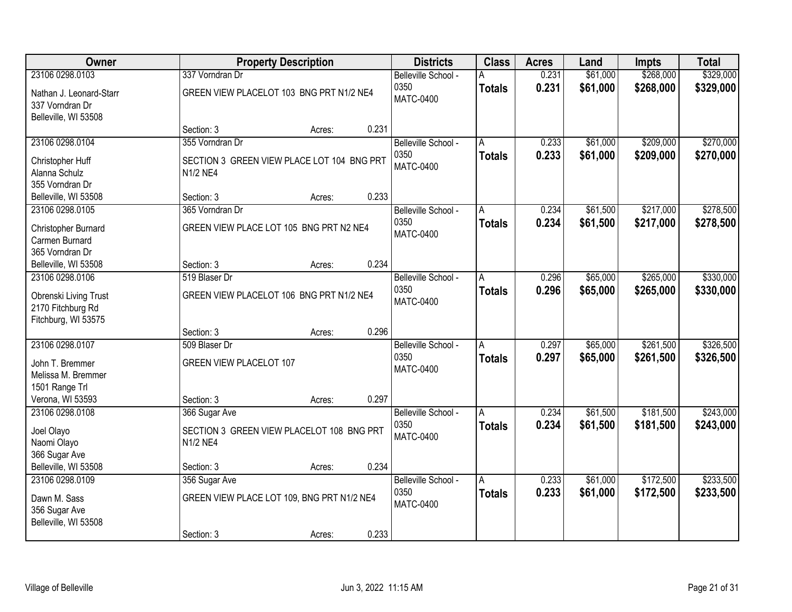| <b>Owner</b>                               |                                            | <b>Property Description</b> |       | <b>Districts</b>         | <b>Class</b>   | <b>Acres</b> | Land     | <b>Impts</b> | <b>Total</b> |
|--------------------------------------------|--------------------------------------------|-----------------------------|-------|--------------------------|----------------|--------------|----------|--------------|--------------|
| 23106 0298.0103                            | 337 Vorndran Dr                            |                             |       | Belleville School -      | A              | 0.231        | \$61,000 | \$268,000    | \$329,000    |
| Nathan J. Leonard-Starr<br>337 Vorndran Dr | GREEN VIEW PLACELOT 103 BNG PRT N1/2 NE4   |                             |       | 0350<br><b>MATC-0400</b> | <b>Totals</b>  | 0.231        | \$61,000 | \$268,000    | \$329,000    |
| Belleville, WI 53508                       |                                            |                             |       |                          |                |              |          |              |              |
|                                            | Section: 3                                 | Acres:                      | 0.231 |                          |                |              |          |              |              |
| 23106 0298.0104                            | 355 Vorndran Dr                            |                             |       | Belleville School -      | A              | 0.233        | \$61,000 | \$209,000    | \$270,000    |
| Christopher Huff                           | SECTION 3 GREEN VIEW PLACE LOT 104 BNG PRT |                             |       | 0350<br><b>MATC-0400</b> | <b>Totals</b>  | 0.233        | \$61,000 | \$209,000    | \$270,000    |
| Alanna Schulz                              | N1/2 NE4                                   |                             |       |                          |                |              |          |              |              |
| 355 Vorndran Dr                            |                                            |                             |       |                          |                |              |          |              |              |
| Belleville, WI 53508                       | Section: 3                                 | Acres:                      | 0.233 |                          |                |              |          |              |              |
| 23106 0298.0105                            | 365 Vorndran Dr                            |                             |       | Belleville School -      | A              | 0.234        | \$61,500 | \$217,000    | \$278,500    |
| Christopher Burnard                        | GREEN VIEW PLACE LOT 105 BNG PRT N2 NE4    |                             |       | 0350                     | <b>Totals</b>  | 0.234        | \$61,500 | \$217,000    | \$278,500    |
| Carmen Burnard                             |                                            |                             |       | <b>MATC-0400</b>         |                |              |          |              |              |
| 365 Vorndran Dr                            |                                            |                             |       |                          |                |              |          |              |              |
| Belleville, WI 53508                       | Section: 3                                 | Acres:                      | 0.234 |                          |                |              |          |              |              |
| 23106 0298.0106                            | 519 Blaser Dr                              |                             |       | Belleville School -      | Α              | 0.296        | \$65,000 | \$265,000    | \$330,000    |
| Obrenski Living Trust                      | GREEN VIEW PLACELOT 106 BNG PRT N1/2 NE4   |                             |       | 0350                     | <b>Totals</b>  | 0.296        | \$65,000 | \$265,000    | \$330,000    |
| 2170 Fitchburg Rd                          |                                            |                             |       | <b>MATC-0400</b>         |                |              |          |              |              |
| Fitchburg, WI 53575                        |                                            |                             |       |                          |                |              |          |              |              |
|                                            | Section: 3                                 | Acres:                      | 0.296 |                          |                |              |          |              |              |
| 23106 0298.0107                            | 509 Blaser Dr                              |                             |       | Belleville School -      | $\overline{A}$ | 0.297        | \$65,000 | \$261,500    | \$326,500    |
|                                            |                                            |                             |       | 0350                     | <b>Totals</b>  | 0.297        | \$65,000 | \$261,500    | \$326,500    |
| John T. Bremmer<br>Melissa M. Bremmer      | <b>GREEN VIEW PLACELOT 107</b>             |                             |       | <b>MATC-0400</b>         |                |              |          |              |              |
| 1501 Range Trl                             |                                            |                             |       |                          |                |              |          |              |              |
| Verona, WI 53593                           | Section: 3                                 | Acres:                      | 0.297 |                          |                |              |          |              |              |
| 23106 0298.0108                            | 366 Sugar Ave                              |                             |       | Belleville School -      | A              | 0.234        | \$61,500 | \$181,500    | \$243,000    |
|                                            |                                            |                             |       | 0350                     | <b>Totals</b>  | 0.234        | \$61,500 | \$181,500    | \$243,000    |
| Joel Olayo                                 | SECTION 3 GREEN VIEW PLACELOT 108 BNG PRT  |                             |       | <b>MATC-0400</b>         |                |              |          |              |              |
| Naomi Olayo                                | N1/2 NE4                                   |                             |       |                          |                |              |          |              |              |
| 366 Sugar Ave<br>Belleville, WI 53508      | Section: 3                                 |                             | 0.234 |                          |                |              |          |              |              |
| 23106 0298.0109                            | 356 Sugar Ave                              | Acres:                      |       | Belleville School -      | A              | 0.233        | \$61,000 | \$172,500    | \$233,500    |
|                                            |                                            |                             |       | 0350                     | <b>Totals</b>  | 0.233        | \$61,000 | \$172,500    | \$233,500    |
| Dawn M. Sass                               | GREEN VIEW PLACE LOT 109, BNG PRT N1/2 NE4 |                             |       | <b>MATC-0400</b>         |                |              |          |              |              |
| 356 Sugar Ave                              |                                            |                             |       |                          |                |              |          |              |              |
| Belleville, WI 53508                       |                                            |                             |       |                          |                |              |          |              |              |
|                                            | Section: 3                                 | Acres:                      | 0.233 |                          |                |              |          |              |              |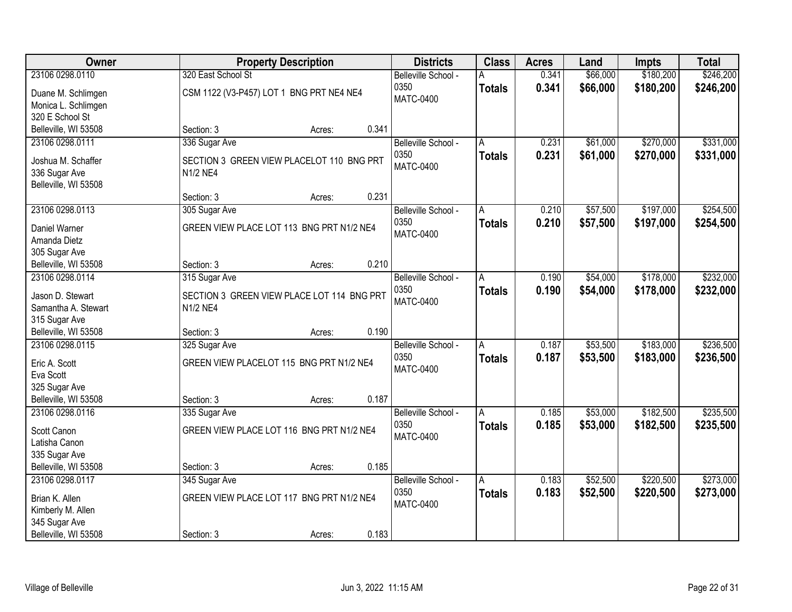| Owner                |                                            | <b>Property Description</b> |       | <b>Districts</b>    | <b>Class</b>  | <b>Acres</b> | Land     | <b>Impts</b> | <b>Total</b> |
|----------------------|--------------------------------------------|-----------------------------|-------|---------------------|---------------|--------------|----------|--------------|--------------|
| 23106 0298.0110      | 320 East School St                         |                             |       | Belleville School - | А             | 0.341        | \$66,000 | \$180,200    | \$246,200    |
| Duane M. Schlimgen   | CSM 1122 (V3-P457) LOT 1 BNG PRT NE4 NE4   |                             |       | 0350                | <b>Totals</b> | 0.341        | \$66,000 | \$180,200    | \$246,200    |
| Monica L. Schlimgen  |                                            |                             |       | MATC-0400           |               |              |          |              |              |
| 320 E School St      |                                            |                             |       |                     |               |              |          |              |              |
| Belleville, WI 53508 | Section: 3                                 | Acres:                      | 0.341 |                     |               |              |          |              |              |
| 23106 0298.0111      | 336 Sugar Ave                              |                             |       | Belleville School - | A             | 0.231        | \$61,000 | \$270,000    | \$331,000    |
| Joshua M. Schaffer   | SECTION 3 GREEN VIEW PLACELOT 110 BNG PRT  |                             |       | 0350                | <b>Totals</b> | 0.231        | \$61,000 | \$270,000    | \$331,000    |
| 336 Sugar Ave        | N1/2 NE4                                   |                             |       | <b>MATC-0400</b>    |               |              |          |              |              |
| Belleville, WI 53508 |                                            |                             |       |                     |               |              |          |              |              |
|                      | Section: 3                                 | Acres:                      | 0.231 |                     |               |              |          |              |              |
| 23106 0298.0113      | 305 Sugar Ave                              |                             |       | Belleville School - | A             | 0.210        | \$57,500 | \$197,000    | \$254,500    |
| <b>Daniel Warner</b> | GREEN VIEW PLACE LOT 113 BNG PRT N1/2 NE4  |                             |       | 0350                | <b>Totals</b> | 0.210        | \$57,500 | \$197,000    | \$254,500    |
| Amanda Dietz         |                                            |                             |       | <b>MATC-0400</b>    |               |              |          |              |              |
| 305 Sugar Ave        |                                            |                             |       |                     |               |              |          |              |              |
| Belleville, WI 53508 | Section: 3                                 | Acres:                      | 0.210 |                     |               |              |          |              |              |
| 23106 0298.0114      | 315 Sugar Ave                              |                             |       | Belleville School - | A             | 0.190        | \$54,000 | \$178,000    | \$232,000    |
| Jason D. Stewart     | SECTION 3 GREEN VIEW PLACE LOT 114 BNG PRT |                             |       | 0350                | <b>Totals</b> | 0.190        | \$54,000 | \$178,000    | \$232,000    |
| Samantha A. Stewart  | N1/2 NE4                                   |                             |       | <b>MATC-0400</b>    |               |              |          |              |              |
| 315 Sugar Ave        |                                            |                             |       |                     |               |              |          |              |              |
| Belleville, WI 53508 | Section: 3                                 | Acres:                      | 0.190 |                     |               |              |          |              |              |
| 23106 0298.0115      | 325 Sugar Ave                              |                             |       | Belleville School - | А             | 0.187        | \$53,500 | \$183,000    | \$236,500    |
| Eric A. Scott        | GREEN VIEW PLACELOT 115 BNG PRT N1/2 NE4   |                             |       | 0350                | <b>Totals</b> | 0.187        | \$53,500 | \$183,000    | \$236,500    |
| Eva Scott            |                                            |                             |       | <b>MATC-0400</b>    |               |              |          |              |              |
| 325 Sugar Ave        |                                            |                             |       |                     |               |              |          |              |              |
| Belleville, WI 53508 | Section: 3                                 | Acres:                      | 0.187 |                     |               |              |          |              |              |
| 23106 0298.0116      | 335 Sugar Ave                              |                             |       | Belleville School - | A             | 0.185        | \$53,000 | \$182,500    | \$235,500    |
| Scott Canon          | GREEN VIEW PLACE LOT 116 BNG PRT N1/2 NE4  |                             |       | 0350                | <b>Totals</b> | 0.185        | \$53,000 | \$182,500    | \$235,500    |
| Latisha Canon        |                                            |                             |       | <b>MATC-0400</b>    |               |              |          |              |              |
| 335 Sugar Ave        |                                            |                             |       |                     |               |              |          |              |              |
| Belleville, WI 53508 | Section: 3                                 | Acres:                      | 0.185 |                     |               |              |          |              |              |
| 23106 0298.0117      | 345 Sugar Ave                              |                             |       | Belleville School - | A             | 0.183        | \$52,500 | \$220,500    | \$273,000    |
| Brian K. Allen       | GREEN VIEW PLACE LOT 117 BNG PRT N1/2 NE4  |                             |       | 0350                | <b>Totals</b> | 0.183        | \$52,500 | \$220,500    | \$273,000    |
| Kimberly M. Allen    |                                            |                             |       | <b>MATC-0400</b>    |               |              |          |              |              |
| 345 Sugar Ave        |                                            |                             |       |                     |               |              |          |              |              |
| Belleville, WI 53508 | Section: 3                                 | Acres:                      | 0.183 |                     |               |              |          |              |              |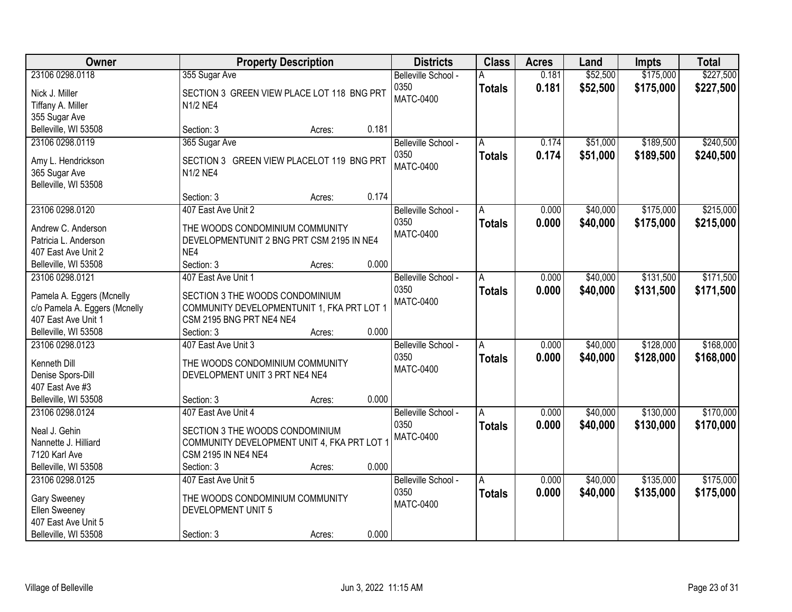| \$227,500<br>23106 0298.0118<br>\$52,500<br>\$175,000<br>355 Sugar Ave<br>Belleville School -<br>0.181<br>A<br>0350<br>0.181<br>\$52,500<br>\$175,000<br>\$227,500<br><b>Totals</b><br>Nick J. Miller<br>SECTION 3 GREEN VIEW PLACE LOT 118 BNG PRT<br><b>MATC-0400</b><br>Tiffany A. Miller<br>N1/2 NE4<br>355 Sugar Ave<br>Belleville, WI 53508<br>0.181<br>Section: 3<br>Acres:<br>\$189,500<br>\$240,500<br>23106 0298.0119<br>365 Sugar Ave<br>0.174<br>\$51,000<br>Belleville School -<br>A<br>0350<br>0.174<br>\$51,000<br>\$189,500<br>\$240,500<br><b>Totals</b><br>SECTION 3 GREEN VIEW PLACELOT 119 BNG PRT<br>Amy L. Hendrickson<br><b>MATC-0400</b><br>365 Sugar Ave<br>N1/2 NE4<br>Belleville, WI 53508<br>0.174<br>Section: 3<br>Acres:<br>23106 0298.0120<br>\$40,000<br>\$175,000<br>\$215,000<br>407 East Ave Unit 2<br>Belleville School -<br>0.000<br>A<br>0350<br>0.000<br>\$40,000<br>\$175,000<br>\$215,000<br><b>Totals</b><br>Andrew C. Anderson<br>THE WOODS CONDOMINIUM COMMUNITY<br><b>MATC-0400</b><br>DEVELOPMENTUNIT 2 BNG PRT CSM 2195 IN NE4<br>Patricia L. Anderson<br>NE4<br>407 East Ave Unit 2<br>0.000<br>Section: 3<br>Belleville, WI 53508<br>Acres:<br>\$131,500<br>407 East Ave Unit 1<br>\$40,000<br>\$171,500<br>23106 0298.0121<br>Belleville School -<br>0.000<br>Α<br>0350<br>0.000<br>\$40,000<br>\$131,500<br>\$171,500<br><b>Totals</b><br>Pamela A. Eggers (Mcnelly<br>SECTION 3 THE WOODS CONDOMINIUM<br><b>MATC-0400</b><br>c/o Pamela A. Eggers (Mcnelly<br>COMMUNITY DEVELOPMENTUNIT 1, FKA PRT LOT 1<br>407 East Ave Unit 1<br>CSM 2195 BNG PRT NE4 NE4<br>0.000<br>Belleville, WI 53508<br>Section: 3<br>Acres:<br>\$128,000<br>\$168,000<br>23106 0298.0123<br>407 East Ave Unit 3<br>0.000<br>\$40,000<br>Belleville School -<br>$\overline{A}$<br>0350<br>0.000<br>\$128,000<br>\$168,000<br>\$40,000<br><b>Totals</b><br>Kenneth Dill<br>THE WOODS CONDOMINIUM COMMUNITY<br><b>MATC-0400</b> |
|-----------------------------------------------------------------------------------------------------------------------------------------------------------------------------------------------------------------------------------------------------------------------------------------------------------------------------------------------------------------------------------------------------------------------------------------------------------------------------------------------------------------------------------------------------------------------------------------------------------------------------------------------------------------------------------------------------------------------------------------------------------------------------------------------------------------------------------------------------------------------------------------------------------------------------------------------------------------------------------------------------------------------------------------------------------------------------------------------------------------------------------------------------------------------------------------------------------------------------------------------------------------------------------------------------------------------------------------------------------------------------------------------------------------------------------------------------------------------------------------------------------------------------------------------------------------------------------------------------------------------------------------------------------------------------------------------------------------------------------------------------------------------------------------------------------------------------------------------------------------------------------------------------------------------------------------------------------|
|                                                                                                                                                                                                                                                                                                                                                                                                                                                                                                                                                                                                                                                                                                                                                                                                                                                                                                                                                                                                                                                                                                                                                                                                                                                                                                                                                                                                                                                                                                                                                                                                                                                                                                                                                                                                                                                                                                                                                           |
|                                                                                                                                                                                                                                                                                                                                                                                                                                                                                                                                                                                                                                                                                                                                                                                                                                                                                                                                                                                                                                                                                                                                                                                                                                                                                                                                                                                                                                                                                                                                                                                                                                                                                                                                                                                                                                                                                                                                                           |
|                                                                                                                                                                                                                                                                                                                                                                                                                                                                                                                                                                                                                                                                                                                                                                                                                                                                                                                                                                                                                                                                                                                                                                                                                                                                                                                                                                                                                                                                                                                                                                                                                                                                                                                                                                                                                                                                                                                                                           |
|                                                                                                                                                                                                                                                                                                                                                                                                                                                                                                                                                                                                                                                                                                                                                                                                                                                                                                                                                                                                                                                                                                                                                                                                                                                                                                                                                                                                                                                                                                                                                                                                                                                                                                                                                                                                                                                                                                                                                           |
|                                                                                                                                                                                                                                                                                                                                                                                                                                                                                                                                                                                                                                                                                                                                                                                                                                                                                                                                                                                                                                                                                                                                                                                                                                                                                                                                                                                                                                                                                                                                                                                                                                                                                                                                                                                                                                                                                                                                                           |
|                                                                                                                                                                                                                                                                                                                                                                                                                                                                                                                                                                                                                                                                                                                                                                                                                                                                                                                                                                                                                                                                                                                                                                                                                                                                                                                                                                                                                                                                                                                                                                                                                                                                                                                                                                                                                                                                                                                                                           |
|                                                                                                                                                                                                                                                                                                                                                                                                                                                                                                                                                                                                                                                                                                                                                                                                                                                                                                                                                                                                                                                                                                                                                                                                                                                                                                                                                                                                                                                                                                                                                                                                                                                                                                                                                                                                                                                                                                                                                           |
|                                                                                                                                                                                                                                                                                                                                                                                                                                                                                                                                                                                                                                                                                                                                                                                                                                                                                                                                                                                                                                                                                                                                                                                                                                                                                                                                                                                                                                                                                                                                                                                                                                                                                                                                                                                                                                                                                                                                                           |
|                                                                                                                                                                                                                                                                                                                                                                                                                                                                                                                                                                                                                                                                                                                                                                                                                                                                                                                                                                                                                                                                                                                                                                                                                                                                                                                                                                                                                                                                                                                                                                                                                                                                                                                                                                                                                                                                                                                                                           |
|                                                                                                                                                                                                                                                                                                                                                                                                                                                                                                                                                                                                                                                                                                                                                                                                                                                                                                                                                                                                                                                                                                                                                                                                                                                                                                                                                                                                                                                                                                                                                                                                                                                                                                                                                                                                                                                                                                                                                           |
|                                                                                                                                                                                                                                                                                                                                                                                                                                                                                                                                                                                                                                                                                                                                                                                                                                                                                                                                                                                                                                                                                                                                                                                                                                                                                                                                                                                                                                                                                                                                                                                                                                                                                                                                                                                                                                                                                                                                                           |
|                                                                                                                                                                                                                                                                                                                                                                                                                                                                                                                                                                                                                                                                                                                                                                                                                                                                                                                                                                                                                                                                                                                                                                                                                                                                                                                                                                                                                                                                                                                                                                                                                                                                                                                                                                                                                                                                                                                                                           |
|                                                                                                                                                                                                                                                                                                                                                                                                                                                                                                                                                                                                                                                                                                                                                                                                                                                                                                                                                                                                                                                                                                                                                                                                                                                                                                                                                                                                                                                                                                                                                                                                                                                                                                                                                                                                                                                                                                                                                           |
|                                                                                                                                                                                                                                                                                                                                                                                                                                                                                                                                                                                                                                                                                                                                                                                                                                                                                                                                                                                                                                                                                                                                                                                                                                                                                                                                                                                                                                                                                                                                                                                                                                                                                                                                                                                                                                                                                                                                                           |
|                                                                                                                                                                                                                                                                                                                                                                                                                                                                                                                                                                                                                                                                                                                                                                                                                                                                                                                                                                                                                                                                                                                                                                                                                                                                                                                                                                                                                                                                                                                                                                                                                                                                                                                                                                                                                                                                                                                                                           |
|                                                                                                                                                                                                                                                                                                                                                                                                                                                                                                                                                                                                                                                                                                                                                                                                                                                                                                                                                                                                                                                                                                                                                                                                                                                                                                                                                                                                                                                                                                                                                                                                                                                                                                                                                                                                                                                                                                                                                           |
|                                                                                                                                                                                                                                                                                                                                                                                                                                                                                                                                                                                                                                                                                                                                                                                                                                                                                                                                                                                                                                                                                                                                                                                                                                                                                                                                                                                                                                                                                                                                                                                                                                                                                                                                                                                                                                                                                                                                                           |
|                                                                                                                                                                                                                                                                                                                                                                                                                                                                                                                                                                                                                                                                                                                                                                                                                                                                                                                                                                                                                                                                                                                                                                                                                                                                                                                                                                                                                                                                                                                                                                                                                                                                                                                                                                                                                                                                                                                                                           |
|                                                                                                                                                                                                                                                                                                                                                                                                                                                                                                                                                                                                                                                                                                                                                                                                                                                                                                                                                                                                                                                                                                                                                                                                                                                                                                                                                                                                                                                                                                                                                                                                                                                                                                                                                                                                                                                                                                                                                           |
|                                                                                                                                                                                                                                                                                                                                                                                                                                                                                                                                                                                                                                                                                                                                                                                                                                                                                                                                                                                                                                                                                                                                                                                                                                                                                                                                                                                                                                                                                                                                                                                                                                                                                                                                                                                                                                                                                                                                                           |
|                                                                                                                                                                                                                                                                                                                                                                                                                                                                                                                                                                                                                                                                                                                                                                                                                                                                                                                                                                                                                                                                                                                                                                                                                                                                                                                                                                                                                                                                                                                                                                                                                                                                                                                                                                                                                                                                                                                                                           |
|                                                                                                                                                                                                                                                                                                                                                                                                                                                                                                                                                                                                                                                                                                                                                                                                                                                                                                                                                                                                                                                                                                                                                                                                                                                                                                                                                                                                                                                                                                                                                                                                                                                                                                                                                                                                                                                                                                                                                           |
|                                                                                                                                                                                                                                                                                                                                                                                                                                                                                                                                                                                                                                                                                                                                                                                                                                                                                                                                                                                                                                                                                                                                                                                                                                                                                                                                                                                                                                                                                                                                                                                                                                                                                                                                                                                                                                                                                                                                                           |
|                                                                                                                                                                                                                                                                                                                                                                                                                                                                                                                                                                                                                                                                                                                                                                                                                                                                                                                                                                                                                                                                                                                                                                                                                                                                                                                                                                                                                                                                                                                                                                                                                                                                                                                                                                                                                                                                                                                                                           |
| DEVELOPMENT UNIT 3 PRT NE4 NE4<br>Denise Spors-Dill                                                                                                                                                                                                                                                                                                                                                                                                                                                                                                                                                                                                                                                                                                                                                                                                                                                                                                                                                                                                                                                                                                                                                                                                                                                                                                                                                                                                                                                                                                                                                                                                                                                                                                                                                                                                                                                                                                       |
| 407 East Ave #3                                                                                                                                                                                                                                                                                                                                                                                                                                                                                                                                                                                                                                                                                                                                                                                                                                                                                                                                                                                                                                                                                                                                                                                                                                                                                                                                                                                                                                                                                                                                                                                                                                                                                                                                                                                                                                                                                                                                           |
| Belleville, WI 53508<br>0.000<br>Section: 3<br>Acres:                                                                                                                                                                                                                                                                                                                                                                                                                                                                                                                                                                                                                                                                                                                                                                                                                                                                                                                                                                                                                                                                                                                                                                                                                                                                                                                                                                                                                                                                                                                                                                                                                                                                                                                                                                                                                                                                                                     |
| \$130,000<br>\$170,000<br>23106 0298.0124<br>407 East Ave Unit 4<br>\$40,000<br>Belleville School -<br>0.000<br>A                                                                                                                                                                                                                                                                                                                                                                                                                                                                                                                                                                                                                                                                                                                                                                                                                                                                                                                                                                                                                                                                                                                                                                                                                                                                                                                                                                                                                                                                                                                                                                                                                                                                                                                                                                                                                                         |
| 0350<br>0.000<br>\$40,000<br>\$130,000<br>\$170,000<br><b>Totals</b><br>Neal J. Gehin<br>SECTION 3 THE WOODS CONDOMINIUM                                                                                                                                                                                                                                                                                                                                                                                                                                                                                                                                                                                                                                                                                                                                                                                                                                                                                                                                                                                                                                                                                                                                                                                                                                                                                                                                                                                                                                                                                                                                                                                                                                                                                                                                                                                                                                  |
| <b>MATC-0400</b><br>Nannette J. Hilliard<br>COMMUNITY DEVELOPMENT UNIT 4, FKA PRT LOT 1                                                                                                                                                                                                                                                                                                                                                                                                                                                                                                                                                                                                                                                                                                                                                                                                                                                                                                                                                                                                                                                                                                                                                                                                                                                                                                                                                                                                                                                                                                                                                                                                                                                                                                                                                                                                                                                                   |
| 7120 Karl Ave<br><b>CSM 2195 IN NE4 NE4</b>                                                                                                                                                                                                                                                                                                                                                                                                                                                                                                                                                                                                                                                                                                                                                                                                                                                                                                                                                                                                                                                                                                                                                                                                                                                                                                                                                                                                                                                                                                                                                                                                                                                                                                                                                                                                                                                                                                               |
| 0.000<br>Belleville, WI 53508<br>Section: 3<br>Acres:                                                                                                                                                                                                                                                                                                                                                                                                                                                                                                                                                                                                                                                                                                                                                                                                                                                                                                                                                                                                                                                                                                                                                                                                                                                                                                                                                                                                                                                                                                                                                                                                                                                                                                                                                                                                                                                                                                     |
| \$135,000<br>\$175,000<br>23106 0298.0125<br>\$40,000<br>407 East Ave Unit 5<br>Belleville School -<br>A<br>0.000                                                                                                                                                                                                                                                                                                                                                                                                                                                                                                                                                                                                                                                                                                                                                                                                                                                                                                                                                                                                                                                                                                                                                                                                                                                                                                                                                                                                                                                                                                                                                                                                                                                                                                                                                                                                                                         |
| 0350<br>0.000<br>\$40,000<br>\$135,000<br>\$175,000<br><b>Totals</b>                                                                                                                                                                                                                                                                                                                                                                                                                                                                                                                                                                                                                                                                                                                                                                                                                                                                                                                                                                                                                                                                                                                                                                                                                                                                                                                                                                                                                                                                                                                                                                                                                                                                                                                                                                                                                                                                                      |
| THE WOODS CONDOMINIUM COMMUNITY<br>Gary Sweeney<br><b>MATC-0400</b><br>Ellen Sweeney<br>DEVELOPMENT UNIT 5                                                                                                                                                                                                                                                                                                                                                                                                                                                                                                                                                                                                                                                                                                                                                                                                                                                                                                                                                                                                                                                                                                                                                                                                                                                                                                                                                                                                                                                                                                                                                                                                                                                                                                                                                                                                                                                |
| 407 East Ave Unit 5                                                                                                                                                                                                                                                                                                                                                                                                                                                                                                                                                                                                                                                                                                                                                                                                                                                                                                                                                                                                                                                                                                                                                                                                                                                                                                                                                                                                                                                                                                                                                                                                                                                                                                                                                                                                                                                                                                                                       |
| 0.000<br>Belleville, WI 53508<br>Section: 3<br>Acres:                                                                                                                                                                                                                                                                                                                                                                                                                                                                                                                                                                                                                                                                                                                                                                                                                                                                                                                                                                                                                                                                                                                                                                                                                                                                                                                                                                                                                                                                                                                                                                                                                                                                                                                                                                                                                                                                                                     |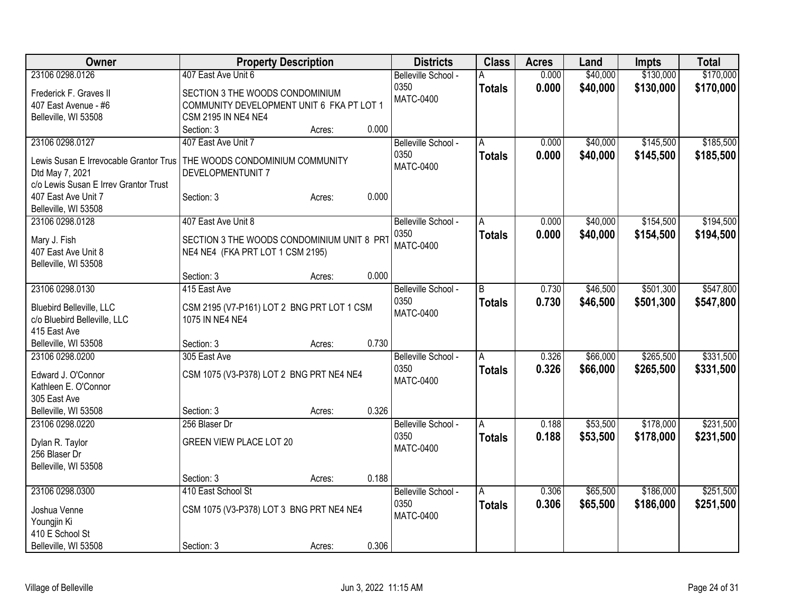| Owner                                  | <b>Property Description</b>                |        |       | <b>Districts</b>    | <b>Class</b>  | <b>Acres</b> | Land     | <b>Impts</b> | <b>Total</b> |
|----------------------------------------|--------------------------------------------|--------|-------|---------------------|---------------|--------------|----------|--------------|--------------|
| 23106 0298.0126                        | 407 East Ave Unit 6                        |        |       | Belleville School - |               | 0.000        | \$40,000 | \$130,000    | \$170,000    |
| Frederick F. Graves II                 | SECTION 3 THE WOODS CONDOMINIUM            |        |       | 0350                | <b>Totals</b> | 0.000        | \$40,000 | \$130,000    | \$170,000    |
| 407 East Avenue - #6                   | COMMUNITY DEVELOPMENT UNIT 6 FKA PT LOT 1  |        |       | <b>MATC-0400</b>    |               |              |          |              |              |
| Belleville, WI 53508                   | <b>CSM 2195 IN NE4 NE4</b>                 |        |       |                     |               |              |          |              |              |
|                                        | Section: 3                                 | Acres: | 0.000 |                     |               |              |          |              |              |
| 23106 0298.0127                        | 407 East Ave Unit 7                        |        |       | Belleville School - | A             | 0.000        | \$40,000 | \$145,500    | \$185,500    |
| Lewis Susan E Irrevocable Grantor Trus | THE WOODS CONDOMINIUM COMMUNITY            |        |       | 0350                | <b>Totals</b> | 0.000        | \$40,000 | \$145,500    | \$185,500    |
| Dtd May 7, 2021                        | DEVELOPMENTUNIT 7                          |        |       | <b>MATC-0400</b>    |               |              |          |              |              |
| c/o Lewis Susan E Irrev Grantor Trust  |                                            |        |       |                     |               |              |          |              |              |
| 407 East Ave Unit 7                    | Section: 3                                 | Acres: | 0.000 |                     |               |              |          |              |              |
| Belleville, WI 53508                   |                                            |        |       |                     |               |              |          |              |              |
| 23106 0298.0128                        | 407 East Ave Unit 8                        |        |       | Belleville School - | A             | 0.000        | \$40,000 | \$154,500    | \$194,500    |
|                                        |                                            |        |       | 0350                | <b>Totals</b> | 0.000        | \$40,000 | \$154,500    | \$194,500    |
| Mary J. Fish                           | SECTION 3 THE WOODS CONDOMINIUM UNIT 8 PRT |        |       | <b>MATC-0400</b>    |               |              |          |              |              |
| 407 East Ave Unit 8                    | NE4 NE4 (FKA PRT LOT 1 CSM 2195)           |        |       |                     |               |              |          |              |              |
| Belleville, WI 53508                   | Section: 3                                 | Acres: | 0.000 |                     |               |              |          |              |              |
| 23106 0298.0130                        | 415 East Ave                               |        |       | Belleville School - | B             | 0.730        | \$46,500 | \$501,300    | \$547,800    |
|                                        |                                            |        |       | 0350                |               | 0.730        | \$46,500 | \$501,300    |              |
| Bluebird Belleville, LLC               | CSM 2195 (V7-P161) LOT 2 BNG PRT LOT 1 CSM |        |       | <b>MATC-0400</b>    | <b>Totals</b> |              |          |              | \$547,800    |
| c/o Bluebird Belleville, LLC           | 1075 IN NE4 NE4                            |        |       |                     |               |              |          |              |              |
| 415 East Ave                           |                                            |        |       |                     |               |              |          |              |              |
| Belleville, WI 53508                   | Section: 3                                 | Acres: | 0.730 |                     |               |              |          |              |              |
| 23106 0298.0200                        | 305 East Ave                               |        |       | Belleville School - | A             | 0.326        | \$66,000 | \$265,500    | \$331,500    |
| Edward J. O'Connor                     | CSM 1075 (V3-P378) LOT 2 BNG PRT NE4 NE4   |        |       | 0350                | <b>Totals</b> | 0.326        | \$66,000 | \$265,500    | \$331,500    |
| Kathleen E. O'Connor                   |                                            |        |       | <b>MATC-0400</b>    |               |              |          |              |              |
| 305 East Ave                           |                                            |        |       |                     |               |              |          |              |              |
| Belleville, WI 53508                   | Section: 3                                 | Acres: | 0.326 |                     |               |              |          |              |              |
| 23106 0298.0220                        | 256 Blaser Dr                              |        |       | Belleville School - | A             | 0.188        | \$53,500 | \$178,000    | \$231,500    |
| Dylan R. Taylor                        | <b>GREEN VIEW PLACE LOT 20</b>             |        |       | 0350                | <b>Totals</b> | 0.188        | \$53,500 | \$178,000    | \$231,500    |
| 256 Blaser Dr                          |                                            |        |       | <b>MATC-0400</b>    |               |              |          |              |              |
| Belleville, WI 53508                   |                                            |        |       |                     |               |              |          |              |              |
|                                        | Section: 3                                 | Acres: | 0.188 |                     |               |              |          |              |              |
| 23106 0298.0300                        | 410 East School St                         |        |       | Belleville School - | A             | 0.306        | \$65,500 | \$186,000    | \$251,500    |
|                                        |                                            |        |       | 0350                | <b>Totals</b> | 0.306        | \$65,500 | \$186,000    | \$251,500    |
| Joshua Venne                           | CSM 1075 (V3-P378) LOT 3 BNG PRT NE4 NE4   |        |       | <b>MATC-0400</b>    |               |              |          |              |              |
| Youngjin Ki<br>410 E School St         |                                            |        |       |                     |               |              |          |              |              |
| Belleville, WI 53508                   | Section: 3                                 |        | 0.306 |                     |               |              |          |              |              |
|                                        |                                            | Acres: |       |                     |               |              |          |              |              |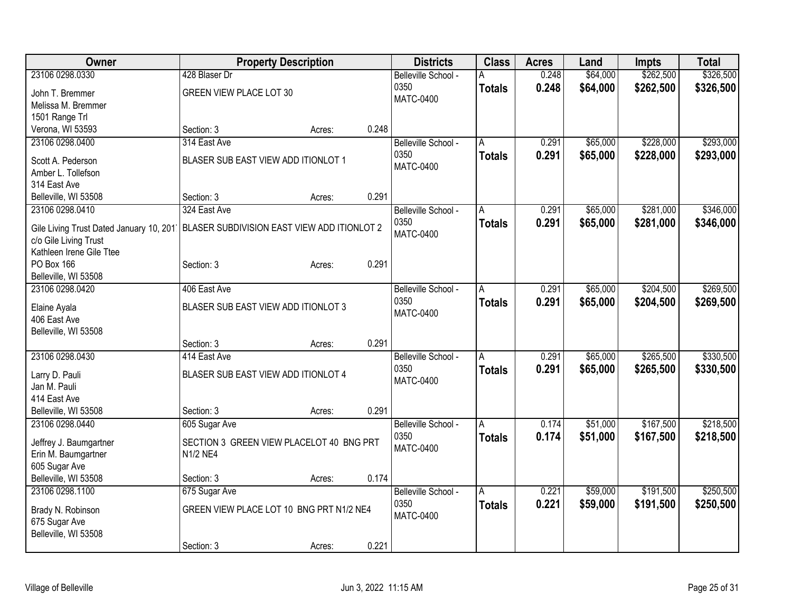| Owner                                   | <b>Property Description</b>                 |        |       | <b>Districts</b>    | <b>Class</b>  | <b>Acres</b> | Land     | <b>Impts</b> | <b>Total</b> |
|-----------------------------------------|---------------------------------------------|--------|-------|---------------------|---------------|--------------|----------|--------------|--------------|
| 23106 0298.0330                         | 428 Blaser Dr                               |        |       | Belleville School - |               | 0.248        | \$64,000 | \$262,500    | \$326,500    |
| John T. Bremmer                         | GREEN VIEW PLACE LOT 30                     |        |       | 0350                | <b>Totals</b> | 0.248        | \$64,000 | \$262,500    | \$326,500    |
| Melissa M. Bremmer                      |                                             |        |       | <b>MATC-0400</b>    |               |              |          |              |              |
| 1501 Range Trl                          |                                             |        |       |                     |               |              |          |              |              |
| Verona, WI 53593                        | Section: 3                                  | Acres: | 0.248 |                     |               |              |          |              |              |
| 23106 0298.0400                         | 314 East Ave                                |        |       | Belleville School - | A             | 0.291        | \$65,000 | \$228,000    | \$293,000    |
| Scott A. Pederson                       | BLASER SUB EAST VIEW ADD ITIONLOT 1         |        |       | 0350                | <b>Totals</b> | 0.291        | \$65,000 | \$228,000    | \$293,000    |
| Amber L. Tollefson                      |                                             |        |       | <b>MATC-0400</b>    |               |              |          |              |              |
| 314 East Ave                            |                                             |        |       |                     |               |              |          |              |              |
| Belleville, WI 53508                    | Section: 3                                  | Acres: | 0.291 |                     |               |              |          |              |              |
| 23106 0298.0410                         | 324 East Ave                                |        |       | Belleville School - | A             | 0.291        | \$65,000 | \$281,000    | \$346,000    |
|                                         |                                             |        |       | 0350                | <b>Totals</b> | 0.291        | \$65,000 | \$281,000    | \$346,000    |
| Gile Living Trust Dated January 10, 201 | BLASER SUBDIVISION EAST VIEW ADD ITIONLOT 2 |        |       | <b>MATC-0400</b>    |               |              |          |              |              |
| c/o Gile Living Trust                   |                                             |        |       |                     |               |              |          |              |              |
| Kathleen Irene Gile Ttee                |                                             |        | 0.291 |                     |               |              |          |              |              |
| PO Box 166<br>Belleville, WI 53508      | Section: 3                                  | Acres: |       |                     |               |              |          |              |              |
| 23106 0298.0420                         | 406 East Ave                                |        |       | Belleville School - | A             | 0.291        | \$65,000 | \$204,500    | \$269,500    |
|                                         |                                             |        |       | 0350                |               |              | \$65,000 |              |              |
| Elaine Ayala                            | BLASER SUB EAST VIEW ADD ITIONLOT 3         |        |       | <b>MATC-0400</b>    | <b>Totals</b> | 0.291        |          | \$204,500    | \$269,500    |
| 406 East Ave                            |                                             |        |       |                     |               |              |          |              |              |
| Belleville, WI 53508                    |                                             |        |       |                     |               |              |          |              |              |
|                                         | Section: 3                                  | Acres: | 0.291 |                     |               |              |          |              |              |
| 23106 0298.0430                         | 414 East Ave                                |        |       | Belleville School - | A             | 0.291        | \$65,000 | \$265,500    | \$330,500    |
| Larry D. Pauli                          | BLASER SUB EAST VIEW ADD ITIONLOT 4         |        |       | 0350                | <b>Totals</b> | 0.291        | \$65,000 | \$265,500    | \$330,500    |
| Jan M. Pauli                            |                                             |        |       | MATC-0400           |               |              |          |              |              |
| 414 East Ave                            |                                             |        |       |                     |               |              |          |              |              |
| Belleville, WI 53508                    | Section: 3                                  | Acres: | 0.291 |                     |               |              |          |              |              |
| 23106 0298.0440                         | 605 Sugar Ave                               |        |       | Belleville School - | A             | 0.174        | \$51,000 | \$167,500    | \$218,500    |
| Jeffrey J. Baumgartner                  | SECTION 3 GREEN VIEW PLACELOT 40 BNG PRT    |        |       | 0350                | <b>Totals</b> | 0.174        | \$51,000 | \$167,500    | \$218,500    |
| Erin M. Baumgartner                     | N1/2 NE4                                    |        |       | <b>MATC-0400</b>    |               |              |          |              |              |
| 605 Sugar Ave                           |                                             |        |       |                     |               |              |          |              |              |
| Belleville, WI 53508                    | Section: 3                                  | Acres: | 0.174 |                     |               |              |          |              |              |
| 23106 0298.1100                         | 675 Sugar Ave                               |        |       | Belleville School - | A             | 0.221        | \$59,000 | \$191,500    | \$250,500    |
|                                         |                                             |        |       | 0350                | <b>Totals</b> | 0.221        | \$59,000 | \$191,500    | \$250,500    |
| Brady N. Robinson<br>675 Sugar Ave      | GREEN VIEW PLACE LOT 10 BNG PRT N1/2 NE4    |        |       | <b>MATC-0400</b>    |               |              |          |              |              |
| Belleville, WI 53508                    |                                             |        |       |                     |               |              |          |              |              |
|                                         | Section: 3                                  | Acres: | 0.221 |                     |               |              |          |              |              |
|                                         |                                             |        |       |                     |               |              |          |              |              |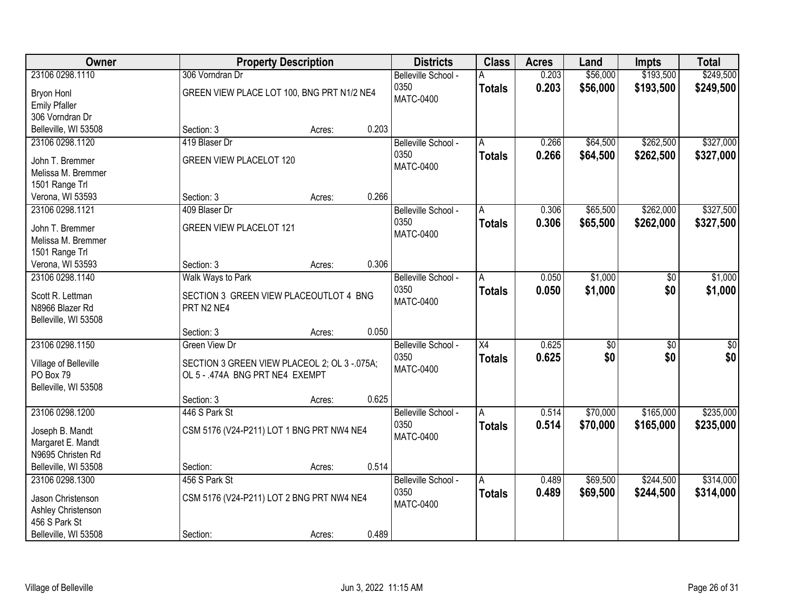| <b>Class</b><br>Owner<br><b>Districts</b><br><b>Acres</b><br><b>Property Description</b><br>Land                                          | <b>Total</b><br><b>Impts</b>       |
|-------------------------------------------------------------------------------------------------------------------------------------------|------------------------------------|
| 23106 0298.1110<br>\$56,000<br>306 Vorndran Dr<br>0.203<br>Belleville School -<br>А                                                       | \$193,500<br>\$249,500             |
| 0.203<br>0350<br>\$56,000<br><b>Totals</b><br>GREEN VIEW PLACE LOT 100, BNG PRT N1/2 NE4<br><b>Bryon Honl</b>                             | \$193,500<br>\$249,500             |
| <b>MATC-0400</b><br><b>Emily Pfaller</b>                                                                                                  |                                    |
| 306 Vorndran Dr                                                                                                                           |                                    |
| 0.203<br>Belleville, WI 53508<br>Section: 3<br>Acres:                                                                                     |                                    |
| 419 Blaser Dr<br>\$64,500<br>23106 0298.1120<br>Belleville School -<br>0.266<br>A                                                         | \$262,500<br>\$327,000             |
| 0.266<br>0350<br>\$64,500<br><b>Totals</b><br><b>GREEN VIEW PLACELOT 120</b><br>John T. Bremmer                                           | \$262,500<br>\$327,000             |
| <b>MATC-0400</b><br>Melissa M. Bremmer                                                                                                    |                                    |
| 1501 Range Trl                                                                                                                            |                                    |
| 0.266<br>Verona, WI 53593<br>Section: 3<br>Acres:                                                                                         |                                    |
| 23106 0298.1121<br>\$65,500<br>409 Blaser Dr<br>Belleville School -<br>0.306<br>A                                                         | \$327,500<br>\$262,000             |
| 0350<br>0.306<br>\$65,500<br><b>Totals</b><br><b>GREEN VIEW PLACELOT 121</b><br>John T. Bremmer                                           | \$262,000<br>\$327,500             |
| <b>MATC-0400</b><br>Melissa M. Bremmer                                                                                                    |                                    |
| 1501 Range Trl                                                                                                                            |                                    |
| 0.306<br>Verona, WI 53593<br>Section: 3<br>Acres:                                                                                         |                                    |
| 23106 0298.1140<br>\$1,000<br>Walk Ways to Park<br>Belleville School -<br>0.050<br>Α                                                      | \$1,000<br>\$0                     |
| 0350<br>0.050<br>\$1,000<br><b>Totals</b><br>Scott R. Lettman<br>SECTION 3 GREEN VIEW PLACEOUTLOT 4 BNG                                   | \$0<br>\$1,000                     |
| <b>MATC-0400</b><br>N8966 Blazer Rd<br>PRT N2 NE4                                                                                         |                                    |
| Belleville, WI 53508                                                                                                                      |                                    |
| 0.050<br>Section: 3<br>Acres:                                                                                                             |                                    |
| 23106 0298.1150<br><b>Green View Dr</b><br>$\overline{X4}$<br>0.625<br>$\overline{50}$<br>Belleville School -                             | $\overline{50}$<br>$\overline{50}$ |
| 0.625<br>\$0<br>0350<br><b>Totals</b>                                                                                                     | \$0<br>\$0                         |
| Village of Belleville<br>SECTION 3 GREEN VIEW PLACEOL 2; OL 3 -.075A;<br><b>MATC-0400</b><br>PO Box 79<br>OL 5 - .474A BNG PRT NE4 EXEMPT |                                    |
| Belleville, WI 53508                                                                                                                      |                                    |
| 0.625<br>Section: 3<br>Acres:                                                                                                             |                                    |
| \$70,000<br>23106 0298.1200<br>446 S Park St<br>Belleville School -<br>0.514<br>A                                                         | \$165,000<br>\$235,000             |
| 0.514<br>\$70,000<br>0350<br><b>Totals</b>                                                                                                | \$165,000<br>\$235,000             |
| CSM 5176 (V24-P211) LOT 1 BNG PRT NW4 NE4<br>Joseph B. Mandt<br><b>MATC-0400</b><br>Margaret E. Mandt                                     |                                    |
| N9695 Christen Rd                                                                                                                         |                                    |
| 0.514<br>Belleville, WI 53508<br>Section:<br>Acres:                                                                                       |                                    |
| 456 S Park St<br>\$69,500<br>23106 0298.1300<br>Belleville School -<br>A<br>0.489                                                         | \$244,500<br>\$314,000             |
| 0350<br>0.489<br>\$69,500<br><b>Totals</b>                                                                                                | \$244,500<br>\$314,000             |
| CSM 5176 (V24-P211) LOT 2 BNG PRT NW4 NE4<br>Jason Christenson<br><b>MATC-0400</b>                                                        |                                    |
| Ashley Christenson<br>456 S Park St                                                                                                       |                                    |
| 0.489<br>Belleville, WI 53508<br>Section:<br>Acres:                                                                                       |                                    |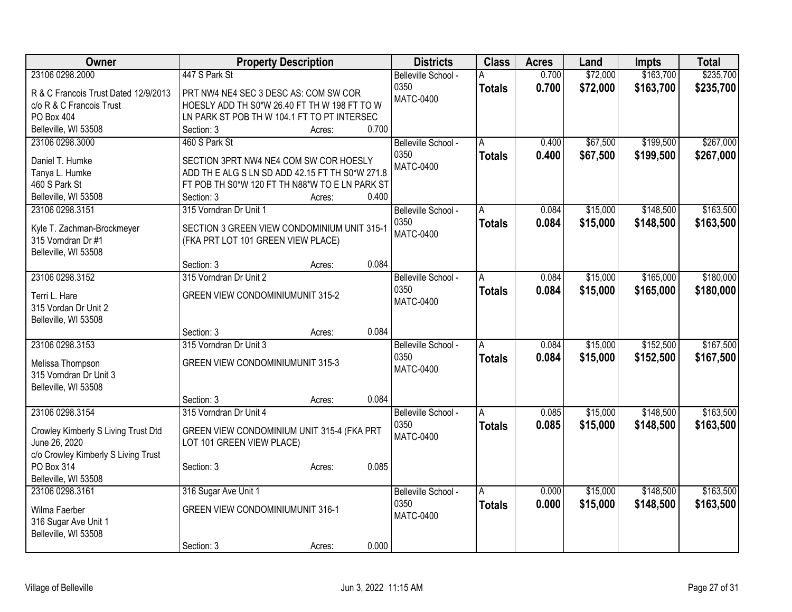| Owner                                             | <b>Property Description</b>                     |       | <b>Districts</b>    | <b>Class</b>  | <b>Acres</b> | Land     | <b>Impts</b> | <b>Total</b> |
|---------------------------------------------------|-------------------------------------------------|-------|---------------------|---------------|--------------|----------|--------------|--------------|
| 23106 0298.2000                                   | 447 S Park St                                   |       | Belleville School - |               | 0.700        | \$72,000 | \$163,700    | \$235,700    |
| R & C Francois Trust Dated 12/9/2013              | PRT NW4 NE4 SEC 3 DESC AS: COM SW COR           |       | 0350                | <b>Totals</b> | 0.700        | \$72,000 | \$163,700    | \$235,700    |
| c/o R & C Francois Trust                          | HOESLY ADD TH S0*W 26.40 FT TH W 198 FT TO W    |       | <b>MATC-0400</b>    |               |              |          |              |              |
| PO Box 404                                        | LN PARK ST POB TH W 104.1 FT TO PT INTERSEC     |       |                     |               |              |          |              |              |
| Belleville, WI 53508                              | Section: 3<br>Acres:                            | 0.700 |                     |               |              |          |              |              |
| 23106 0298.3000                                   | 460 S Park St                                   |       | Belleville School - | A             | 0.400        | \$67,500 | \$199,500    | \$267,000    |
| Daniel T. Humke                                   | SECTION 3PRT NW4 NE4 COM SW COR HOESLY          |       | 0350                | <b>Totals</b> | 0.400        | \$67,500 | \$199,500    | \$267,000    |
| Tanya L. Humke                                    | ADD TH E ALG S LN SD ADD 42.15 FT TH S0*W 271.8 |       | <b>MATC-0400</b>    |               |              |          |              |              |
| 460 S Park St                                     | FT POB TH S0*W 120 FT TH N88*W TO E LN PARK ST  |       |                     |               |              |          |              |              |
| Belleville, WI 53508                              | Section: 3<br>Acres:                            | 0.400 |                     |               |              |          |              |              |
| 23106 0298.3151                                   | 315 Vorndran Dr Unit 1                          |       | Belleville School - | Α             | 0.084        | \$15,000 | \$148,500    | \$163,500    |
|                                                   |                                                 |       | 0350                | <b>Totals</b> | 0.084        | \$15,000 | \$148,500    | \$163,500    |
| Kyle T. Zachman-Brockmeyer                        | SECTION 3 GREEN VIEW CONDOMINIUM UNIT 315-1     |       | <b>MATC-0400</b>    |               |              |          |              |              |
| 315 Vorndran Dr #1                                | (FKA PRT LOT 101 GREEN VIEW PLACE)              |       |                     |               |              |          |              |              |
| Belleville, WI 53508                              |                                                 |       |                     |               |              |          |              |              |
|                                                   | Section: 3<br>Acres:                            | 0.084 |                     |               |              |          |              |              |
| 23106 0298.3152                                   | 315 Vorndran Dr Unit 2                          |       | Belleville School - | A             | 0.084        | \$15,000 | \$165,000    | \$180,000    |
| Terri L. Hare                                     | <b>GREEN VIEW CONDOMINIUMUNIT 315-2</b>         |       | 0350                | <b>Totals</b> | 0.084        | \$15,000 | \$165,000    | \$180,000    |
| 315 Vordan Dr Unit 2                              |                                                 |       | MATC-0400           |               |              |          |              |              |
| Belleville, WI 53508                              |                                                 |       |                     |               |              |          |              |              |
|                                                   | Section: 3<br>Acres:                            | 0.084 |                     |               |              |          |              |              |
| 23106 0298.3153                                   | 315 Vorndran Dr Unit 3                          |       | Belleville School - | Α             | 0.084        | \$15,000 | \$152,500    | \$167,500    |
| Melissa Thompson                                  | <b>GREEN VIEW CONDOMINIUMUNIT 315-3</b>         |       | 0350                | <b>Totals</b> | 0.084        | \$15,000 | \$152,500    | \$167,500    |
| 315 Vorndran Dr Unit 3                            |                                                 |       | <b>MATC-0400</b>    |               |              |          |              |              |
| Belleville, WI 53508                              |                                                 |       |                     |               |              |          |              |              |
|                                                   | Section: 3<br>Acres:                            | 0.084 |                     |               |              |          |              |              |
| 23106 0298.3154                                   | 315 Vorndran Dr Unit 4                          |       | Belleville School - | A             | 0.085        | \$15,000 | \$148,500    | \$163,500    |
|                                                   |                                                 |       | 0350                | <b>Totals</b> | 0.085        | \$15,000 | \$148,500    | \$163,500    |
| Crowley Kimberly S Living Trust Dtd               | GREEN VIEW CONDOMINIUM UNIT 315-4 (FKA PRT      |       | <b>MATC-0400</b>    |               |              |          |              |              |
| June 26, 2020                                     | LOT 101 GREEN VIEW PLACE)                       |       |                     |               |              |          |              |              |
| c/o Crowley Kimberly S Living Trust<br>PO Box 314 |                                                 | 0.085 |                     |               |              |          |              |              |
| Belleville, WI 53508                              | Section: 3<br>Acres:                            |       |                     |               |              |          |              |              |
| 23106 0298.3161                                   | 316 Sugar Ave Unit 1                            |       | Belleville School - | A             | 0.000        | \$15,000 | \$148,500    | \$163,500    |
|                                                   |                                                 |       | 0350                | <b>Totals</b> | 0.000        | \$15,000 | \$148,500    | \$163,500    |
| Wilma Faerber                                     | <b>GREEN VIEW CONDOMINIUMUNIT 316-1</b>         |       | <b>MATC-0400</b>    |               |              |          |              |              |
| 316 Sugar Ave Unit 1                              |                                                 |       |                     |               |              |          |              |              |
| Belleville, WI 53508                              |                                                 |       |                     |               |              |          |              |              |
|                                                   | Section: 3<br>Acres:                            | 0.000 |                     |               |              |          |              |              |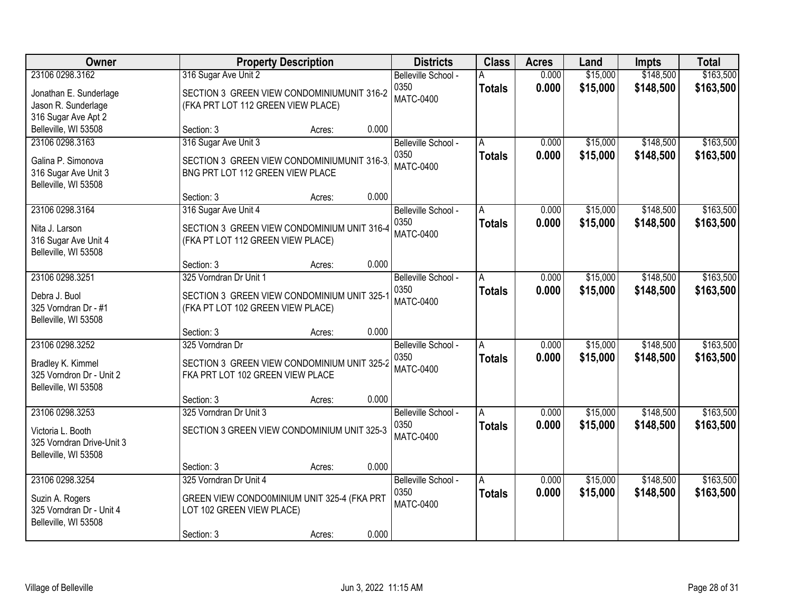| <b>Owner</b>                                                                              |                                                                                                                  | <b>Property Description</b> |       | <b>Districts</b>                                | <b>Class</b>       | <b>Acres</b>   | Land                 | <b>Impts</b>           | <b>Total</b>           |
|-------------------------------------------------------------------------------------------|------------------------------------------------------------------------------------------------------------------|-----------------------------|-------|-------------------------------------------------|--------------------|----------------|----------------------|------------------------|------------------------|
| 23106 0298.3162<br>Jonathan E. Sunderlage<br>Jason R. Sunderlage<br>316 Sugar Ave Apt 2   | 316 Sugar Ave Unit 2<br>SECTION 3 GREEN VIEW CONDOMINIUMUNIT 316-2<br>(FKA PRT LOT 112 GREEN VIEW PLACE)         |                             |       | Belleville School -<br>0350<br>MATC-0400        | А<br><b>Totals</b> | 0.000<br>0.000 | \$15,000<br>\$15,000 | \$148,500<br>\$148,500 | \$163,500<br>\$163,500 |
| Belleville, WI 53508                                                                      | Section: 3                                                                                                       | Acres:                      | 0.000 |                                                 |                    |                |                      |                        |                        |
| 23106 0298.3163<br>Galina P. Simonova<br>316 Sugar Ave Unit 3<br>Belleville, WI 53508     | 316 Sugar Ave Unit 3<br>SECTION 3 GREEN VIEW CONDOMINIUMUNIT 316-3.<br>BNG PRT LOT 112 GREEN VIEW PLACE          |                             |       | Belleville School -<br>0350<br><b>MATC-0400</b> | А<br><b>Totals</b> | 0.000<br>0.000 | \$15,000<br>\$15,000 | \$148,500<br>\$148,500 | \$163,500<br>\$163,500 |
| 23106 0298.3164                                                                           | Section: 3<br>316 Sugar Ave Unit 4                                                                               | Acres:                      | 0.000 | Belleville School -                             | A                  | 0.000          | \$15,000             | \$148,500              | \$163,500              |
| Nita J. Larson<br>316 Sugar Ave Unit 4<br>Belleville, WI 53508                            | SECTION 3 GREEN VIEW CONDOMINIUM UNIT 316-4<br>(FKA PT LOT 112 GREEN VIEW PLACE)                                 |                             |       | 0350<br><b>MATC-0400</b>                        | <b>Totals</b>      | 0.000          | \$15,000             | \$148,500              | \$163,500              |
|                                                                                           | Section: 3                                                                                                       | Acres:                      | 0.000 |                                                 |                    |                |                      |                        |                        |
| 23106 0298.3251<br>Debra J. Buol<br>325 Vorndran Dr - #1<br>Belleville, WI 53508          | 325 Vorndran Dr Unit 1<br>SECTION 3 GREEN VIEW CONDOMINIUM UNIT 325-1<br>(FKA PT LOT 102 GREEN VIEW PLACE)       |                             |       | Belleville School -<br>0350<br><b>MATC-0400</b> | A<br><b>Totals</b> | 0.000<br>0.000 | \$15,000<br>\$15,000 | \$148,500<br>\$148,500 | \$163,500<br>\$163,500 |
|                                                                                           | Section: 3                                                                                                       | Acres:                      | 0.000 |                                                 |                    |                |                      |                        |                        |
| 23106 0298.3252<br>Bradley K. Kimmel<br>325 Vorndron Dr - Unit 2<br>Belleville, WI 53508  | 325 Vorndran Dr<br>SECTION 3 GREEN VIEW CONDOMINIUM UNIT 325-2<br>FKA PRT LOT 102 GREEN VIEW PLACE               |                             |       | Belleville School -<br>0350<br><b>MATC-0400</b> | A<br><b>Totals</b> | 0.000<br>0.000 | \$15,000<br>\$15,000 | \$148,500<br>\$148,500 | \$163,500<br>\$163,500 |
|                                                                                           | Section: 3                                                                                                       | Acres:                      | 0.000 |                                                 |                    |                |                      |                        |                        |
| 23106 0298.3253<br>Victoria L. Booth<br>325 Vorndran Drive-Unit 3<br>Belleville, WI 53508 | 325 Vorndran Dr Unit 3<br>SECTION 3 GREEN VIEW CONDOMINIUM UNIT 325-3                                            |                             |       | Belleville School -<br>0350<br><b>MATC-0400</b> | A<br><b>Totals</b> | 0.000<br>0.000 | \$15,000<br>\$15,000 | \$148,500<br>\$148,500 | \$163,500<br>\$163,500 |
|                                                                                           | Section: 3                                                                                                       | Acres:                      | 0.000 |                                                 |                    |                |                      |                        |                        |
| 23106 0298.3254<br>Suzin A. Rogers<br>325 Vorndran Dr - Unit 4<br>Belleville, WI 53508    | 325 Vorndran Dr Unit 4<br>GREEN VIEW CONDO0MINIUM UNIT 325-4 (FKA PRT<br>LOT 102 GREEN VIEW PLACE)<br>Section: 3 | Acres:                      | 0.000 | Belleville School -<br>0350<br><b>MATC-0400</b> | A<br><b>Totals</b> | 0.000<br>0.000 | \$15,000<br>\$15,000 | \$148,500<br>\$148,500 | \$163,500<br>\$163,500 |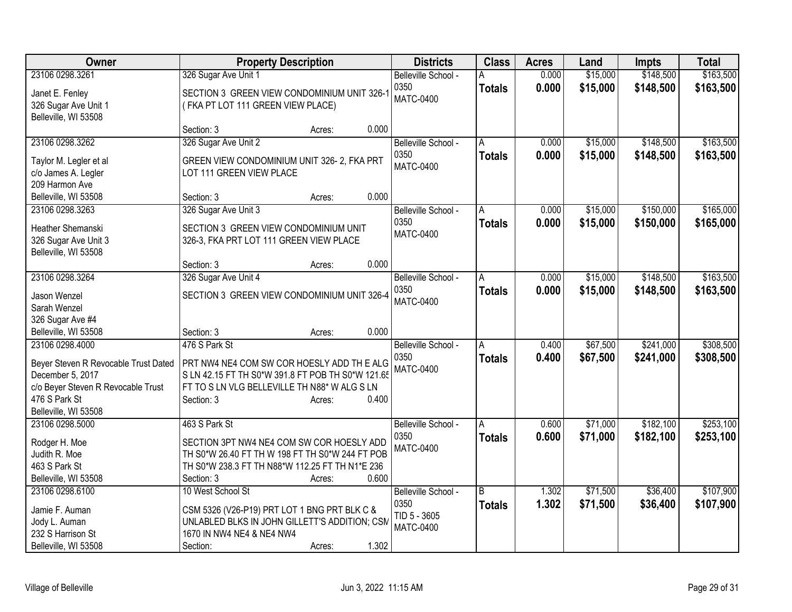| <b>Owner</b>                          | <b>Property Description</b>                       | <b>Districts</b> | <b>Class</b>                | <b>Acres</b>            | Land  | <b>Impts</b> | <b>Total</b> |           |
|---------------------------------------|---------------------------------------------------|------------------|-----------------------------|-------------------------|-------|--------------|--------------|-----------|
| 23106 0298.3261                       | 326 Sugar Ave Unit 1                              |                  | Belleville School -         |                         | 0.000 | \$15,000     | \$148,500    | \$163,500 |
| Janet E. Fenley                       | SECTION 3 GREEN VIEW CONDOMINIUM UNIT 326-1       |                  | 0350                        | <b>Totals</b>           | 0.000 | \$15,000     | \$148,500    | \$163,500 |
| 326 Sugar Ave Unit 1                  | (FKA PT LOT 111 GREEN VIEW PLACE)                 |                  | <b>MATC-0400</b>            |                         |       |              |              |           |
| Belleville, WI 53508                  |                                                   |                  |                             |                         |       |              |              |           |
|                                       | Section: 3                                        | 0.000<br>Acres:  |                             |                         |       |              |              |           |
| 23106 0298.3262                       | 326 Sugar Ave Unit 2                              |                  | Belleville School -         | A                       | 0.000 | \$15,000     | \$148,500    | \$163,500 |
|                                       |                                                   |                  | 0350                        | <b>Totals</b>           | 0.000 | \$15,000     | \$148,500    | \$163,500 |
| Taylor M. Legler et al                | GREEN VIEW CONDOMINIUM UNIT 326-2, FKA PRT        |                  | <b>MATC-0400</b>            |                         |       |              |              |           |
| c/o James A. Legler<br>209 Harmon Ave | LOT 111 GREEN VIEW PLACE                          |                  |                             |                         |       |              |              |           |
| Belleville, WI 53508                  | Section: 3                                        | 0.000            |                             |                         |       |              |              |           |
|                                       |                                                   | Acres:           |                             |                         |       |              |              |           |
| 23106 0298.3263                       | 326 Sugar Ave Unit 3                              |                  | Belleville School -<br>0350 | A                       | 0.000 | \$15,000     | \$150,000    | \$165,000 |
| Heather Shemanski                     | SECTION 3 GREEN VIEW CONDOMINIUM UNIT             |                  |                             | <b>Totals</b>           | 0.000 | \$15,000     | \$150,000    | \$165,000 |
| 326 Sugar Ave Unit 3                  | 326-3, FKA PRT LOT 111 GREEN VIEW PLACE           |                  | <b>MATC-0400</b>            |                         |       |              |              |           |
| Belleville, WI 53508                  |                                                   |                  |                             |                         |       |              |              |           |
|                                       | Section: 3                                        | 0.000<br>Acres:  |                             |                         |       |              |              |           |
| 23106 0298.3264                       | 326 Sugar Ave Unit 4                              |                  | Belleville School -         | A                       | 0.000 | \$15,000     | \$148,500    | \$163,500 |
|                                       |                                                   |                  | 0350                        | <b>Totals</b>           | 0.000 | \$15,000     | \$148,500    | \$163,500 |
| Jason Wenzel                          | SECTION 3 GREEN VIEW CONDOMINIUM UNIT 326-4       |                  | <b>MATC-0400</b>            |                         |       |              |              |           |
| Sarah Wenzel                          |                                                   |                  |                             |                         |       |              |              |           |
| 326 Sugar Ave #4                      |                                                   |                  |                             |                         |       |              |              |           |
| Belleville, WI 53508                  | Section: 3                                        | 0.000<br>Acres:  |                             |                         |       |              |              |           |
| 23106 0298.4000                       | 476 S Park St                                     |                  | Belleville School -         | A                       | 0.400 | \$67,500     | \$241,000    | \$308,500 |
| Beyer Steven R Revocable Trust Dated  | PRT NW4 NE4 COM SW COR HOESLY ADD TH E ALG        |                  | 0350                        | <b>Totals</b>           | 0.400 | \$67,500     | \$241,000    | \$308,500 |
| December 5, 2017                      | S LN 42.15 FT TH S0*W 391.8 FT POB TH S0*W 121.65 |                  | <b>MATC-0400</b>            |                         |       |              |              |           |
| c/o Beyer Steven R Revocable Trust    | FT TO S LN VLG BELLEVILLE TH N88* W ALG S LN      |                  |                             |                         |       |              |              |           |
| 476 S Park St                         | Section: 3                                        | 0.400<br>Acres:  |                             |                         |       |              |              |           |
| Belleville, WI 53508                  |                                                   |                  |                             |                         |       |              |              |           |
| 23106 0298.5000                       | 463 S Park St                                     |                  | Belleville School -         | A                       | 0.600 | \$71,000     | \$182,100    | \$253,100 |
| Rodger H. Moe                         | SECTION 3PT NW4 NE4 COM SW COR HOESLY ADD         |                  | 0350                        | <b>Totals</b>           | 0.600 | \$71,000     | \$182,100    | \$253,100 |
| Judith R. Moe                         | TH S0*W 26.40 FT TH W 198 FT TH S0*W 244 FT POB   |                  | <b>MATC-0400</b>            |                         |       |              |              |           |
| 463 S Park St                         | TH S0*W 238.3 FT TH N88*W 112.25 FT TH N1*E 236   |                  |                             |                         |       |              |              |           |
| Belleville, WI 53508                  | Section: 3                                        | 0.600<br>Acres:  |                             |                         |       |              |              |           |
| 23106 0298.6100                       | 10 West School St                                 |                  |                             | $\overline{\mathsf{B}}$ | 1.302 | \$71,500     | \$36,400     | \$107,900 |
|                                       |                                                   |                  | Belleville School -<br>0350 |                         |       |              |              |           |
| Jamie F. Auman                        | CSM 5326 (V26-P19) PRT LOT 1 BNG PRT BLK C &      |                  | TID 5 - 3605                | <b>Totals</b>           | 1.302 | \$71,500     | \$36,400     | \$107,900 |
| Jody L. Auman                         | UNLABLED BLKS IN JOHN GILLETT'S ADDITION; CSM     |                  | <b>MATC-0400</b>            |                         |       |              |              |           |
| 232 S Harrison St                     | 1670 IN NW4 NE4 & NE4 NW4                         |                  |                             |                         |       |              |              |           |
| Belleville, WI 53508                  | Section:                                          | 1.302<br>Acres:  |                             |                         |       |              |              |           |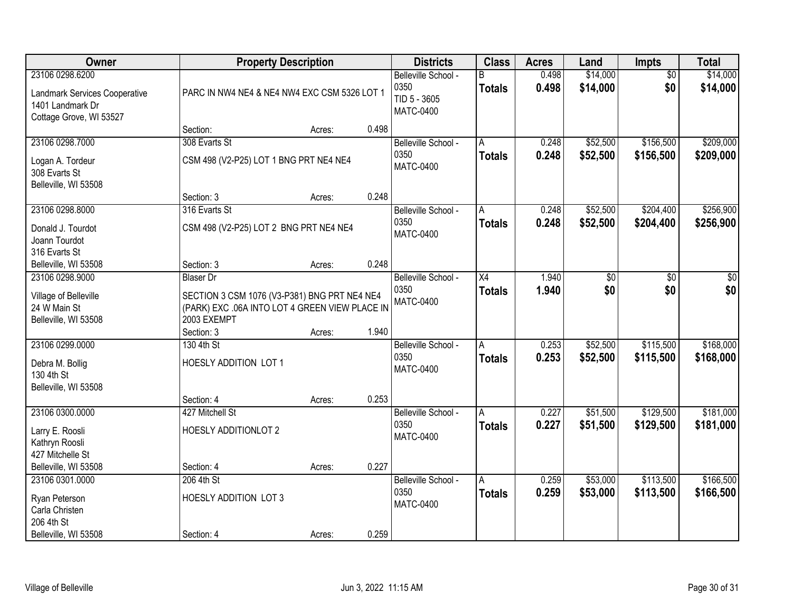| Owner                                                                                           |                                                                                                               | <b>Property Description</b> |       | <b>Districts</b>                                                | <b>Class</b>       | <b>Acres</b>   | Land                 | Impts                  | <b>Total</b>         |
|-------------------------------------------------------------------------------------------------|---------------------------------------------------------------------------------------------------------------|-----------------------------|-------|-----------------------------------------------------------------|--------------------|----------------|----------------------|------------------------|----------------------|
| 23106 0298.6200<br>Landmark Services Cooperative<br>1401 Landmark Dr<br>Cottage Grove, WI 53527 | PARC IN NW4 NE4 & NE4 NW4 EXC CSM 5326 LOT 1                                                                  |                             |       | Belleville School -<br>0350<br>TID 5 - 3605<br><b>MATC-0400</b> | B<br><b>Totals</b> | 0.498<br>0.498 | \$14,000<br>\$14,000 | $\overline{50}$<br>\$0 | \$14,000<br>\$14,000 |
|                                                                                                 | Section:                                                                                                      | Acres:                      | 0.498 |                                                                 |                    |                |                      |                        |                      |
| 23106 0298.7000                                                                                 | 308 Evarts St                                                                                                 |                             |       | Belleville School -                                             | A                  | 0.248          | \$52,500             | \$156,500              | \$209,000            |
| Logan A. Tordeur<br>308 Evarts St<br>Belleville, WI 53508                                       | CSM 498 (V2-P25) LOT 1 BNG PRT NE4 NE4                                                                        |                             |       | 0350<br><b>MATC-0400</b>                                        | <b>Totals</b>      | 0.248          | \$52,500             | \$156,500              | \$209,000            |
|                                                                                                 | Section: 3                                                                                                    | Acres:                      | 0.248 |                                                                 |                    |                |                      |                        |                      |
| 23106 0298.8000                                                                                 | 316 Evarts St                                                                                                 |                             |       | Belleville School -                                             | A                  | 0.248          | \$52,500             | \$204,400              | \$256,900            |
| Donald J. Tourdot<br>Joann Tourdot<br>316 Evarts St                                             | CSM 498 (V2-P25) LOT 2 BNG PRT NE4 NE4                                                                        |                             |       | 0350<br><b>MATC-0400</b>                                        | <b>Totals</b>      | 0.248          | \$52,500             | \$204,400              | \$256,900            |
| Belleville, WI 53508                                                                            | Section: 3                                                                                                    | Acres:                      | 0.248 |                                                                 |                    |                |                      |                        |                      |
| 23106 0298.9000                                                                                 | <b>Blaser Dr</b>                                                                                              |                             |       | Belleville School -                                             | X4                 | 1.940          | \$0                  | \$0                    | \$0                  |
| Village of Belleville<br>24 W Main St<br>Belleville, WI 53508                                   | SECTION 3 CSM 1076 (V3-P381) BNG PRT NE4 NE4<br>(PARK) EXC .06A INTO LOT 4 GREEN VIEW PLACE IN<br>2003 EXEMPT |                             |       | 0350<br><b>MATC-0400</b>                                        | <b>Totals</b>      | 1.940          | \$0                  | \$0                    | \$0                  |
|                                                                                                 | Section: 3                                                                                                    | Acres:                      | 1.940 |                                                                 |                    |                |                      |                        |                      |
| 23106 0299.0000                                                                                 | 130 4th St                                                                                                    |                             |       | Belleville School -                                             | A                  | 0.253          | \$52,500             | \$115,500              | \$168,000            |
| Debra M. Bollig<br>130 4th St<br>Belleville, WI 53508                                           | HOESLY ADDITION LOT 1                                                                                         |                             |       | 0350<br><b>MATC-0400</b>                                        | <b>Totals</b>      | 0.253          | \$52,500             | \$115,500              | \$168,000            |
|                                                                                                 | Section: 4                                                                                                    | Acres:                      | 0.253 |                                                                 |                    |                |                      |                        |                      |
| 23106 0300.0000                                                                                 | 427 Mitchell St                                                                                               |                             |       | Belleville School -                                             | A                  | 0.227          | \$51,500             | \$129,500              | \$181,000            |
| Larry E. Roosli<br>Kathryn Roosli<br>427 Mitchelle St                                           | <b>HOESLY ADDITIONLOT 2</b>                                                                                   |                             |       | 0350<br><b>MATC-0400</b>                                        | <b>Totals</b>      | 0.227          | \$51,500             | \$129,500              | \$181,000            |
| Belleville, WI 53508                                                                            | Section: 4                                                                                                    | Acres:                      | 0.227 |                                                                 |                    |                |                      |                        |                      |
| 23106 0301.0000                                                                                 | 206 4th St                                                                                                    |                             |       | Belleville School -                                             | A                  | 0.259          | \$53,000             | \$113,500              | \$166,500            |
| Ryan Peterson<br>Carla Christen<br>206 4th St                                                   | <b>HOESLY ADDITION LOT 3</b>                                                                                  |                             |       | 0350<br><b>MATC-0400</b>                                        | <b>Totals</b>      | 0.259          | \$53,000             | \$113,500              | \$166,500            |
| Belleville, WI 53508                                                                            | Section: 4                                                                                                    | Acres:                      | 0.259 |                                                                 |                    |                |                      |                        |                      |